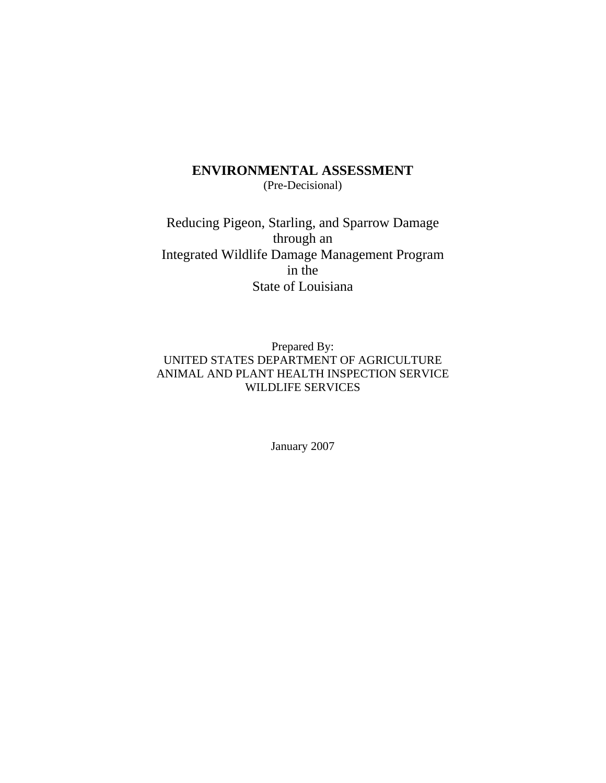# **ENVIRONMENTAL ASSESSMENT** (Pre-Decisional)

Reducing Pigeon, Starling, and Sparrow Damage through an Integrated Wildlife Damage Management Program in the State of Louisiana

Prepared By: UNITED STATES DEPARTMENT OF AGRICULTURE ANIMAL AND PLANT HEALTH INSPECTION SERVICE WILDLIFE SERVICES

January 2007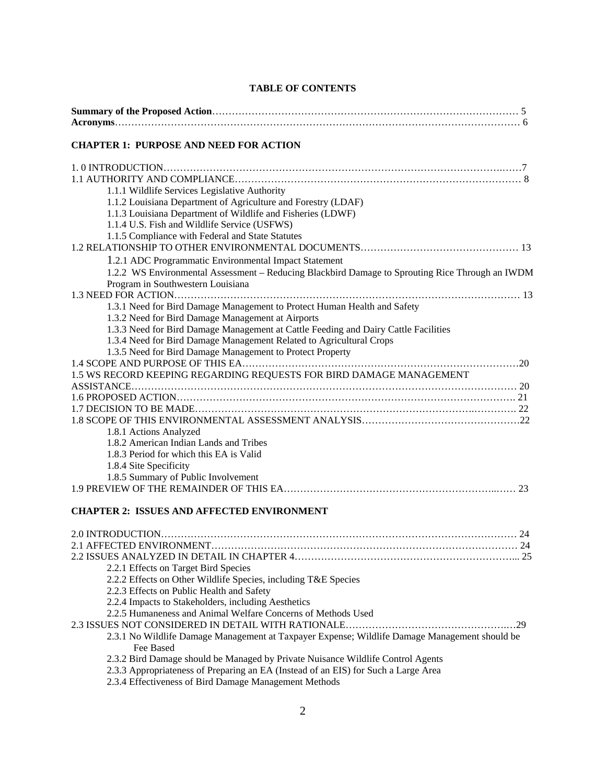| <b>CHAPTER 1: PURPOSE AND NEED FOR ACTION</b>                                                                                                                                                                                                                                                                                                            |
|----------------------------------------------------------------------------------------------------------------------------------------------------------------------------------------------------------------------------------------------------------------------------------------------------------------------------------------------------------|
| 1.1.1 Wildlife Services Legislative Authority<br>1.1.2 Louisiana Department of Agriculture and Forestry (LDAF)<br>1.1.3 Louisiana Department of Wildlife and Fisheries (LDWF)<br>1.1.4 U.S. Fish and Wildlife Service (USFWS)<br>1.1.5 Compliance with Federal and State Statutes                                                                        |
|                                                                                                                                                                                                                                                                                                                                                          |
| 1.2.1 ADC Programmatic Environmental Impact Statement<br>1.2.2 WS Environmental Assessment – Reducing Blackbird Damage to Sprouting Rice Through an IWDM<br>Program in Southwestern Louisiana                                                                                                                                                            |
| 1.3.1 Need for Bird Damage Management to Protect Human Health and Safety<br>1.3.2 Need for Bird Damage Management at Airports<br>1.3.3 Need for Bird Damage Management at Cattle Feeding and Dairy Cattle Facilities<br>1.3.4 Need for Bird Damage Management Related to Agricultural Crops<br>1.3.5 Need for Bird Damage Management to Protect Property |
|                                                                                                                                                                                                                                                                                                                                                          |
| 1.5 WS RECORD KEEPING REGARDING REQUESTS FOR BIRD DAMAGE MANAGEMENT                                                                                                                                                                                                                                                                                      |
| 1.8.1 Actions Analyzed<br>1.8.2 American Indian Lands and Tribes<br>1.8.3 Period for which this EA is Valid<br>1.8.4 Site Specificity<br>1.8.5 Summary of Public Involvement                                                                                                                                                                             |
|                                                                                                                                                                                                                                                                                                                                                          |
| <b>CHAPTER 2: ISSUES AND AFFECTED ENVIRONMENT</b>                                                                                                                                                                                                                                                                                                        |
| 2.2.1 Effects on Target Bird Species<br>2.2.2 Effects on Other Wildlife Species, including T&E Species<br>2.2.3 Effects on Public Health and Safety<br>2.2.4 Impacts to Stakeholders, including Aesthetics<br>2.2.5 Humaneness and Animal Welfare Concerns of Methods Used                                                                               |
| 2.3.1 No Wildlife Damage Management at Taxpayer Expense; Wildlife Damage Management should be<br>Fee Based<br>2.3.2 Bird Damage should be Managed by Private Nuisance Wildlife Control Agents<br>2.3.3 Appropriateness of Preparing an EA (Instead of an EIS) for Such a Large Area<br>2.3.4 Effectiveness of Bird Damage Management Methods             |

# **TABLE OF CONTENTS**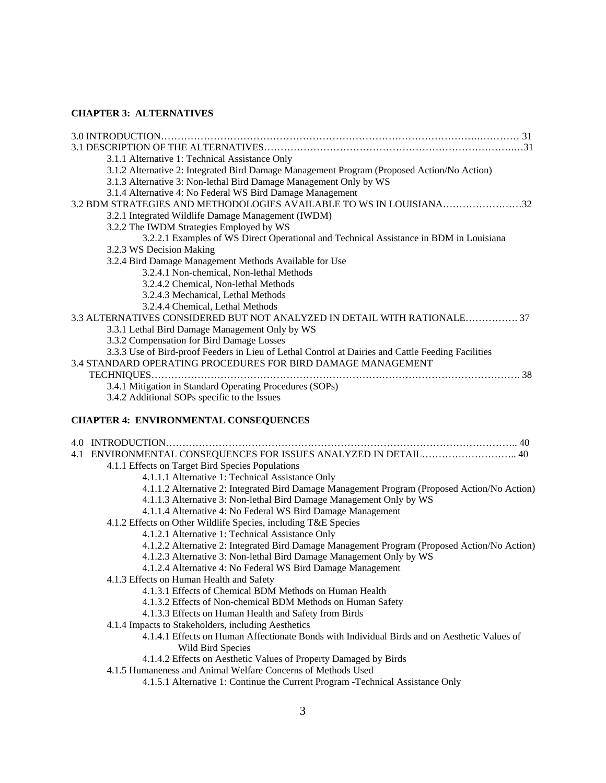# **CHAPTER 3: ALTERNATIVES**

| 3.1.1 Alternative 1: Technical Assistance Only<br>3.1.2 Alternative 2: Integrated Bird Damage Management Program (Proposed Action/No Action)<br>3.1.3 Alternative 3: Non-lethal Bird Damage Management Only by WS<br>3.1.4 Alternative 4: No Federal WS Bird Damage Management |
|--------------------------------------------------------------------------------------------------------------------------------------------------------------------------------------------------------------------------------------------------------------------------------|
| 3.2 BDM STRATEGIES AND METHODOLOGIES AVAILABLE TO WS IN LOUISIANA32<br>3.2.1 Integrated Wildlife Damage Management (IWDM)                                                                                                                                                      |
| 3.2.2 The IWDM Strategies Employed by WS                                                                                                                                                                                                                                       |
| 3.2.2.1 Examples of WS Direct Operational and Technical Assistance in BDM in Louisiana                                                                                                                                                                                         |
| 3.2.3 WS Decision Making                                                                                                                                                                                                                                                       |
| 3.2.4 Bird Damage Management Methods Available for Use                                                                                                                                                                                                                         |
| 3.2.4.1 Non-chemical, Non-lethal Methods                                                                                                                                                                                                                                       |
| 3.2.4.2 Chemical, Non-lethal Methods                                                                                                                                                                                                                                           |
| 3.2.4.3 Mechanical, Lethal Methods                                                                                                                                                                                                                                             |
| 3.2.4.4 Chemical, Lethal Methods                                                                                                                                                                                                                                               |
| 3.3 ALTERNATIVES CONSIDERED BUT NOT ANALYZED IN DETAIL WITH RATIONALE 37                                                                                                                                                                                                       |
| 3.3.1 Lethal Bird Damage Management Only by WS<br>3.3.2 Compensation for Bird Damage Losses                                                                                                                                                                                    |
| 3.3.3 Use of Bird-proof Feeders in Lieu of Lethal Control at Dairies and Cattle Feeding Facilities                                                                                                                                                                             |
| 3.4 STANDARD OPERATING PROCEDURES FOR BIRD DAMAGE MANAGEMENT                                                                                                                                                                                                                   |
|                                                                                                                                                                                                                                                                                |
| 3.4.1 Mitigation in Standard Operating Procedures (SOPs)                                                                                                                                                                                                                       |
| 3.4.2 Additional SOPs specific to the Issues                                                                                                                                                                                                                                   |
|                                                                                                                                                                                                                                                                                |
| <b>CHAPTER 4: ENVIRONMENTAL CONSEQUENCES</b>                                                                                                                                                                                                                                   |
|                                                                                                                                                                                                                                                                                |
| 4.1 ENVIRONMENTAL CONSEQUENCES FOR ISSUES ANALYZED IN DETAIL 40                                                                                                                                                                                                                |
| 4.1.1 Effects on Target Bird Species Populations                                                                                                                                                                                                                               |
| 4.1.1.1 Alternative 1: Technical Assistance Only                                                                                                                                                                                                                               |
| 4.1.1.2 Alternative 2: Integrated Bird Damage Management Program (Proposed Action/No Action)                                                                                                                                                                                   |
| 4.1.1.3 Alternative 3: Non-lethal Bird Damage Management Only by WS                                                                                                                                                                                                            |
| 4.1.1.4 Alternative 4: No Federal WS Bird Damage Management                                                                                                                                                                                                                    |
| 4.1.2 Effects on Other Wildlife Species, including T&E Species                                                                                                                                                                                                                 |
| 4.1.2.1 Alternative 1: Technical Assistance Only                                                                                                                                                                                                                               |
| 4.1.2.2 Alternative 2: Integrated Bird Damage Management Program (Proposed Action/No Action)                                                                                                                                                                                   |
| 4.1.2.3 Alternative 3: Non-lethal Bird Damage Management Only by WS                                                                                                                                                                                                            |

- 4.1.2.4 Alternative 4: No Federal WS Bird Damage Management
- 4.1.3 Effects on Human Health and Safety
	- 4.1.3.1 Effects of Chemical BDM Methods on Human Health
	- 4.1.3.2 Effects of Non-chemical BDM Methods on Human Safety
	- 4.1.3.3 Effects on Human Health and Safety from Birds
- 4.1.4 Impacts to Stakeholders, including Aesthetics
	- 4.1.4.1 Effects on Human Affectionate Bonds with Individual Birds and on Aesthetic Values of Wild Bird Species
	- 4.1.4.2 Effects on Aesthetic Values of Property Damaged by Birds
- 4.1.5 Humaneness and Animal Welfare Concerns of Methods Used
	- 4.1.5.1 Alternative 1: Continue the Current Program -Technical Assistance Only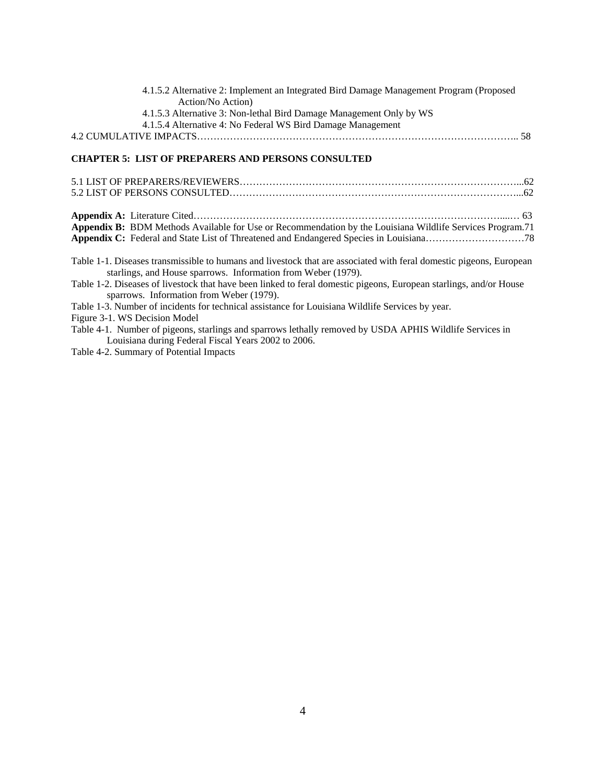| 4.1.5.2 Alternative 2: Implement an Integrated Bird Damage Management Program (Proposed |  |
|-----------------------------------------------------------------------------------------|--|
| Action/No Action)                                                                       |  |
| 4.1.5.3 Alternative 3: Non-lethal Bird Damage Management Only by WS                     |  |
| 4.1.5.4 Alternative 4: No Federal WS Bird Damage Management                             |  |
|                                                                                         |  |

# **CHAPTER 5: LIST OF PREPARERS AND PERSONS CONSULTED**

| Appendix B: BDM Methods Available for Use or Recommendation by the Louisiana Wildlife Services Program.71                                                                            |
|--------------------------------------------------------------------------------------------------------------------------------------------------------------------------------------|
|                                                                                                                                                                                      |
| Table 1-1. Diseases transmissible to humans and livestock that are associated with feral domestic pigeons, European<br>starlings, and House sparrows. Information from Weber (1979). |
| Table 1-2. Diseases of livestock that have been linked to feral domestic pigeons, European starlings, and/or House<br>sparrows. Information from Weber (1979).                       |
| Table 1-3. Number of incidents for technical assistance for Louisiana Wildlife Services by year.                                                                                     |
| Figure 3-1. WS Decision Model                                                                                                                                                        |
| Toble 4.1 Number of pigeons, storlings and sperrows lothelly removed by USDA ADHIS Wildlife Services in                                                                              |

Table 4-1. Number of pigeons, starlings and sparrows lethally removed by USDA APHIS Wildlife Services in Louisiana during Federal Fiscal Years 2002 to 2006.

Table 4-2. Summary of Potential Impacts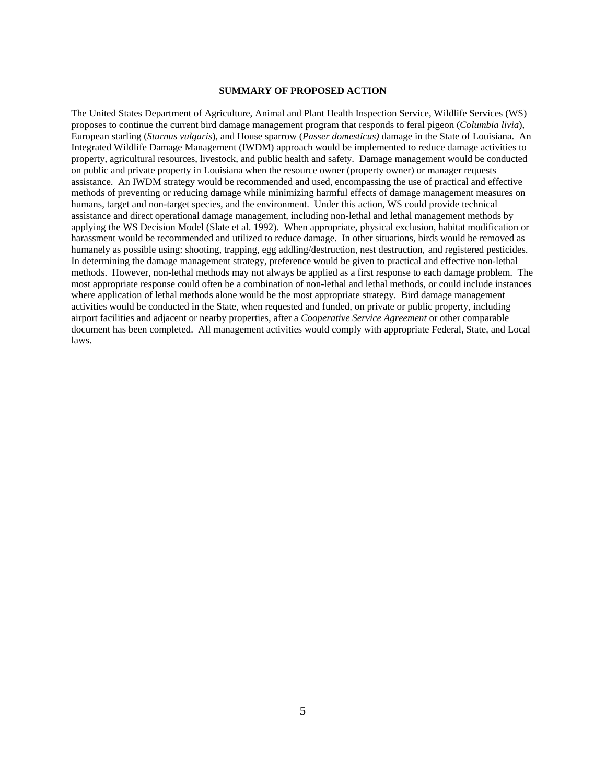#### **SUMMARY OF PROPOSED ACTION**

The United States Department of Agriculture, Animal and Plant Health Inspection Service, Wildlife Services (WS) proposes to continue the current bird damage management program that responds to feral pigeon (*Columbia livia*), European starling (*Sturnus vulgaris*), and House sparrow (*Passer domesticus)* damage in the State of Louisiana. An Integrated Wildlife Damage Management (IWDM) approach would be implemented to reduce damage activities to property, agricultural resources, livestock, and public health and safety. Damage management would be conducted on public and private property in Louisiana when the resource owner (property owner) or manager requests assistance. An IWDM strategy would be recommended and used, encompassing the use of practical and effective methods of preventing or reducing damage while minimizing harmful effects of damage management measures on humans, target and non-target species, and the environment. Under this action, WS could provide technical assistance and direct operational damage management, including non-lethal and lethal management methods by applying the WS Decision Model (Slate et al. 1992). When appropriate, physical exclusion, habitat modification or harassment would be recommended and utilized to reduce damage. In other situations, birds would be removed as humanely as possible using: shooting, trapping, egg addling/destruction, nest destruction, and registered pesticides. In determining the damage management strategy, preference would be given to practical and effective non-lethal methods. However, non-lethal methods may not always be applied as a first response to each damage problem. The most appropriate response could often be a combination of non-lethal and lethal methods, or could include instances where application of lethal methods alone would be the most appropriate strategy. Bird damage management activities would be conducted in the State, when requested and funded, on private or public property, including airport facilities and adjacent or nearby properties, after a *Cooperative Service Agreement* or other comparable document has been completed. All management activities would comply with appropriate Federal, State, and Local laws.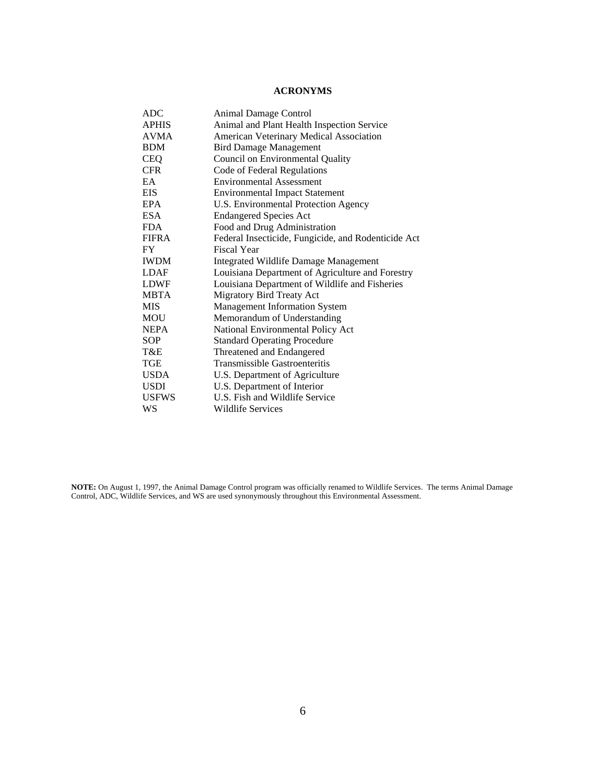# **ACRONYMS**

| ADC          | Animal Damage Control                               |
|--------------|-----------------------------------------------------|
| APHIS        | Animal and Plant Health Inspection Service          |
| <b>AVMA</b>  | American Veterinary Medical Association             |
| <b>BDM</b>   | <b>Bird Damage Management</b>                       |
| <b>CEQ</b>   | Council on Environmental Quality                    |
| <b>CFR</b>   | Code of Federal Regulations                         |
| EA           | <b>Environmental Assessment</b>                     |
| <b>EIS</b>   | <b>Environmental Impact Statement</b>               |
| EPA          | U.S. Environmental Protection Agency                |
| ESA.         | <b>Endangered Species Act</b>                       |
| <b>FDA</b>   | Food and Drug Administration                        |
| <b>FIFRA</b> | Federal Insecticide, Fungicide, and Rodenticide Act |
| FY.          | <b>Fiscal Year</b>                                  |
| <b>IWDM</b>  | <b>Integrated Wildlife Damage Management</b>        |
| <b>LDAF</b>  | Louisiana Department of Agriculture and Forestry    |
| <b>LDWF</b>  | Louisiana Department of Wildlife and Fisheries      |
| <b>MBTA</b>  | Migratory Bird Treaty Act                           |
| <b>MIS</b>   | <b>Management Information System</b>                |
| MOU          | Memorandum of Understanding                         |
| <b>NEPA</b>  | National Environmental Policy Act                   |
| SOP          | <b>Standard Operating Procedure</b>                 |
| T&E          | Threatened and Endangered                           |
| TGE          | Transmissible Gastroenteritis                       |
| <b>USDA</b>  | U.S. Department of Agriculture                      |
| USDI         | U.S. Department of Interior                         |
| <b>USFWS</b> | U.S. Fish and Wildlife Service                      |
| WS           | <b>Wildlife Services</b>                            |

**NOTE:** On August 1, 1997, the Animal Damage Control program was officially renamed to Wildlife Services. The terms Animal Damage Control, ADC, Wildlife Services, and WS are used synonymously throughout this Environmental Assessment.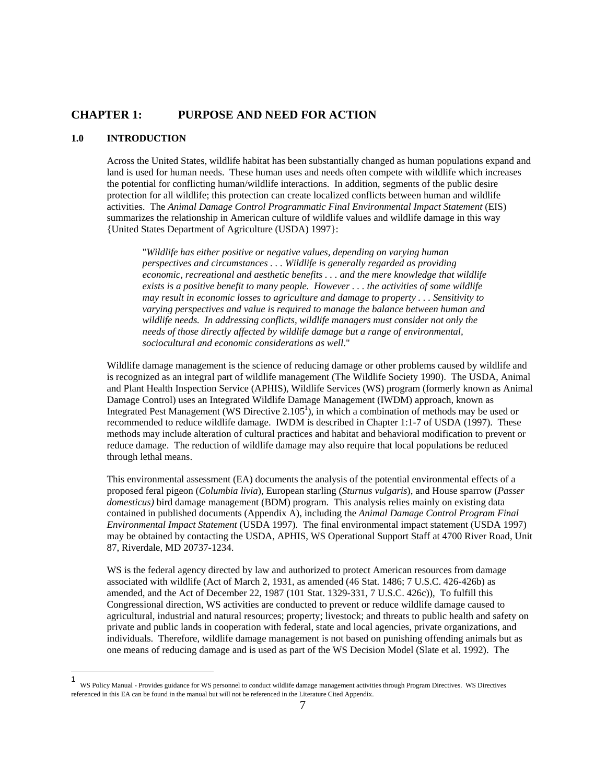# **CHAPTER 1: PURPOSE AND NEED FOR ACTION**

## **1.0 INTRODUCTION**

 $\overline{a}$ 

 Across the United States, wildlife habitat has been substantially changed as human populations expand and land is used for human needs. These human uses and needs often compete with wildlife which increases the potential for conflicting human/wildlife interactions. In addition, segments of the public desire protection for all wildlife; this protection can create localized conflicts between human and wildlife activities. The *Animal Damage Control Programmatic Final Environmental Impact Statement* (EIS) summarizes the relationship in American culture of wildlife values and wildlife damage in this way {United States Department of Agriculture (USDA) 1997}:

 "*Wildlife has either positive or negative values, depending on varying human perspectives and circumstances . . . Wildlife is generally regarded as providing economic, recreational and aesthetic benefits . . . and the mere knowledge that wildlife exists is a positive benefit to many people. However . . . the activities of some wildlife may result in economic losses to agriculture and damage to property . . . Sensitivity to varying perspectives and value is required to manage the balance between human and wildlife needs. In addressing conflicts, wildlife managers must consider not only the needs of those directly affected by wildlife damage but a range of environmental, sociocultural and economic considerations as well*."

 Wildlife damage management is the science of reducing damage or other problems caused by wildlife and is recognized as an integral part of wildlife management (The Wildlife Society 1990). The USDA, Animal and Plant Health Inspection Service (APHIS), Wildlife Services (WS) program (formerly known as Animal Damage Control) uses an Integrated Wildlife Damage Management (IWDM) approach, known as Integrated Pest Management (WS Directive  $2.105<sup>1</sup>$ ), in which a combination of methods may be used or recommended to reduce wildlife damage. IWDM is described in Chapter 1:1-7 of USDA (1997). These methods may include alteration of cultural practices and habitat and behavioral modification to prevent or reduce damage. The reduction of wildlife damage may also require that local populations be reduced through lethal means.

 This environmental assessment (EA) documents the analysis of the potential environmental effects of a proposed feral pigeon (*Columbia livia*), European starling (*Sturnus vulgaris*), and House sparrow (*Passer domesticus)* bird damage management (BDM) program. This analysis relies mainly on existing data contained in published documents (Appendix A), including the *Animal Damage Control Program Final Environmental Impact Statement* (USDA 1997). The final environmental impact statement (USDA 1997) may be obtained by contacting the USDA, APHIS, WS Operational Support Staff at 4700 River Road, Unit 87, Riverdale, MD 20737-1234.

WS is the federal agency directed by law and authorized to protect American resources from damage associated with wildlife (Act of March 2, 1931, as amended (46 Stat. 1486; 7 U.S.C. 426-426b) as amended, and the Act of December 22, 1987 (101 Stat. 1329-331, 7 U.S.C. 426c)), To fulfill this Congressional direction, WS activities are conducted to prevent or reduce wildlife damage caused to agricultural, industrial and natural resources; property; livestock; and threats to public health and safety on private and public lands in cooperation with federal, state and local agencies, private organizations, and individuals. Therefore, wildlife damage management is not based on punishing offending animals but as one means of reducing damage and is used as part of the WS Decision Model (Slate et al. 1992). The

<sup>1</sup> WS Policy Manual - Provides guidance for WS personnel to conduct wildlife damage management activities through Program Directives. WS Directives referenced in this EA can be found in the manual but will not be referenced in the Literature Cited Appendix.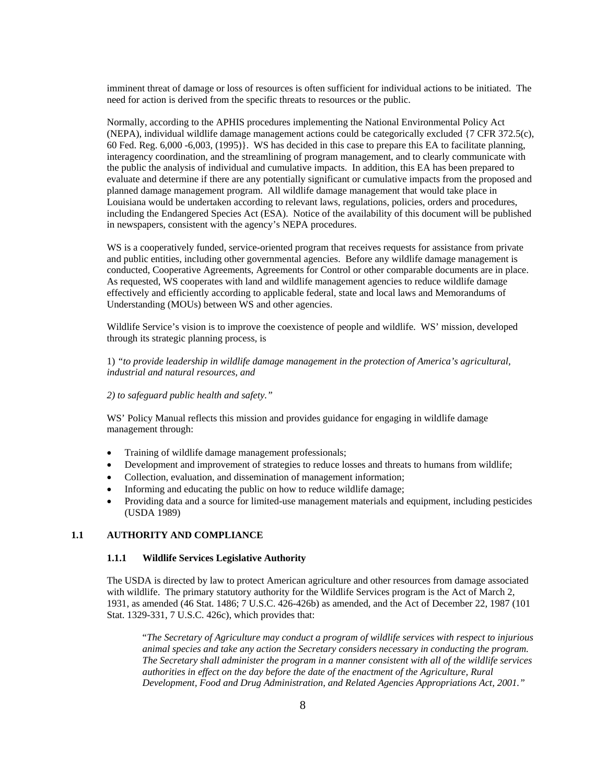imminent threat of damage or loss of resources is often sufficient for individual actions to be initiated. The need for action is derived from the specific threats to resources or the public.

 Normally, according to the APHIS procedures implementing the National Environmental Policy Act (NEPA), individual wildlife damage management actions could be categorically excluded {7 CFR 372.5(c), 60 Fed. Reg. 6,000 -6,003, (1995)}. WS has decided in this case to prepare this EA to facilitate planning, interagency coordination, and the streamlining of program management, and to clearly communicate with the public the analysis of individual and cumulative impacts. In addition, this EA has been prepared to evaluate and determine if there are any potentially significant or cumulative impacts from the proposed and planned damage management program. All wildlife damage management that would take place in Louisiana would be undertaken according to relevant laws, regulations, policies, orders and procedures, including the Endangered Species Act (ESA). Notice of the availability of this document will be published in newspapers, consistent with the agency's NEPA procedures.

 WS is a cooperatively funded, service-oriented program that receives requests for assistance from private and public entities, including other governmental agencies. Before any wildlife damage management is conducted, Cooperative Agreements, Agreements for Control or other comparable documents are in place. As requested, WS cooperates with land and wildlife management agencies to reduce wildlife damage effectively and efficiently according to applicable federal, state and local laws and Memorandums of Understanding (MOUs) between WS and other agencies.

Wildlife Service's vision is to improve the coexistence of people and wildlife. WS' mission, developed through its strategic planning process, is

 1) *"to provide leadership in wildlife damage management in the protection of America's agricultural, industrial and natural resources, and* 

#### *2) to safeguard public health and safety."*

 WS' Policy Manual reflects this mission and provides guidance for engaging in wildlife damage management through:

- Training of wildlife damage management professionals;
- Development and improvement of strategies to reduce losses and threats to humans from wildlife;
- Collection, evaluation, and dissemination of management information;
- Informing and educating the public on how to reduce wildlife damage;
- Providing data and a source for limited-use management materials and equipment, including pesticides (USDA 1989)

### **1.1 AUTHORITY AND COMPLIANCE**

#### **1.1.1 Wildlife Services Legislative Authority**

 The USDA is directed by law to protect American agriculture and other resources from damage associated with wildlife. The primary statutory authority for the Wildlife Services program is the Act of March 2, 1931, as amended (46 Stat. 1486; 7 U.S.C. 426-426b) as amended, and the Act of December 22, 1987 (101 Stat. 1329-331, 7 U.S.C. 426c), which provides that:

 "*The Secretary of Agriculture may conduct a program of wildlife services with respect to injurious animal species and take any action the Secretary considers necessary in conducting the program. The Secretary shall administer the program in a manner consistent with all of the wildlife services authorities in effect on the day before the date of the enactment of the Agriculture, Rural Development, Food and Drug Administration, and Related Agencies Appropriations Act, 2001."*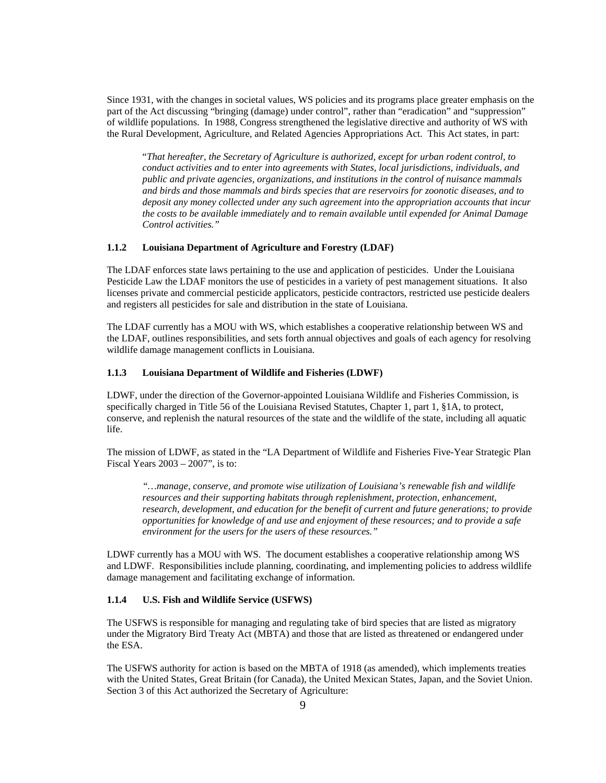Since 1931, with the changes in societal values, WS policies and its programs place greater emphasis on the part of the Act discussing "bringing (damage) under control", rather than "eradication" and "suppression" of wildlife populations. In 1988, Congress strengthened the legislative directive and authority of WS with the Rural Development, Agriculture, and Related Agencies Appropriations Act. This Act states, in part:

 "*That hereafter, the Secretary of Agriculture is authorized, except for urban rodent control, to conduct activities and to enter into agreements with States, local jurisdictions, individuals, and public and private agencies, organizations, and institutions in the control of nuisance mammals and birds and those mammals and birds species that are reservoirs for zoonotic diseases, and to deposit any money collected under any such agreement into the appropriation accounts that incur the costs to be available immediately and to remain available until expended for Animal Damage Control activities."* 

#### **1.1.2 Louisiana Department of Agriculture and Forestry (LDAF)**

 The LDAF enforces state laws pertaining to the use and application of pesticides. Under the Louisiana Pesticide Law the LDAF monitors the use of pesticides in a variety of pest management situations. It also licenses private and commercial pesticide applicators, pesticide contractors, restricted use pesticide dealers and registers all pesticides for sale and distribution in the state of Louisiana.

 The LDAF currently has a MOU with WS, which establishes a cooperative relationship between WS and the LDAF, outlines responsibilities, and sets forth annual objectives and goals of each agency for resolving wildlife damage management conflicts in Louisiana.

#### **1.1.3 Louisiana Department of Wildlife and Fisheries (LDWF)**

LDWF, under the direction of the Governor-appointed Louisiana Wildlife and Fisheries Commission, is specifically charged in Title 56 of the Louisiana Revised Statutes, Chapter 1, part 1, §1A, to protect, conserve, and replenish the natural resources of the state and the wildlife of the state, including all aquatic life.

The mission of LDWF, as stated in the "LA Department of Wildlife and Fisheries Five-Year Strategic Plan Fiscal Years 2003 – 2007", is to:

*"…manage, conserve, and promote wise utilization of Louisiana's renewable fish and wildlife resources and their supporting habitats through replenishment, protection, enhancement, research, development, and education for the benefit of current and future generations; to provide opportunities for knowledge of and use and enjoyment of these resources; and to provide a safe environment for the users for the users of these resources."* 

LDWF currently has a MOU with WS. The document establishes a cooperative relationship among WS and LDWF. Responsibilities include planning, coordinating, and implementing policies to address wildlife damage management and facilitating exchange of information.

### **1.1.4 U.S. Fish and Wildlife Service (USFWS)**

 The USFWS is responsible for managing and regulating take of bird species that are listed as migratory under the Migratory Bird Treaty Act (MBTA) and those that are listed as threatened or endangered under the ESA.

 The USFWS authority for action is based on the MBTA of 1918 (as amended), which implements treaties with the United States, Great Britain (for Canada), the United Mexican States, Japan, and the Soviet Union. Section 3 of this Act authorized the Secretary of Agriculture: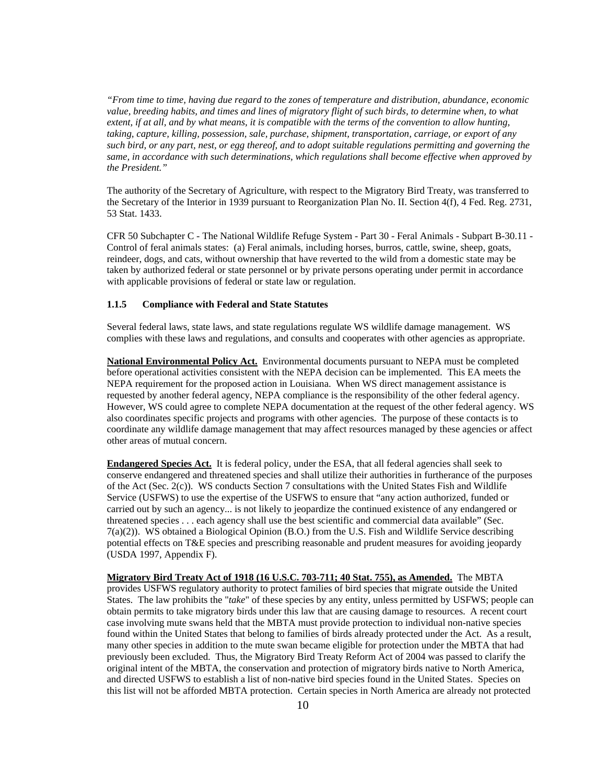*"From time to time, having due regard to the zones of temperature and distribution, abundance, economic value, breeding habits, and times and lines of migratory flight of such birds, to determine when, to what extent, if at all, and by what means, it is compatible with the terms of the convention to allow hunting, taking, capture, killing, possession, sale, purchase, shipment, transportation, carriage, or export of any such bird, or any part, nest, or egg thereof, and to adopt suitable regulations permitting and governing the same, in accordance with such determinations, which regulations shall become effective when approved by the President."* 

The authority of the Secretary of Agriculture, with respect to the Migratory Bird Treaty, was transferred to the Secretary of the Interior in 1939 pursuant to Reorganization Plan No. II. Section 4(f), 4 Fed. Reg. 2731, 53 Stat. 1433.

CFR 50 Subchapter C - The National Wildlife Refuge System - Part 30 - Feral Animals - Subpart B-30.11 - Control of feral animals states: (a) Feral animals, including horses, burros, cattle, swine, sheep, goats, reindeer, dogs, and cats, without ownership that have reverted to the wild from a domestic state may be taken by authorized federal or state personnel or by private persons operating under permit in accordance with applicable provisions of federal or state law or regulation.

### **1.1.5 Compliance with Federal and State Statutes**

 Several federal laws, state laws, and state regulations regulate WS wildlife damage management. WS complies with these laws and regulations, and consults and cooperates with other agencies as appropriate.

**National Environmental Policy Act.** Environmental documents pursuant to NEPA must be completed before operational activities consistent with the NEPA decision can be implemented. This EA meets the NEPA requirement for the proposed action in Louisiana. When WS direct management assistance is requested by another federal agency, NEPA compliance is the responsibility of the other federal agency. However, WS could agree to complete NEPA documentation at the request of the other federal agency. WS also coordinates specific projects and programs with other agencies. The purpose of these contacts is to coordinate any wildlife damage management that may affect resources managed by these agencies or affect other areas of mutual concern.

**Endangered Species Act.** It is federal policy, under the ESA, that all federal agencies shall seek to conserve endangered and threatened species and shall utilize their authorities in furtherance of the purposes of the Act (Sec. 2(c)). WS conducts Section 7 consultations with the United States Fish and Wildlife Service (USFWS) to use the expertise of the USFWS to ensure that "any action authorized, funded or carried out by such an agency... is not likely to jeopardize the continued existence of any endangered or threatened species . . . each agency shall use the best scientific and commercial data available" (Sec. 7(a)(2)). WS obtained a Biological Opinion (B.O.) from the U.S. Fish and Wildlife Service describing potential effects on T&E species and prescribing reasonable and prudent measures for avoiding jeopardy (USDA 1997, Appendix F).

**Migratory Bird Treaty Act of 1918 (16 U.S.C. 703-711; 40 Stat. 755), as Amended.** The MBTA provides USFWS regulatory authority to protect families of bird species that migrate outside the United States. The law prohibits the "*take*" of these species by any entity, unless permitted by USFWS; people can obtain permits to take migratory birds under this law that are causing damage to resources. A recent court case involving mute swans held that the MBTA must provide protection to individual non-native species found within the United States that belong to families of birds already protected under the Act. As a result, many other species in addition to the mute swan became eligible for protection under the MBTA that had previously been excluded. Thus, the Migratory Bird Treaty Reform Act of 2004 was passed to clarify the original intent of the MBTA, the conservation and protection of migratory birds native to North America, and directed USFWS to establish a list of non-native bird species found in the United States. Species on this list will not be afforded MBTA protection. Certain species in North America are already not protected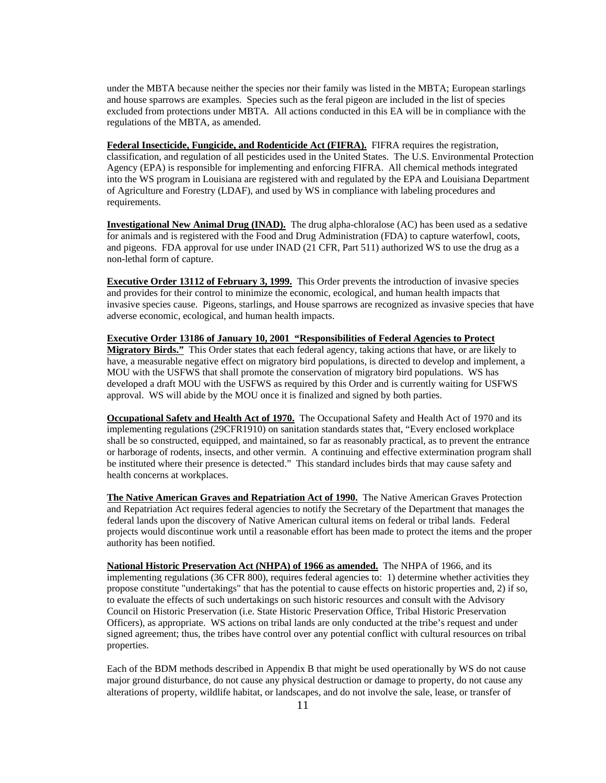under the MBTA because neither the species nor their family was listed in the MBTA; European starlings and house sparrows are examples. Species such as the feral pigeon are included in the list of species excluded from protections under MBTA. All actions conducted in this EA will be in compliance with the regulations of the MBTA, as amended.

**Federal Insecticide, Fungicide, and Rodenticide Act (FIFRA).** FIFRA requires the registration, classification, and regulation of all pesticides used in the United States. The U.S. Environmental Protection Agency (EPA) is responsible for implementing and enforcing FIFRA. All chemical methods integrated into the WS program in Louisiana are registered with and regulated by the EPA and Louisiana Department of Agriculture and Forestry (LDAF), and used by WS in compliance with labeling procedures and requirements.

**Investigational New Animal Drug (INAD).** The drug alpha-chloralose (AC) has been used as a sedative for animals and is registered with the Food and Drug Administration (FDA) to capture waterfowl, coots, and pigeons. FDA approval for use under INAD (21 CFR, Part 511) authorized WS to use the drug as a non-lethal form of capture.

**Executive Order 13112 of February 3, 1999.** This Order prevents the introduction of invasive species and provides for their control to minimize the economic, ecological, and human health impacts that invasive species cause. Pigeons, starlings, and House sparrows are recognized as invasive species that have adverse economic, ecological, and human health impacts.

**Executive Order 13186 of January 10, 2001 "Responsibilities of Federal Agencies to Protect Migratory Birds."** This Order states that each federal agency, taking actions that have, or are likely to have, a measurable negative effect on migratory bird populations, is directed to develop and implement, a MOU with the USFWS that shall promote the conservation of migratory bird populations. WS has developed a draft MOU with the USFWS as required by this Order and is currently waiting for USFWS approval. WS will abide by the MOU once it is finalized and signed by both parties.

**Occupational Safety and Health Act of 1970.** The Occupational Safety and Health Act of 1970 and its implementing regulations (29CFR1910) on sanitation standards states that, "Every enclosed workplace shall be so constructed, equipped, and maintained, so far as reasonably practical, as to prevent the entrance or harborage of rodents, insects, and other vermin. A continuing and effective extermination program shall be instituted where their presence is detected." This standard includes birds that may cause safety and health concerns at workplaces.

 **The Native American Graves and Repatriation Act of 1990.** The Native American Graves Protection and Repatriation Act requires federal agencies to notify the Secretary of the Department that manages the federal lands upon the discovery of Native American cultural items on federal or tribal lands. Federal projects would discontinue work until a reasonable effort has been made to protect the items and the proper authority has been notified.

 **National Historic Preservation Act (NHPA) of 1966 as amended.** The NHPA of 1966, and its implementing regulations (36 CFR 800), requires federal agencies to: 1) determine whether activities they propose constitute "undertakings" that has the potential to cause effects on historic properties and, 2) if so, to evaluate the effects of such undertakings on such historic resources and consult with the Advisory Council on Historic Preservation (i.e. State Historic Preservation Office, Tribal Historic Preservation Officers), as appropriate. WS actions on tribal lands are only conducted at the tribe's request and under signed agreement; thus, the tribes have control over any potential conflict with cultural resources on tribal properties.

Each of the BDM methods described in Appendix B that might be used operationally by WS do not cause major ground disturbance, do not cause any physical destruction or damage to property, do not cause any alterations of property, wildlife habitat, or landscapes, and do not involve the sale, lease, or transfer of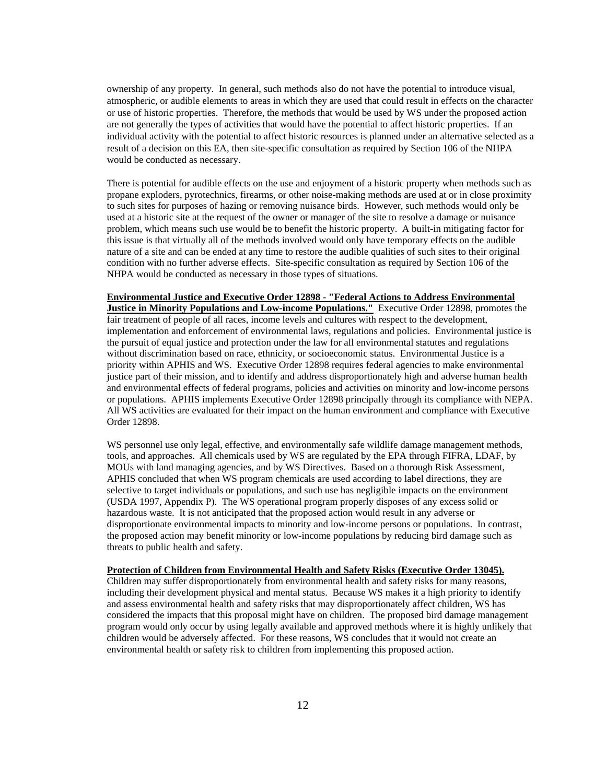ownership of any property. In general, such methods also do not have the potential to introduce visual, atmospheric, or audible elements to areas in which they are used that could result in effects on the character or use of historic properties. Therefore, the methods that would be used by WS under the proposed action are not generally the types of activities that would have the potential to affect historic properties. If an individual activity with the potential to affect historic resources is planned under an alternative selected as a result of a decision on this EA, then site-specific consultation as required by Section 106 of the NHPA would be conducted as necessary.

There is potential for audible effects on the use and enjoyment of a historic property when methods such as propane exploders, pyrotechnics, firearms, or other noise-making methods are used at or in close proximity to such sites for purposes of hazing or removing nuisance birds. However, such methods would only be used at a historic site at the request of the owner or manager of the site to resolve a damage or nuisance problem, which means such use would be to benefit the historic property. A built-in mitigating factor for this issue is that virtually all of the methods involved would only have temporary effects on the audible nature of a site and can be ended at any time to restore the audible qualities of such sites to their original condition with no further adverse effects. Site-specific consultation as required by Section 106 of the NHPA would be conducted as necessary in those types of situations.

### **Environmental Justice and Executive Order 12898 - "Federal Actions to Address Environmental**

**Justice in Minority Populations and Low-income Populations."** Executive Order 12898, promotes the fair treatment of people of all races, income levels and cultures with respect to the development, implementation and enforcement of environmental laws, regulations and policies. Environmental justice is the pursuit of equal justice and protection under the law for all environmental statutes and regulations without discrimination based on race, ethnicity, or socioeconomic status. Environmental Justice is a priority within APHIS and WS. Executive Order 12898 requires federal agencies to make environmental justice part of their mission, and to identify and address disproportionately high and adverse human health and environmental effects of federal programs, policies and activities on minority and low-income persons or populations. APHIS implements Executive Order 12898 principally through its compliance with NEPA. All WS activities are evaluated for their impact on the human environment and compliance with Executive Order 12898.

WS personnel use only legal, effective, and environmentally safe wildlife damage management methods, tools, and approaches. All chemicals used by WS are regulated by the EPA through FIFRA, LDAF, by MOUs with land managing agencies, and by WS Directives. Based on a thorough Risk Assessment, APHIS concluded that when WS program chemicals are used according to label directions, they are selective to target individuals or populations, and such use has negligible impacts on the environment (USDA 1997, Appendix P). The WS operational program properly disposes of any excess solid or hazardous waste. It is not anticipated that the proposed action would result in any adverse or disproportionate environmental impacts to minority and low-income persons or populations. In contrast, the proposed action may benefit minority or low-income populations by reducing bird damage such as threats to public health and safety.

#### **Protection of Children from Environmental Health and Safety Risks (Executive Order 13045).**

Children may suffer disproportionately from environmental health and safety risks for many reasons, including their development physical and mental status. Because WS makes it a high priority to identify and assess environmental health and safety risks that may disproportionately affect children, WS has considered the impacts that this proposal might have on children. The proposed bird damage management program would only occur by using legally available and approved methods where it is highly unlikely that children would be adversely affected. For these reasons, WS concludes that it would not create an environmental health or safety risk to children from implementing this proposed action.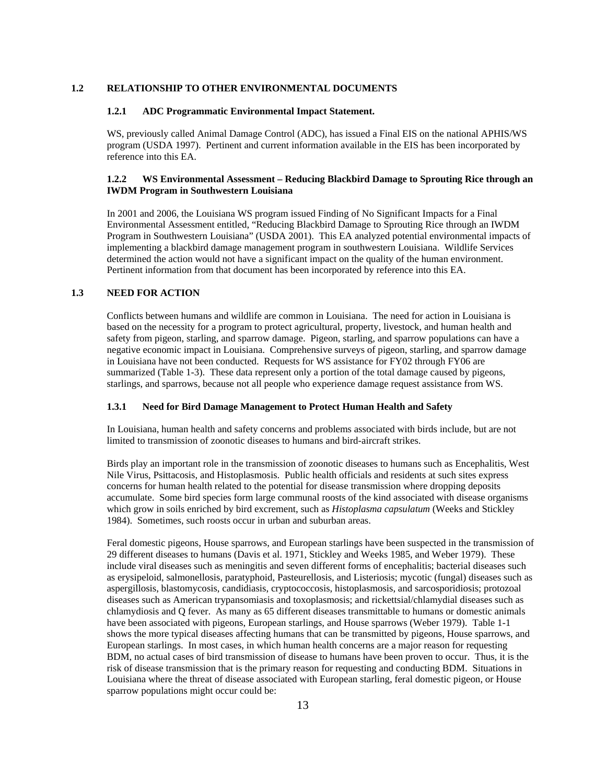### **1.2 RELATIONSHIP TO OTHER ENVIRONMENTAL DOCUMENTS**

### **1.2.1 ADC Programmatic Environmental Impact Statement.**

WS, previously called Animal Damage Control (ADC), has issued a Final EIS on the national APHIS/WS program (USDA 1997). Pertinent and current information available in the EIS has been incorporated by reference into this EA.

# **1.2.2 WS Environmental Assessment – Reducing Blackbird Damage to Sprouting Rice through an IWDM Program in Southwestern Louisiana**

In 2001 and 2006, the Louisiana WS program issued Finding of No Significant Impacts for a Final Environmental Assessment entitled, "Reducing Blackbird Damage to Sprouting Rice through an IWDM Program in Southwestern Louisiana" (USDA 2001). This EA analyzed potential environmental impacts of implementing a blackbird damage management program in southwestern Louisiana. Wildlife Services determined the action would not have a significant impact on the quality of the human environment. Pertinent information from that document has been incorporated by reference into this EA.

# **1.3 NEED FOR ACTION**

Conflicts between humans and wildlife are common in Louisiana. The need for action in Louisiana is based on the necessity for a program to protect agricultural, property, livestock, and human health and safety from pigeon, starling, and sparrow damage. Pigeon, starling, and sparrow populations can have a negative economic impact in Louisiana. Comprehensive surveys of pigeon, starling, and sparrow damage in Louisiana have not been conducted. Requests for WS assistance for FY02 through FY06 are summarized (Table 1-3). These data represent only a portion of the total damage caused by pigeons, starlings, and sparrows, because not all people who experience damage request assistance from WS.

## **1.3.1 Need for Bird Damage Management to Protect Human Health and Safety**

In Louisiana, human health and safety concerns and problems associated with birds include, but are not limited to transmission of zoonotic diseases to humans and bird-aircraft strikes.

Birds play an important role in the transmission of zoonotic diseases to humans such as Encephalitis, West Nile Virus, Psittacosis, and Histoplasmosis. Public health officials and residents at such sites express concerns for human health related to the potential for disease transmission where dropping deposits accumulate. Some bird species form large communal roosts of the kind associated with disease organisms which grow in soils enriched by bird excrement, such as *Histoplasma capsulatum* (Weeks and Stickley 1984). Sometimes, such roosts occur in urban and suburban areas.

Feral domestic pigeons, House sparrows, and European starlings have been suspected in the transmission of 29 different diseases to humans (Davis et al. 1971, Stickley and Weeks 1985, and Weber 1979). These include viral diseases such as meningitis and seven different forms of encephalitis; bacterial diseases such as erysipeloid, salmonellosis, paratyphoid, Pasteurellosis, and Listeriosis; mycotic (fungal) diseases such as aspergillosis, blastomycosis, candidiasis, cryptococcosis, histoplasmosis, and sarcosporidiosis; protozoal diseases such as American trypansomiasis and toxoplasmosis; and rickettsial/chlamydial diseases such as chlamydiosis and Q fever. As many as 65 different diseases transmittable to humans or domestic animals have been associated with pigeons, European starlings, and House sparrows (Weber 1979). Table 1-1 shows the more typical diseases affecting humans that can be transmitted by pigeons, House sparrows, and European starlings. In most cases, in which human health concerns are a major reason for requesting BDM, no actual cases of bird transmission of disease to humans have been proven to occur. Thus, it is the risk of disease transmission that is the primary reason for requesting and conducting BDM. Situations in Louisiana where the threat of disease associated with European starling, feral domestic pigeon, or House sparrow populations might occur could be: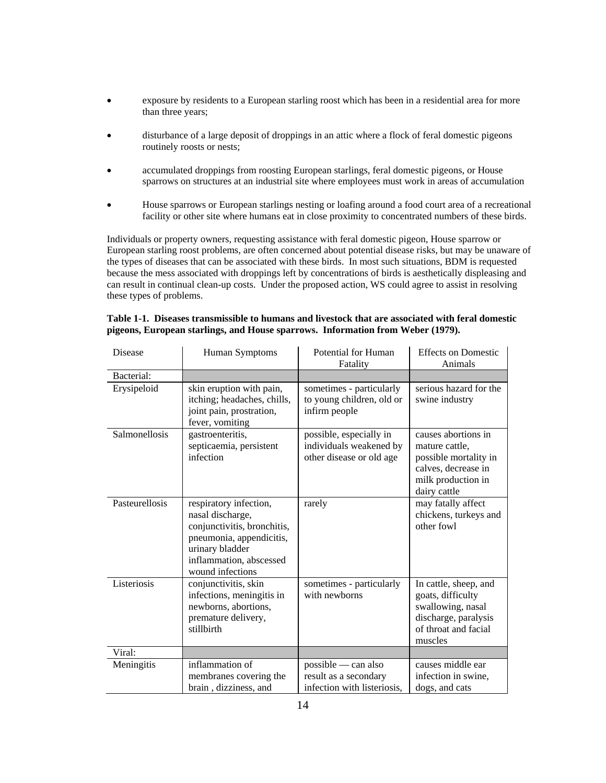- exposure by residents to a European starling roost which has been in a residential area for more than three years;
- disturbance of a large deposit of droppings in an attic where a flock of feral domestic pigeons routinely roosts or nests;
- accumulated droppings from roosting European starlings, feral domestic pigeons, or House sparrows on structures at an industrial site where employees must work in areas of accumulation
- House sparrows or European starlings nesting or loafing around a food court area of a recreational facility or other site where humans eat in close proximity to concentrated numbers of these birds.

 Individuals or property owners, requesting assistance with feral domestic pigeon, House sparrow or European starling roost problems, are often concerned about potential disease risks, but may be unaware of the types of diseases that can be associated with these birds. In most such situations, BDM is requested because the mess associated with droppings left by concentrations of birds is aesthetically displeasing and can result in continual clean-up costs. Under the proposed action, WS could agree to assist in resolving these types of problems.

| Disease        | Human Symptoms                                                                                                                                                          | Potential for Human<br>Fatality                                                | <b>Effects on Domestic</b><br>Animals                                                                                       |
|----------------|-------------------------------------------------------------------------------------------------------------------------------------------------------------------------|--------------------------------------------------------------------------------|-----------------------------------------------------------------------------------------------------------------------------|
| Bacterial:     |                                                                                                                                                                         |                                                                                |                                                                                                                             |
| Erysipeloid    | skin eruption with pain,<br>itching; headaches, chills,<br>joint pain, prostration,<br>fever, vomiting                                                                  | sometimes - particularly<br>to young children, old or<br>infirm people         | serious hazard for the<br>swine industry                                                                                    |
| Salmonellosis  | gastroenteritis,<br>septicaemia, persistent<br>infection                                                                                                                | possible, especially in<br>individuals weakened by<br>other disease or old age | causes abortions in<br>mature cattle.<br>possible mortality in<br>calves, decrease in<br>milk production in<br>dairy cattle |
| Pasteurellosis | respiratory infection,<br>nasal discharge,<br>conjunctivitis, bronchitis,<br>pneumonia, appendicitis,<br>urinary bladder<br>inflammation, abscessed<br>wound infections | rarely                                                                         | may fatally affect<br>chickens, turkeys and<br>other fowl                                                                   |
| Listeriosis    | conjunctivitis, skin<br>infections, meningitis in<br>newborns, abortions,<br>premature delivery,<br>stillbirth                                                          | sometimes - particularly<br>with newborns                                      | In cattle, sheep, and<br>goats, difficulty<br>swallowing, nasal<br>discharge, paralysis<br>of throat and facial<br>muscles  |
| Viral:         |                                                                                                                                                                         |                                                                                |                                                                                                                             |
| Meningitis     | inflammation of<br>membranes covering the<br>brain, dizziness, and                                                                                                      | $possible - can also$<br>result as a secondary<br>infection with listeriosis,  | causes middle ear<br>infection in swine,<br>dogs, and cats                                                                  |

# **Table 1-1. Diseases transmissible to humans and livestock that are associated with feral domestic pigeons, European starlings, and House sparrows. Information from Weber (1979).**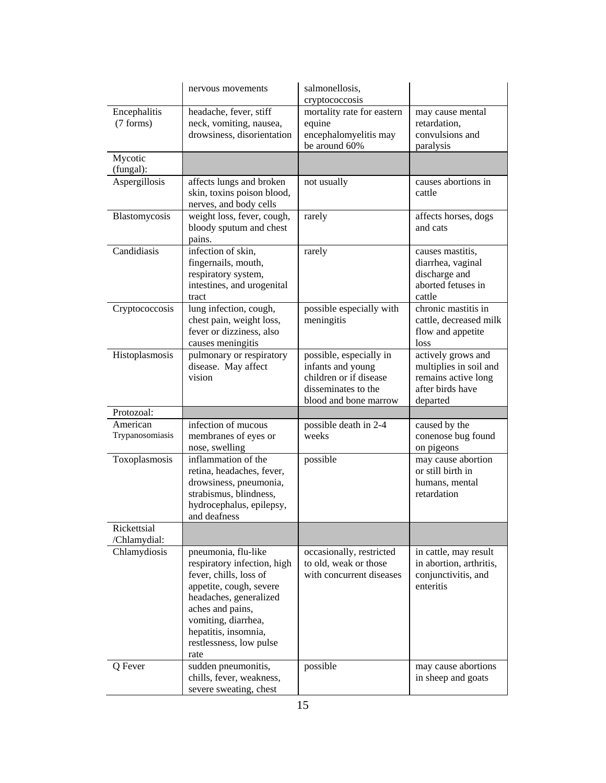|                             | nervous movements                                                                                                                                                                                                                       | salmonellosis,<br>cryptococcosis                                                                                       |                                                                                                     |
|-----------------------------|-----------------------------------------------------------------------------------------------------------------------------------------------------------------------------------------------------------------------------------------|------------------------------------------------------------------------------------------------------------------------|-----------------------------------------------------------------------------------------------------|
| Encephalitis<br>(7 forms)   | headache, fever, stiff<br>neck, vomiting, nausea,<br>drowsiness, disorientation                                                                                                                                                         | mortality rate for eastern<br>equine<br>encephalomyelitis may<br>be around 60%                                         | may cause mental<br>retardation,<br>convulsions and<br>paralysis                                    |
| Mycotic<br>(fungal):        |                                                                                                                                                                                                                                         |                                                                                                                        |                                                                                                     |
| Aspergillosis               | affects lungs and broken<br>skin, toxins poison blood,<br>nerves, and body cells                                                                                                                                                        | not usually                                                                                                            | causes abortions in<br>cattle                                                                       |
| Blastomycosis               | weight loss, fever, cough,<br>bloody sputum and chest<br>pains.                                                                                                                                                                         | rarely                                                                                                                 | affects horses, dogs<br>and cats                                                                    |
| Candidiasis                 | infection of skin,<br>fingernails, mouth,<br>respiratory system,<br>intestines, and urogenital<br>tract                                                                                                                                 | rarely                                                                                                                 | causes mastitis,<br>diarrhea, vaginal<br>discharge and<br>aborted fetuses in<br>cattle              |
| Cryptococcosis              | lung infection, cough,<br>chest pain, weight loss,<br>fever or dizziness, also<br>causes meningitis                                                                                                                                     | possible especially with<br>meningitis                                                                                 | chronic mastitis in<br>cattle, decreased milk<br>flow and appetite<br>loss                          |
| Histoplasmosis              | pulmonary or respiratory<br>disease. May affect<br>vision                                                                                                                                                                               | possible, especially in<br>infants and young<br>children or if disease<br>disseminates to the<br>blood and bone marrow | actively grows and<br>multiplies in soil and<br>remains active long<br>after birds have<br>departed |
| Protozoal:                  |                                                                                                                                                                                                                                         |                                                                                                                        |                                                                                                     |
| American<br>Trypanosomiasis | infection of mucous<br>membranes of eyes or<br>nose, swelling                                                                                                                                                                           | possible death in 2-4<br>weeks                                                                                         | caused by the<br>conenose bug found<br>on pigeons                                                   |
| Toxoplasmosis               | inflammation of the<br>retina, headaches, fever,<br>drowsiness, pneumonia,<br>strabismus, blindness,<br>hydrocephalus, epilepsy,<br>and deafness                                                                                        | possible                                                                                                               | may cause abortion<br>or still birth in<br>humans, mental<br>retardation                            |
| Rickettsial<br>/Chlamydial: |                                                                                                                                                                                                                                         |                                                                                                                        |                                                                                                     |
| Chlamydiosis                | pneumonia, flu-like<br>respiratory infection, high<br>fever, chills, loss of<br>appetite, cough, severe<br>headaches, generalized<br>aches and pains,<br>vomiting, diarrhea,<br>hepatitis, insomnia,<br>restlessness, low pulse<br>rate | occasionally, restricted<br>to old, weak or those<br>with concurrent diseases                                          | in cattle, may result<br>in abortion, arthritis,<br>conjunctivitis, and<br>enteritis                |
| Q Fever                     | sudden pneumonitis,<br>chills, fever, weakness,<br>severe sweating, chest                                                                                                                                                               | possible                                                                                                               | may cause abortions<br>in sheep and goats                                                           |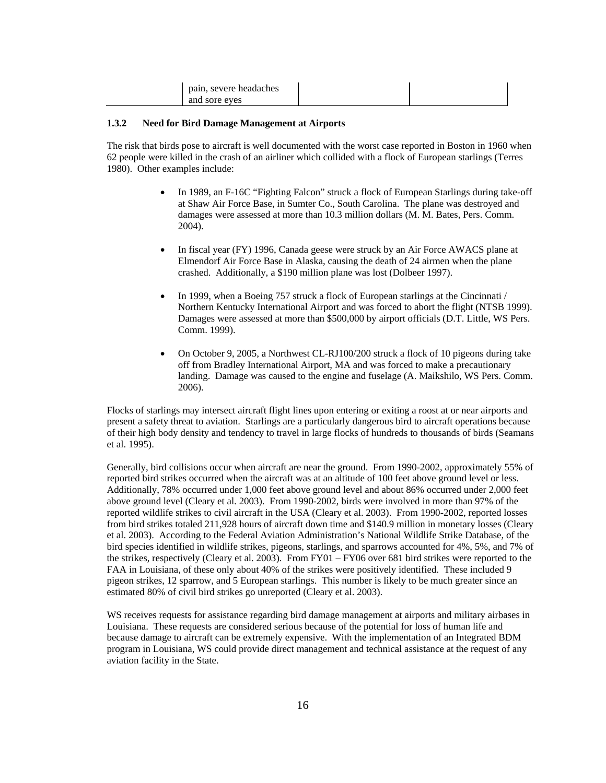| pain, severe headaches |  |
|------------------------|--|
| and sore eves          |  |

#### **1.3.2 Need for Bird Damage Management at Airports**

 The risk that birds pose to aircraft is well documented with the worst case reported in Boston in 1960 when 62 people were killed in the crash of an airliner which collided with a flock of European starlings (Terres 1980). Other examples include:

- In 1989, an F-16C "Fighting Falcon" struck a flock of European Starlings during take-off at Shaw Air Force Base, in Sumter Co., South Carolina. The plane was destroyed and damages were assessed at more than 10.3 million dollars (M. M. Bates, Pers. Comm. 2004).
- In fiscal year (FY) 1996, Canada geese were struck by an Air Force AWACS plane at Elmendorf Air Force Base in Alaska, causing the death of 24 airmen when the plane crashed. Additionally, a \$190 million plane was lost (Dolbeer 1997).
- In 1999, when a Boeing 757 struck a flock of European starlings at the Cincinnati / Northern Kentucky International Airport and was forced to abort the flight (NTSB 1999). Damages were assessed at more than \$500,000 by airport officials (D.T. Little, WS Pers. Comm. 1999).
- On October 9, 2005, a Northwest CL-RJ100/200 struck a flock of 10 pigeons during take off from Bradley International Airport, MA and was forced to make a precautionary landing. Damage was caused to the engine and fuselage (A. Maikshilo, WS Pers. Comm. 2006).

 Flocks of starlings may intersect aircraft flight lines upon entering or exiting a roost at or near airports and present a safety threat to aviation. Starlings are a particularly dangerous bird to aircraft operations because of their high body density and tendency to travel in large flocks of hundreds to thousands of birds (Seamans et al. 1995).

Generally, bird collisions occur when aircraft are near the ground. From 1990-2002, approximately 55% of reported bird strikes occurred when the aircraft was at an altitude of 100 feet above ground level or less. Additionally, 78% occurred under 1,000 feet above ground level and about 86% occurred under 2,000 feet above ground level (Cleary et al. 2003). From 1990-2002, birds were involved in more than 97% of the reported wildlife strikes to civil aircraft in the USA (Cleary et al. 2003). From 1990-2002, reported losses from bird strikes totaled 211,928 hours of aircraft down time and \$140.9 million in monetary losses (Cleary et al. 2003). According to the Federal Aviation Administration's National Wildlife Strike Database, of the bird species identified in wildlife strikes, pigeons, starlings, and sparrows accounted for 4%, 5%, and 7% of the strikes, respectively (Cleary et al. 2003). From FY01 – FY06 over 681 bird strikes were reported to the FAA in Louisiana, of these only about 40% of the strikes were positively identified. These included 9 pigeon strikes, 12 sparrow, and 5 European starlings. This number is likely to be much greater since an estimated 80% of civil bird strikes go unreported (Cleary et al. 2003).

 WS receives requests for assistance regarding bird damage management at airports and military airbases in Louisiana. These requests are considered serious because of the potential for loss of human life and because damage to aircraft can be extremely expensive. With the implementation of an Integrated BDM program in Louisiana, WS could provide direct management and technical assistance at the request of any aviation facility in the State.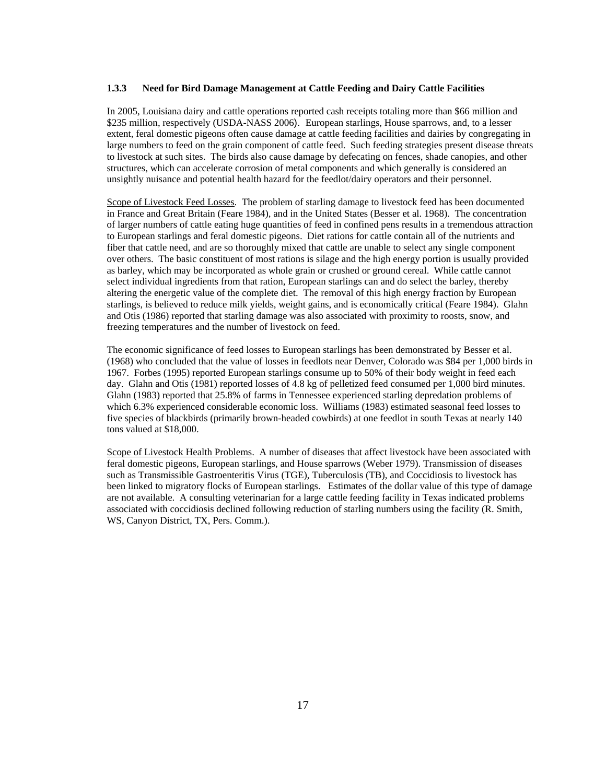#### **1.3.3 Need for Bird Damage Management at Cattle Feeding and Dairy Cattle Facilities**

 In 2005, Louisiana dairy and cattle operations reported cash receipts totaling more than \$66 million and \$235 million, respectively (USDA-NASS 2006). European starlings, House sparrows, and, to a lesser extent, feral domestic pigeons often cause damage at cattle feeding facilities and dairies by congregating in large numbers to feed on the grain component of cattle feed. Such feeding strategies present disease threats to livestock at such sites. The birds also cause damage by defecating on fences, shade canopies, and other structures, which can accelerate corrosion of metal components and which generally is considered an unsightly nuisance and potential health hazard for the feedlot/dairy operators and their personnel.

Scope of Livestock Feed Losses. The problem of starling damage to livestock feed has been documented in France and Great Britain (Feare 1984), and in the United States (Besser et al. 1968). The concentration of larger numbers of cattle eating huge quantities of feed in confined pens results in a tremendous attraction to European starlings and feral domestic pigeons. Diet rations for cattle contain all of the nutrients and fiber that cattle need, and are so thoroughly mixed that cattle are unable to select any single component over others. The basic constituent of most rations is silage and the high energy portion is usually provided as barley, which may be incorporated as whole grain or crushed or ground cereal. While cattle cannot select individual ingredients from that ration, European starlings can and do select the barley, thereby altering the energetic value of the complete diet. The removal of this high energy fraction by European starlings, is believed to reduce milk yields, weight gains, and is economically critical (Feare 1984). Glahn and Otis (1986) reported that starling damage was also associated with proximity to roosts, snow, and freezing temperatures and the number of livestock on feed.

 The economic significance of feed losses to European starlings has been demonstrated by Besser et al. (1968) who concluded that the value of losses in feedlots near Denver, Colorado was \$84 per 1,000 birds in 1967. Forbes (1995) reported European starlings consume up to 50% of their body weight in feed each day. Glahn and Otis (1981) reported losses of 4.8 kg of pelletized feed consumed per 1,000 bird minutes. Glahn (1983) reported that 25.8% of farms in Tennessee experienced starling depredation problems of which 6.3% experienced considerable economic loss. Williams (1983) estimated seasonal feed losses to five species of blackbirds (primarily brown-headed cowbirds) at one feedlot in south Texas at nearly 140 tons valued at \$18,000.

 Scope of Livestock Health Problems. A number of diseases that affect livestock have been associated with feral domestic pigeons, European starlings, and House sparrows (Weber 1979). Transmission of diseases such as Transmissible Gastroenteritis Virus (TGE), Tuberculosis (TB), and Coccidiosis to livestock has been linked to migratory flocks of European starlings. Estimates of the dollar value of this type of damage are not available. A consulting veterinarian for a large cattle feeding facility in Texas indicated problems associated with coccidiosis declined following reduction of starling numbers using the facility (R. Smith, WS, Canyon District, TX, Pers. Comm.).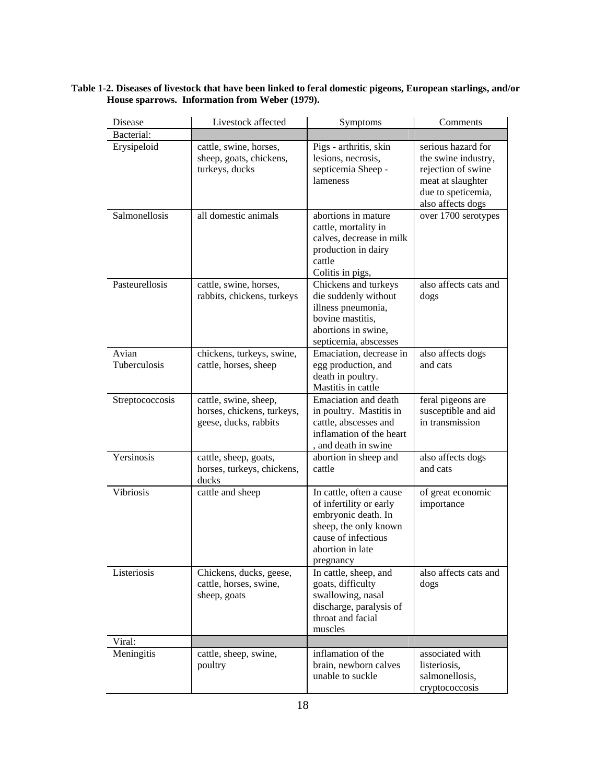| Disease               | Livestock affected                                                           | Symptoms                                                                                                                                                    | Comments                                                                                                                        |
|-----------------------|------------------------------------------------------------------------------|-------------------------------------------------------------------------------------------------------------------------------------------------------------|---------------------------------------------------------------------------------------------------------------------------------|
| Bacterial:            |                                                                              |                                                                                                                                                             |                                                                                                                                 |
| Erysipeloid           | cattle, swine, horses,<br>sheep, goats, chickens,<br>turkeys, ducks          | Pigs - arthritis, skin<br>lesions, necrosis,<br>septicemia Sheep -<br>lameness                                                                              | serious hazard for<br>the swine industry,<br>rejection of swine<br>meat at slaughter<br>due to speticemia,<br>also affects dogs |
| Salmonellosis         | all domestic animals                                                         | abortions in mature<br>cattle, mortality in<br>calves, decrease in milk<br>production in dairy<br>cattle<br>Colitis in pigs,                                | over 1700 serotypes                                                                                                             |
| Pasteurellosis        | cattle, swine, horses,<br>rabbits, chickens, turkeys                         | Chickens and turkeys<br>die suddenly without<br>illness pneumonia,<br>bovine mastitis,<br>abortions in swine,<br>septicemia, abscesses                      | also affects cats and<br>dogs                                                                                                   |
| Avian<br>Tuberculosis | chickens, turkeys, swine,<br>cattle, horses, sheep                           | Emaciation, decrease in<br>egg production, and<br>death in poultry.<br>Mastitis in cattle                                                                   | also affects dogs<br>and cats                                                                                                   |
| Streptococcosis       | cattle, swine, sheep,<br>horses, chickens, turkeys,<br>geese, ducks, rabbits | <b>Emaciation</b> and death<br>in poultry. Mastitis in<br>cattle, abscesses and<br>inflamation of the heart<br>, and death in swine                         | feral pigeons are<br>susceptible and aid<br>in transmission                                                                     |
| Yersinosis            | cattle, sheep, goats,<br>horses, turkeys, chickens,<br>ducks                 | abortion in sheep and<br>cattle                                                                                                                             | also affects dogs<br>and cats                                                                                                   |
| Vibriosis             | cattle and sheep                                                             | In cattle, often a cause<br>of infertility or early<br>embryonic death. In<br>sheep, the only known<br>cause of infectious<br>abortion in late<br>pregnancy | of great economic<br>importance                                                                                                 |
| Listeriosis           | Chickens, ducks, geese,<br>cattle, horses, swine,<br>sheep, goats            | In cattle, sheep, and<br>goats, difficulty<br>swallowing, nasal<br>discharge, paralysis of<br>throat and facial<br>muscles                                  | also affects cats and<br>dogs                                                                                                   |
| Viral:<br>Meningitis  | cattle, sheep, swine,<br>poultry                                             | inflamation of the<br>brain, newborn calves<br>unable to suckle                                                                                             | associated with<br>listeriosis,<br>salmonellosis,<br>cryptococcosis                                                             |

# **Table 1-2. Diseases of livestock that have been linked to feral domestic pigeons, European starlings, and/or House sparrows. Information from Weber (1979).**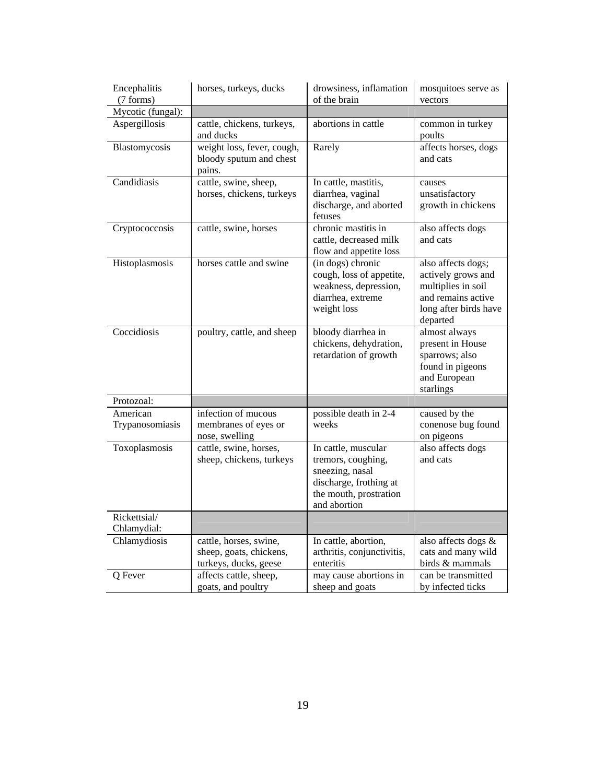| Encephalitis<br>(7 forms)   | horses, turkeys, ducks<br>drowsiness, inflamation<br>of the brain                                                                     |                                                                                                                                  | mosquitoes serve as<br>vectors                                                                                            |
|-----------------------------|---------------------------------------------------------------------------------------------------------------------------------------|----------------------------------------------------------------------------------------------------------------------------------|---------------------------------------------------------------------------------------------------------------------------|
| Mycotic (fungal):           |                                                                                                                                       |                                                                                                                                  |                                                                                                                           |
| Aspergillosis               | cattle, chickens, turkeys,<br>and ducks                                                                                               | abortions in cattle                                                                                                              | common in turkey<br>poults                                                                                                |
| Blastomycosis               | weight loss, fever, cough,<br>bloody sputum and chest<br>pains.                                                                       | Rarely                                                                                                                           | affects horses, dogs<br>and cats                                                                                          |
| Candidiasis                 | cattle, swine, sheep,<br>horses, chickens, turkeys                                                                                    | In cattle, mastitis,<br>diarrhea, vaginal<br>discharge, and aborted<br>fetuses                                                   | causes<br>unsatisfactory<br>growth in chickens                                                                            |
| Cryptococcosis              | cattle, swine, horses                                                                                                                 | chronic mastitis in<br>cattle, decreased milk<br>flow and appetite loss                                                          | also affects dogs<br>and cats                                                                                             |
| Histoplasmosis              | horses cattle and swine<br>(in dogs) chronic<br>cough, loss of appetite,<br>weakness, depression,<br>diarrhea, extreme<br>weight loss |                                                                                                                                  | also affects dogs;<br>actively grows and<br>multiplies in soil<br>and remains active<br>long after birds have<br>departed |
| Coccidiosis                 | poultry, cattle, and sheep                                                                                                            | bloody diarrhea in<br>chickens, dehydration,<br>retardation of growth                                                            | almost always<br>present in House<br>sparrows; also<br>found in pigeons<br>and European<br>starlings                      |
| Protozoal:                  |                                                                                                                                       |                                                                                                                                  |                                                                                                                           |
| American<br>Trypanosomiasis | infection of mucous<br>membranes of eyes or<br>nose, swelling                                                                         | possible death in 2-4<br>weeks                                                                                                   | caused by the<br>conenose bug found<br>on pigeons                                                                         |
| Toxoplasmosis               | cattle, swine, horses,<br>sheep, chickens, turkeys                                                                                    | In cattle, muscular<br>tremors, coughing,<br>sneezing, nasal<br>discharge, frothing at<br>the mouth, prostration<br>and abortion | also affects dogs<br>and cats                                                                                             |
| Rickettsial/<br>Chlamydial: |                                                                                                                                       |                                                                                                                                  |                                                                                                                           |
| Chlamydiosis                | cattle, horses, swine,<br>sheep, goats, chickens,<br>turkeys, ducks, geese                                                            | In cattle, abortion,<br>arthritis, conjunctivitis,<br>enteritis                                                                  | also affects dogs &<br>cats and many wild<br>birds & mammals                                                              |
| Q Fever                     | affects cattle, sheep,<br>goats, and poultry                                                                                          | may cause abortions in<br>sheep and goats                                                                                        | can be transmitted<br>by infected ticks                                                                                   |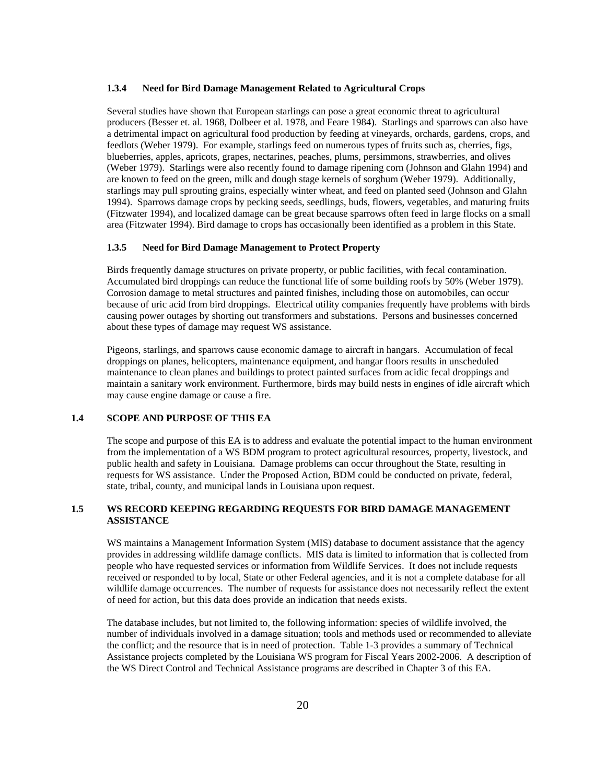#### **1.3.4 Need for Bird Damage Management Related to Agricultural Crops**

 Several studies have shown that European starlings can pose a great economic threat to agricultural producers (Besser et. al. 1968, Dolbeer et al. 1978, and Feare 1984). Starlings and sparrows can also have a detrimental impact on agricultural food production by feeding at vineyards, orchards, gardens, crops, and feedlots (Weber 1979). For example, starlings feed on numerous types of fruits such as, cherries, figs, blueberries, apples, apricots, grapes, nectarines, peaches, plums, persimmons, strawberries, and olives (Weber 1979). Starlings were also recently found to damage ripening corn (Johnson and Glahn 1994) and are known to feed on the green, milk and dough stage kernels of sorghum (Weber 1979). Additionally, starlings may pull sprouting grains, especially winter wheat, and feed on planted seed (Johnson and Glahn 1994). Sparrows damage crops by pecking seeds, seedlings, buds, flowers, vegetables, and maturing fruits (Fitzwater 1994), and localized damage can be great because sparrows often feed in large flocks on a small area (Fitzwater 1994). Bird damage to crops has occasionally been identified as a problem in this State.

#### **1.3.5 Need for Bird Damage Management to Protect Property**

 Birds frequently damage structures on private property, or public facilities, with fecal contamination. Accumulated bird droppings can reduce the functional life of some building roofs by 50% (Weber 1979). Corrosion damage to metal structures and painted finishes, including those on automobiles, can occur because of uric acid from bird droppings. Electrical utility companies frequently have problems with birds causing power outages by shorting out transformers and substations. Persons and businesses concerned about these types of damage may request WS assistance.

 Pigeons, starlings, and sparrows cause economic damage to aircraft in hangars. Accumulation of fecal droppings on planes, helicopters, maintenance equipment, and hangar floors results in unscheduled maintenance to clean planes and buildings to protect painted surfaces from acidic fecal droppings and maintain a sanitary work environment. Furthermore, birds may build nests in engines of idle aircraft which may cause engine damage or cause a fire.

### **1.4 SCOPE AND PURPOSE OF THIS EA**

 The scope and purpose of this EA is to address and evaluate the potential impact to the human environment from the implementation of a WS BDM program to protect agricultural resources, property, livestock, and public health and safety in Louisiana. Damage problems can occur throughout the State, resulting in requests for WS assistance. Under the Proposed Action, BDM could be conducted on private, federal, state, tribal, county, and municipal lands in Louisiana upon request.

### **1.5 WS RECORD KEEPING REGARDING REQUESTS FOR BIRD DAMAGE MANAGEMENT ASSISTANCE**

WS maintains a Management Information System (MIS) database to document assistance that the agency provides in addressing wildlife damage conflicts. MIS data is limited to information that is collected from people who have requested services or information from Wildlife Services. It does not include requests received or responded to by local, State or other Federal agencies, and it is not a complete database for all wildlife damage occurrences. The number of requests for assistance does not necessarily reflect the extent of need for action, but this data does provide an indication that needs exists.

The database includes, but not limited to, the following information: species of wildlife involved, the number of individuals involved in a damage situation; tools and methods used or recommended to alleviate the conflict; and the resource that is in need of protection. Table 1-3 provides a summary of Technical Assistance projects completed by the Louisiana WS program for Fiscal Years 2002-2006. A description of the WS Direct Control and Technical Assistance programs are described in Chapter 3 of this EA.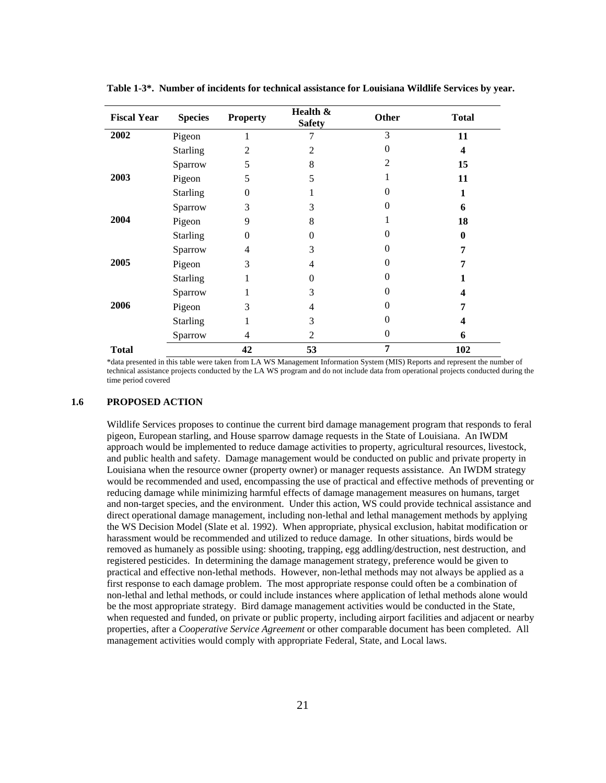| <b>Fiscal Year</b> | <b>Species</b>  | <b>Property</b> | Health &<br><b>Safety</b> | Other          | <b>Total</b>     |
|--------------------|-----------------|-----------------|---------------------------|----------------|------------------|
| 2002               | Pigeon          | 1               |                           | 3              | 11               |
|                    | <b>Starling</b> | 2               | $\overline{2}$            | $\theta$       | 4                |
|                    | Sparrow         | 5               | 8                         | $\overline{2}$ | 15               |
| 2003               | Pigeon          | 5               | 5                         |                | 11               |
|                    | <b>Starling</b> | $\overline{0}$  |                           | 0              | $\mathbf{1}$     |
|                    | Sparrow         | 3               | 3                         | 0              | 6                |
| 2004               | Pigeon          | 9               | 8                         |                | 18               |
|                    | <b>Starling</b> | 0               | 0                         |                | $\boldsymbol{0}$ |
|                    | Sparrow         | 4               | 3                         | $\theta$       | 7                |
| 2005               | Pigeon          | 3               | 4                         | $\Omega$       | 7                |
|                    | <b>Starling</b> | 1               | 0                         | 0              |                  |
|                    | Sparrow         |                 | 3                         | 0              | $\boldsymbol{4}$ |
| 2006               | Pigeon          | 3               | 4                         | $\Omega$       | 7                |
|                    | <b>Starling</b> | 1               | 3                         | $\Omega$       | 4                |
|                    | Sparrow         | 4               | 2                         | $\Omega$       | 6                |
| <b>Total</b>       |                 | 42              | 53                        | 7              | 102              |

**Table 1-3\*. Number of incidents for technical assistance for Louisiana Wildlife Services by year.**

\*data presented in this table were taken from LA WS Management Information System (MIS) Reports and represent the number of technical assistance projects conducted by the LA WS program and do not include data from operational projects conducted during the time period covered

### **1.6 PROPOSED ACTION**

Wildlife Services proposes to continue the current bird damage management program that responds to feral pigeon, European starling, and House sparrow damage requests in the State of Louisiana. An IWDM approach would be implemented to reduce damage activities to property, agricultural resources, livestock, and public health and safety. Damage management would be conducted on public and private property in Louisiana when the resource owner (property owner) or manager requests assistance. An IWDM strategy would be recommended and used, encompassing the use of practical and effective methods of preventing or reducing damage while minimizing harmful effects of damage management measures on humans, target and non-target species, and the environment. Under this action, WS could provide technical assistance and direct operational damage management, including non-lethal and lethal management methods by applying the WS Decision Model (Slate et al. 1992). When appropriate, physical exclusion, habitat modification or harassment would be recommended and utilized to reduce damage. In other situations, birds would be removed as humanely as possible using: shooting, trapping, egg addling/destruction, nest destruction, and registered pesticides. In determining the damage management strategy, preference would be given to practical and effective non-lethal methods. However, non-lethal methods may not always be applied as a first response to each damage problem. The most appropriate response could often be a combination of non-lethal and lethal methods, or could include instances where application of lethal methods alone would be the most appropriate strategy. Bird damage management activities would be conducted in the State, when requested and funded, on private or public property, including airport facilities and adjacent or nearby properties, after a *Cooperative Service Agreement* or other comparable document has been completed. All management activities would comply with appropriate Federal, State, and Local laws.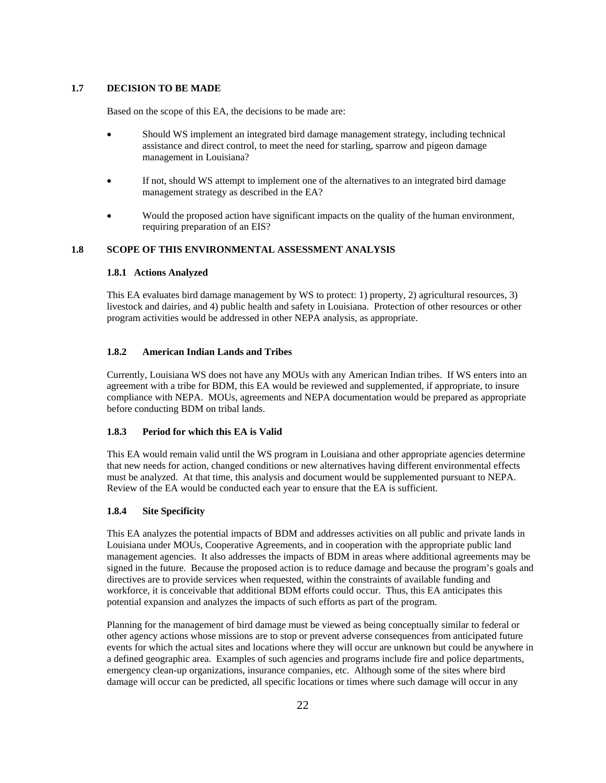### **1.7 DECISION TO BE MADE**

Based on the scope of this EA, the decisions to be made are:

- Should WS implement an integrated bird damage management strategy, including technical assistance and direct control, to meet the need for starling, sparrow and pigeon damage management in Louisiana?
- If not, should WS attempt to implement one of the alternatives to an integrated bird damage management strategy as described in the EA?
- Would the proposed action have significant impacts on the quality of the human environment, requiring preparation of an EIS?

### **1.8 SCOPE OF THIS ENVIRONMENTAL ASSESSMENT ANALYSIS**

#### **1.8.1 Actions Analyzed**

This EA evaluates bird damage management by WS to protect: 1) property, 2) agricultural resources, 3) livestock and dairies, and 4) public health and safety in Louisiana. Protection of other resources or other program activities would be addressed in other NEPA analysis, as appropriate.

#### **1.8.2 American Indian Lands and Tribes**

Currently, Louisiana WS does not have any MOUs with any American Indian tribes. If WS enters into an agreement with a tribe for BDM, this EA would be reviewed and supplemented, if appropriate, to insure compliance with NEPA. MOUs, agreements and NEPA documentation would be prepared as appropriate before conducting BDM on tribal lands.

### **1.8.3 Period for which this EA is Valid**

This EA would remain valid until the WS program in Louisiana and other appropriate agencies determine that new needs for action, changed conditions or new alternatives having different environmental effects must be analyzed. At that time, this analysis and document would be supplemented pursuant to NEPA. Review of the EA would be conducted each year to ensure that the EA is sufficient.

### **1.8.4 Site Specificity**

This EA analyzes the potential impacts of BDM and addresses activities on all public and private lands in Louisiana under MOUs, Cooperative Agreements, and in cooperation with the appropriate public land management agencies. It also addresses the impacts of BDM in areas where additional agreements may be signed in the future. Because the proposed action is to reduce damage and because the program's goals and directives are to provide services when requested, within the constraints of available funding and workforce, it is conceivable that additional BDM efforts could occur. Thus, this EA anticipates this potential expansion and analyzes the impacts of such efforts as part of the program.

Planning for the management of bird damage must be viewed as being conceptually similar to federal or other agency actions whose missions are to stop or prevent adverse consequences from anticipated future events for which the actual sites and locations where they will occur are unknown but could be anywhere in a defined geographic area. Examples of such agencies and programs include fire and police departments, emergency clean-up organizations, insurance companies, etc. Although some of the sites where bird damage will occur can be predicted, all specific locations or times where such damage will occur in any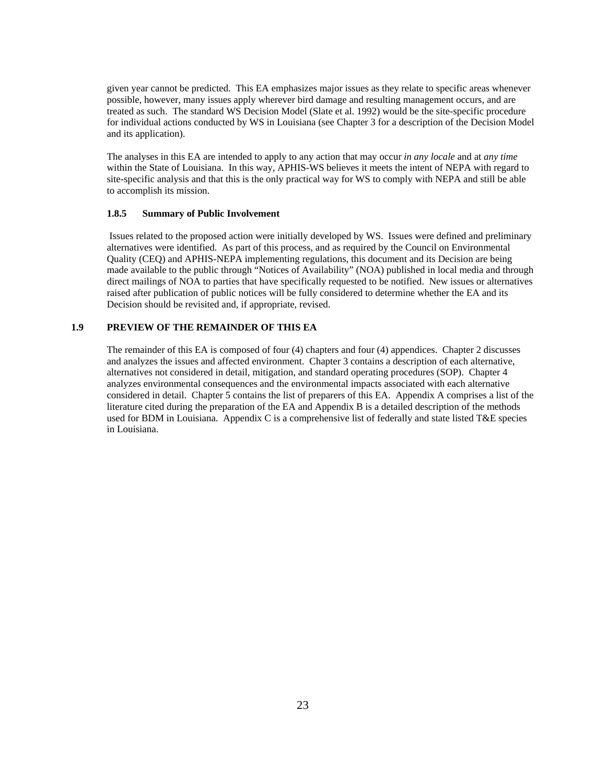given year cannot be predicted. This EA emphasizes major issues as they relate to specific areas whenever possible, however, many issues apply wherever bird damage and resulting management occurs, and are treated as such. The standard WS Decision Model (Slate et al. 1992) would be the site-specific procedure for individual actions conducted by WS in Louisiana (see Chapter 3 for a description of the Decision Model and its application).

The analyses in this EA are intended to apply to any action that may occur *in any locale* and at *any time*  within the State of Louisiana. In this way, APHIS-WS believes it meets the intent of NEPA with regard to site-specific analysis and that this is the only practical way for WS to comply with NEPA and still be able to accomplish its mission.

### **1.8.5 Summary of Public Involvement**

 Issues related to the proposed action were initially developed by WS. Issues were defined and preliminary alternatives were identified. As part of this process, and as required by the Council on Environmental Quality (CEQ) and APHIS-NEPA implementing regulations, this document and its Decision are being made available to the public through "Notices of Availability" (NOA) published in local media and through direct mailings of NOA to parties that have specifically requested to be notified. New issues or alternatives raised after publication of public notices will be fully considered to determine whether the EA and its Decision should be revisited and, if appropriate, revised.

# **1.9 PREVIEW OF THE REMAINDER OF THIS EA**

 The remainder of this EA is composed of four (4) chapters and four (4) appendices. Chapter 2 discusses and analyzes the issues and affected environment. Chapter 3 contains a description of each alternative, alternatives not considered in detail, mitigation, and standard operating procedures (SOP). Chapter 4 analyzes environmental consequences and the environmental impacts associated with each alternative considered in detail. Chapter 5 contains the list of preparers of this EA. Appendix A comprises a list of the literature cited during the preparation of the EA and Appendix B is a detailed description of the methods used for BDM in Louisiana. Appendix C is a comprehensive list of federally and state listed T&E species in Louisiana.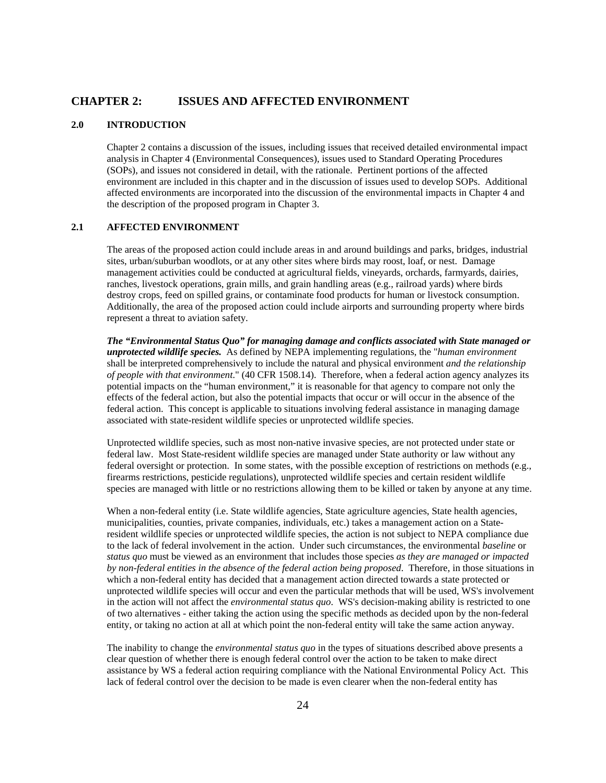### **CHAPTER 2: ISSUES AND AFFECTED ENVIRONMENT**

# **2.0 INTRODUCTION**

 Chapter 2 contains a discussion of the issues, including issues that received detailed environmental impact analysis in Chapter 4 (Environmental Consequences), issues used to Standard Operating Procedures (SOPs), and issues not considered in detail, with the rationale. Pertinent portions of the affected environment are included in this chapter and in the discussion of issues used to develop SOPs. Additional affected environments are incorporated into the discussion of the environmental impacts in Chapter 4 and the description of the proposed program in Chapter 3.

### **2.1 AFFECTED ENVIRONMENT**

 The areas of the proposed action could include areas in and around buildings and parks, bridges, industrial sites, urban/suburban woodlots, or at any other sites where birds may roost, loaf, or nest. Damage management activities could be conducted at agricultural fields, vineyards, orchards, farmyards, dairies, ranches, livestock operations, grain mills, and grain handling areas (e.g., railroad yards) where birds destroy crops, feed on spilled grains, or contaminate food products for human or livestock consumption. Additionally, the area of the proposed action could include airports and surrounding property where birds represent a threat to aviation safety.

*The "Environmental Status Quo" for managing damage and conflicts associated with State managed or unprotected wildlife species.*As defined by NEPA implementing regulations, the "*human environment* shall be interpreted comprehensively to include the natural and physical environment *and the relationship of people with that environment*." (40 CFR 1508.14). Therefore, when a federal action agency analyzes its potential impacts on the "human environment," it is reasonable for that agency to compare not only the effects of the federal action, but also the potential impacts that occur or will occur in the absence of the federal action. This concept is applicable to situations involving federal assistance in managing damage associated with state-resident wildlife species or unprotected wildlife species.

Unprotected wildlife species, such as most non-native invasive species, are not protected under state or federal law. Most State-resident wildlife species are managed under State authority or law without any federal oversight or protection. In some states, with the possible exception of restrictions on methods (e.g., firearms restrictions, pesticide regulations), unprotected wildlife species and certain resident wildlife species are managed with little or no restrictions allowing them to be killed or taken by anyone at any time.

When a non-federal entity (i.e. State wildlife agencies, State agriculture agencies, State health agencies, municipalities, counties, private companies, individuals, etc.) takes a management action on a Stateresident wildlife species or unprotected wildlife species, the action is not subject to NEPA compliance due to the lack of federal involvement in the action. Under such circumstances, the environmental *baseline* or *status quo* must be viewed as an environment that includes those species *as they are managed or impacted by non-federal entities in the absence of the federal action being proposed*.Therefore, in those situations in which a non-federal entity has decided that a management action directed towards a state protected or unprotected wildlife species will occur and even the particular methods that will be used, WS's involvement in the action will not affect the *environmental status quo*. WS's decision-making ability is restricted to one of two alternatives - either taking the action using the specific methods as decided upon by the non-federal entity, or taking no action at all at which point the non-federal entity will take the same action anyway.

The inability to change the *environmental status quo* in the types of situations described above presents a clear question of whether there is enough federal control over the action to be taken to make direct assistance by WS a federal action requiring compliance with the National Environmental Policy Act. This lack of federal control over the decision to be made is even clearer when the non-federal entity has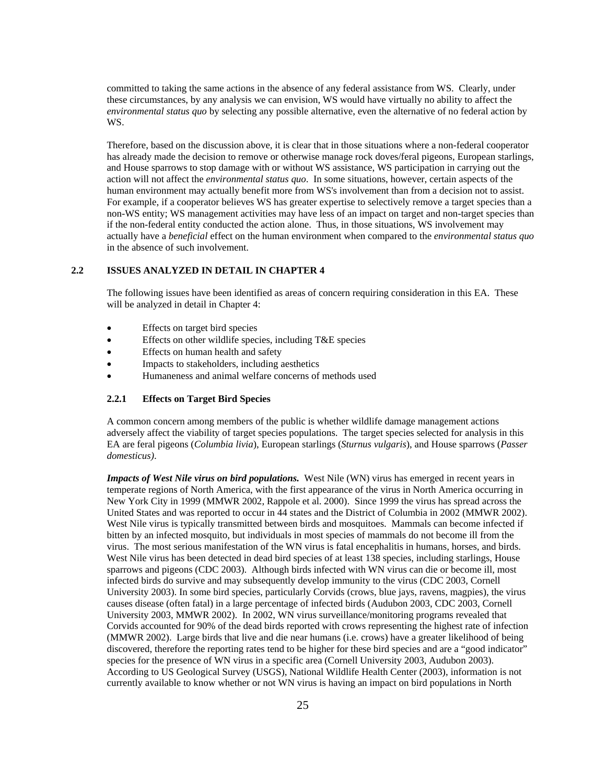committed to taking the same actions in the absence of any federal assistance from WS. Clearly, under these circumstances, by any analysis we can envision, WS would have virtually no ability to affect the *environmental status quo* by selecting any possible alternative, even the alternative of no federal action by WS.

Therefore, based on the discussion above, it is clear that in those situations where a non-federal cooperator has already made the decision to remove or otherwise manage rock doves/feral pigeons, European starlings, and House sparrows to stop damage with or without WS assistance, WS participation in carrying out the action will not affect the *environmental status quo*. In some situations, however, certain aspects of the human environment may actually benefit more from WS's involvement than from a decision not to assist. For example, if a cooperator believes WS has greater expertise to selectively remove a target species than a non-WS entity; WS management activities may have less of an impact on target and non-target species than if the non-federal entity conducted the action alone. Thus, in those situations, WS involvement may actually have a *beneficial* effect on the human environment when compared to the *environmental status quo* in the absence of such involvement.

### **2.2 ISSUES ANALYZED IN DETAIL IN CHAPTER 4**

 The following issues have been identified as areas of concern requiring consideration in this EA. These will be analyzed in detail in Chapter 4:

- Effects on target bird species
- Effects on other wildlife species, including T&E species
- Effects on human health and safety
- Impacts to stakeholders, including aesthetics
- Humaneness and animal welfare concerns of methods used

### **2.2.1 Effects on Target Bird Species**

 A common concern among members of the public is whether wildlife damage management actions adversely affect the viability of target species populations. The target species selected for analysis in this EA are feral pigeons (*Columbia livia*), European starlings (*Sturnus vulgaris*), and House sparrows (*Passer domesticus)*.

*Impacts of West Nile virus on bird populations.* West Nile (WN) virus has emerged in recent years in temperate regions of North America, with the first appearance of the virus in North America occurring in New York City in 1999 (MMWR 2002, Rappole et al. 2000). Since 1999 the virus has spread across the United States and was reported to occur in 44 states and the District of Columbia in 2002 (MMWR 2002). West Nile virus is typically transmitted between birds and mosquitoes. Mammals can become infected if bitten by an infected mosquito, but individuals in most species of mammals do not become ill from the virus. The most serious manifestation of the WN virus is fatal encephalitis in humans, horses, and birds. West Nile virus has been detected in dead bird species of at least 138 species, including starlings, House sparrows and pigeons (CDC 2003). Although birds infected with WN virus can die or become ill, most infected birds do survive and may subsequently develop immunity to the virus (CDC 2003, Cornell University 2003). In some bird species, particularly Corvids (crows, blue jays, ravens, magpies), the virus causes disease (often fatal) in a large percentage of infected birds (Audubon 2003, CDC 2003, Cornell University 2003, MMWR 2002). In 2002, WN virus surveillance/monitoring programs revealed that Corvids accounted for 90% of the dead birds reported with crows representing the highest rate of infection (MMWR 2002). Large birds that live and die near humans (i.e. crows) have a greater likelihood of being discovered, therefore the reporting rates tend to be higher for these bird species and are a "good indicator" species for the presence of WN virus in a specific area (Cornell University 2003, Audubon 2003). According to US Geological Survey (USGS), National Wildlife Health Center (2003), information is not currently available to know whether or not WN virus is having an impact on bird populations in North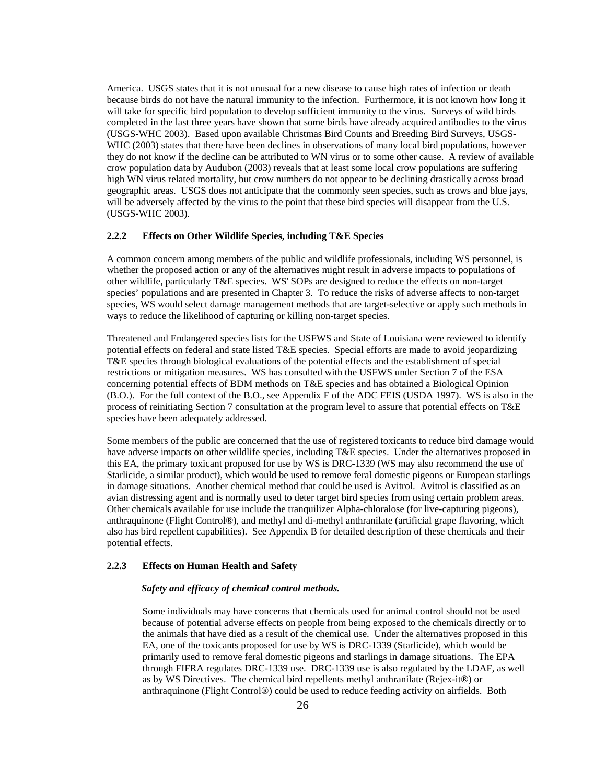America. USGS states that it is not unusual for a new disease to cause high rates of infection or death because birds do not have the natural immunity to the infection. Furthermore, it is not known how long it will take for specific bird population to develop sufficient immunity to the virus. Surveys of wild birds completed in the last three years have shown that some birds have already acquired antibodies to the virus (USGS-WHC 2003). Based upon available Christmas Bird Counts and Breeding Bird Surveys, USGS-WHC (2003) states that there have been declines in observations of many local bird populations, however they do not know if the decline can be attributed to WN virus or to some other cause. A review of available crow population data by Audubon (2003) reveals that at least some local crow populations are suffering high WN virus related mortality, but crow numbers do not appear to be declining drastically across broad geographic areas. USGS does not anticipate that the commonly seen species, such as crows and blue jays, will be adversely affected by the virus to the point that these bird species will disappear from the U.S. (USGS-WHC 2003).

## **2.2.2 Effects on Other Wildlife Species, including T&E Species**

 A common concern among members of the public and wildlife professionals, including WS personnel, is whether the proposed action or any of the alternatives might result in adverse impacts to populations of other wildlife, particularly T&E species. WS' SOPs are designed to reduce the effects on non-target species' populations and are presented in Chapter 3. To reduce the risks of adverse affects to non-target species, WS would select damage management methods that are target-selective or apply such methods in ways to reduce the likelihood of capturing or killing non-target species.

 Threatened and Endangered species lists for the USFWS and State of Louisiana were reviewed to identify potential effects on federal and state listed T&E species. Special efforts are made to avoid jeopardizing T&E species through biological evaluations of the potential effects and the establishment of special restrictions or mitigation measures. WS has consulted with the USFWS under Section 7 of the ESA concerning potential effects of BDM methods on T&E species and has obtained a Biological Opinion (B.O.). For the full context of the B.O., see Appendix F of the ADC FEIS (USDA 1997). WS is also in the process of reinitiating Section 7 consultation at the program level to assure that potential effects on T&E species have been adequately addressed.

 Some members of the public are concerned that the use of registered toxicants to reduce bird damage would have adverse impacts on other wildlife species, including T&E species. Under the alternatives proposed in this EA, the primary toxicant proposed for use by WS is DRC-1339 (WS may also recommend the use of Starlicide, a similar product), which would be used to remove feral domestic pigeons or European starlings in damage situations. Another chemical method that could be used is Avitrol. Avitrol is classified as an avian distressing agent and is normally used to deter target bird species from using certain problem areas. Other chemicals available for use include the tranquilizer Alpha-chloralose (for live-capturing pigeons), anthraquinone (Flight Control®), and methyl and di-methyl anthranilate (artificial grape flavoring, which also has bird repellent capabilities). See Appendix B for detailed description of these chemicals and their potential effects.

#### **2.2.3 Effects on Human Health and Safety**

### *Safety and efficacy of chemical control methods.*

Some individuals may have concerns that chemicals used for animal control should not be used because of potential adverse effects on people from being exposed to the chemicals directly or to the animals that have died as a result of the chemical use. Under the alternatives proposed in this EA, one of the toxicants proposed for use by WS is DRC-1339 (Starlicide), which would be primarily used to remove feral domestic pigeons and starlings in damage situations. The EPA through FIFRA regulates DRC-1339 use. DRC-1339 use is also regulated by the LDAF, as well as by WS Directives. The chemical bird repellents methyl anthranilate (Rejex-it®) or anthraquinone (Flight Control®) could be used to reduce feeding activity on airfields. Both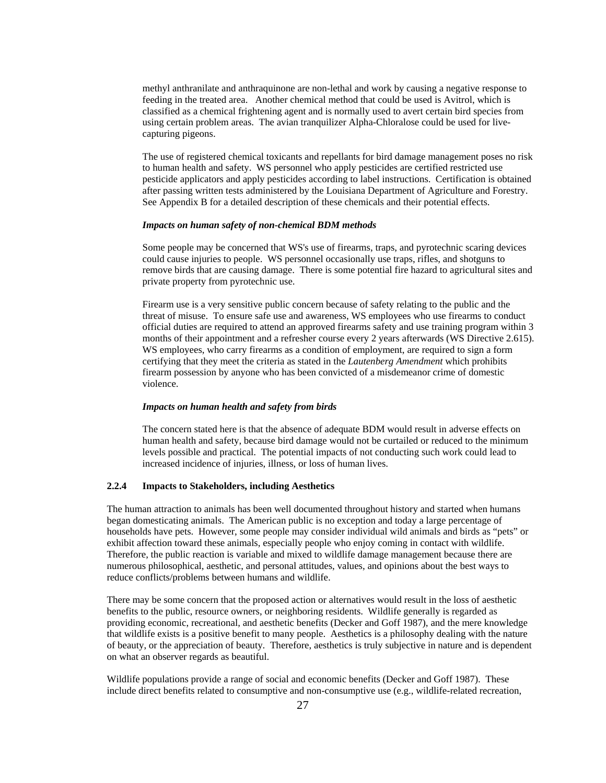methyl anthranilate and anthraquinone are non-lethal and work by causing a negative response to feeding in the treated area. Another chemical method that could be used is Avitrol, which is classified as a chemical frightening agent and is normally used to avert certain bird species from using certain problem areas. The avian tranquilizer Alpha-Chloralose could be used for livecapturing pigeons.

The use of registered chemical toxicants and repellants for bird damage management poses no risk to human health and safety. WS personnel who apply pesticides are certified restricted use pesticide applicators and apply pesticides according to label instructions. Certification is obtained after passing written tests administered by the Louisiana Department of Agriculture and Forestry. See Appendix B for a detailed description of these chemicals and their potential effects.

#### *Impacts on human safety of non-chemical BDM methods*

Some people may be concerned that WS's use of firearms, traps, and pyrotechnic scaring devices could cause injuries to people. WS personnel occasionally use traps, rifles, and shotguns to remove birds that are causing damage. There is some potential fire hazard to agricultural sites and private property from pyrotechnic use.

Firearm use is a very sensitive public concern because of safety relating to the public and the threat of misuse. To ensure safe use and awareness, WS employees who use firearms to conduct official duties are required to attend an approved firearms safety and use training program within 3 months of their appointment and a refresher course every 2 years afterwards (WS Directive 2.615). WS employees, who carry firearms as a condition of employment, are required to sign a form certifying that they meet the criteria as stated in the *Lautenberg Amendment* which prohibits firearm possession by anyone who has been convicted of a misdemeanor crime of domestic violence.

#### *Impacts on human health and safety from birds*

The concern stated here is that the absence of adequate BDM would result in adverse effects on human health and safety, because bird damage would not be curtailed or reduced to the minimum levels possible and practical. The potential impacts of not conducting such work could lead to increased incidence of injuries, illness, or loss of human lives.

# **2.2.4 Impacts to Stakeholders, including Aesthetics**

 The human attraction to animals has been well documented throughout history and started when humans began domesticating animals. The American public is no exception and today a large percentage of households have pets. However, some people may consider individual wild animals and birds as "pets" or exhibit affection toward these animals, especially people who enjoy coming in contact with wildlife. Therefore, the public reaction is variable and mixed to wildlife damage management because there are numerous philosophical, aesthetic, and personal attitudes, values, and opinions about the best ways to reduce conflicts/problems between humans and wildlife.

 There may be some concern that the proposed action or alternatives would result in the loss of aesthetic benefits to the public, resource owners, or neighboring residents. Wildlife generally is regarded as providing economic, recreational, and aesthetic benefits (Decker and Goff 1987), and the mere knowledge that wildlife exists is a positive benefit to many people. Aesthetics is a philosophy dealing with the nature of beauty, or the appreciation of beauty. Therefore, aesthetics is truly subjective in nature and is dependent on what an observer regards as beautiful.

 Wildlife populations provide a range of social and economic benefits (Decker and Goff 1987). These include direct benefits related to consumptive and non-consumptive use (e.g., wildlife-related recreation,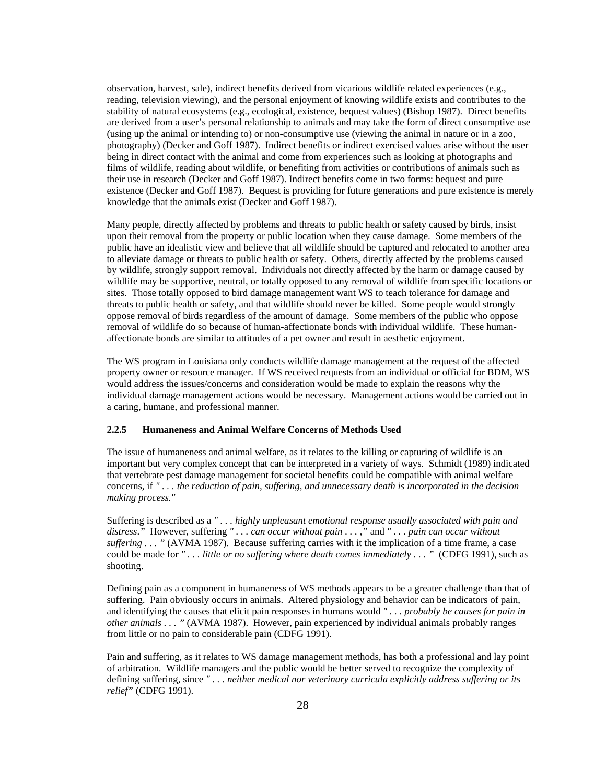observation, harvest, sale), indirect benefits derived from vicarious wildlife related experiences (e.g., reading, television viewing), and the personal enjoyment of knowing wildlife exists and contributes to the stability of natural ecosystems (e.g., ecological, existence, bequest values) (Bishop 1987). Direct benefits are derived from a user's personal relationship to animals and may take the form of direct consumptive use (using up the animal or intending to) or non-consumptive use (viewing the animal in nature or in a zoo, photography) (Decker and Goff 1987). Indirect benefits or indirect exercised values arise without the user being in direct contact with the animal and come from experiences such as looking at photographs and films of wildlife, reading about wildlife, or benefiting from activities or contributions of animals such as their use in research (Decker and Goff 1987). Indirect benefits come in two forms: bequest and pure existence (Decker and Goff 1987). Bequest is providing for future generations and pure existence is merely knowledge that the animals exist (Decker and Goff 1987).

 Many people, directly affected by problems and threats to public health or safety caused by birds, insist upon their removal from the property or public location when they cause damage. Some members of the public have an idealistic view and believe that all wildlife should be captured and relocated to another area to alleviate damage or threats to public health or safety. Others, directly affected by the problems caused by wildlife, strongly support removal. Individuals not directly affected by the harm or damage caused by wildlife may be supportive, neutral, or totally opposed to any removal of wildlife from specific locations or sites. Those totally opposed to bird damage management want WS to teach tolerance for damage and threats to public health or safety, and that wildlife should never be killed. Some people would strongly oppose removal of birds regardless of the amount of damage. Some members of the public who oppose removal of wildlife do so because of human-affectionate bonds with individual wildlife. These humanaffectionate bonds are similar to attitudes of a pet owner and result in aesthetic enjoyment.

 The WS program in Louisiana only conducts wildlife damage management at the request of the affected property owner or resource manager. If WS received requests from an individual or official for BDM, WS would address the issues/concerns and consideration would be made to explain the reasons why the individual damage management actions would be necessary. Management actions would be carried out in a caring, humane, and professional manner.

# **2.2.5 Humaneness and Animal Welfare Concerns of Methods Used**

 The issue of humaneness and animal welfare, as it relates to the killing or capturing of wildlife is an important but very complex concept that can be interpreted in a variety of ways. Schmidt (1989) indicated that vertebrate pest damage management for societal benefits could be compatible with animal welfare concerns, if *" . . . the reduction of pain, suffering, and unnecessary death is incorporated in the decision making process."*

 Suffering is described as a *" . . . highly unpleasant emotional response usually associated with pain and distress*.*"* However, suffering *" . . . can occur without pain . . .* ,*"* and *" . . . pain can occur without suffering . . . "* (AVMA 1987). Because suffering carries with it the implication of a time frame, a case could be made for *" . . . little or no suffering where death comes immediately . . . "* (CDFG 1991), such as shooting.

 Defining pain as a component in humaneness of WS methods appears to be a greater challenge than that of suffering. Pain obviously occurs in animals. Altered physiology and behavior can be indicators of pain, and identifying the causes that elicit pain responses in humans would *" . . . probably be causes for pain in other animals . . . "* (AVMA 1987). However, pain experienced by individual animals probably ranges from little or no pain to considerable pain (CDFG 1991).

 Pain and suffering, as it relates to WS damage management methods, has both a professional and lay point of arbitration. Wildlife managers and the public would be better served to recognize the complexity of defining suffering, since *" . . . neither medical nor veterinary curricula explicitly address suffering or its relief"* (CDFG 1991).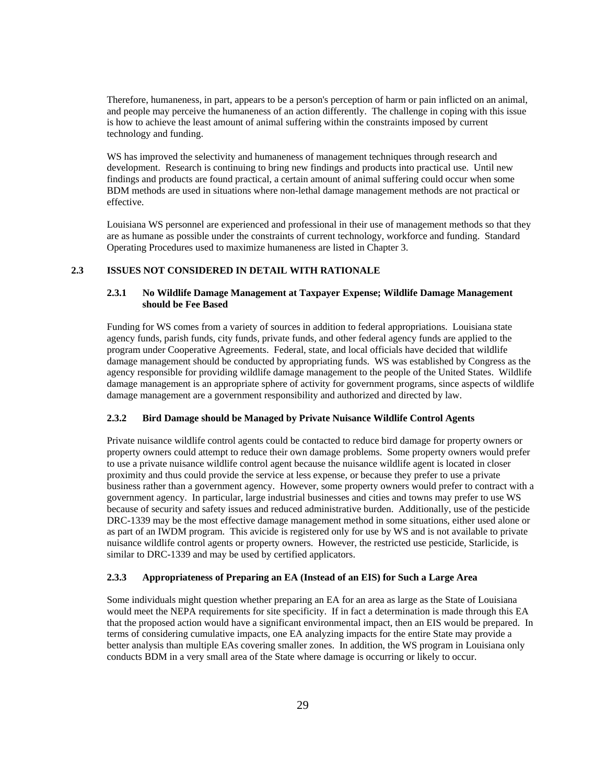Therefore, humaneness, in part, appears to be a person's perception of harm or pain inflicted on an animal, and people may perceive the humaneness of an action differently. The challenge in coping with this issue is how to achieve the least amount of animal suffering within the constraints imposed by current technology and funding.

 WS has improved the selectivity and humaneness of management techniques through research and development. Research is continuing to bring new findings and products into practical use. Until new findings and products are found practical, a certain amount of animal suffering could occur when some BDM methods are used in situations where non-lethal damage management methods are not practical or effective.

 Louisiana WS personnel are experienced and professional in their use of management methods so that they are as humane as possible under the constraints of current technology, workforce and funding. Standard Operating Procedures used to maximize humaneness are listed in Chapter 3.

### **2.3 ISSUES NOT CONSIDERED IN DETAIL WITH RATIONALE**

# **2.3.1 No Wildlife Damage Management at Taxpayer Expense; Wildlife Damage Management should be Fee Based**

 Funding for WS comes from a variety of sources in addition to federal appropriations. Louisiana state agency funds, parish funds, city funds, private funds, and other federal agency funds are applied to the program under Cooperative Agreements. Federal, state, and local officials have decided that wildlife damage management should be conducted by appropriating funds. WS was established by Congress as the agency responsible for providing wildlife damage management to the people of the United States. Wildlife damage management is an appropriate sphere of activity for government programs, since aspects of wildlife damage management are a government responsibility and authorized and directed by law.

### **2.3.2 Bird Damage should be Managed by Private Nuisance Wildlife Control Agents**

 Private nuisance wildlife control agents could be contacted to reduce bird damage for property owners or property owners could attempt to reduce their own damage problems. Some property owners would prefer to use a private nuisance wildlife control agent because the nuisance wildlife agent is located in closer proximity and thus could provide the service at less expense, or because they prefer to use a private business rather than a government agency. However, some property owners would prefer to contract with a government agency. In particular, large industrial businesses and cities and towns may prefer to use WS because of security and safety issues and reduced administrative burden. Additionally, use of the pesticide DRC-1339 may be the most effective damage management method in some situations, either used alone or as part of an IWDM program. This avicide is registered only for use by WS and is not available to private nuisance wildlife control agents or property owners. However, the restricted use pesticide, Starlicide, is similar to DRC-1339 and may be used by certified applicators.

# **2.3.3 Appropriateness of Preparing an EA (Instead of an EIS) for Such a Large Area**

Some individuals might question whether preparing an EA for an area as large as the State of Louisiana would meet the NEPA requirements for site specificity. If in fact a determination is made through this EA that the proposed action would have a significant environmental impact, then an EIS would be prepared. In terms of considering cumulative impacts, one EA analyzing impacts for the entire State may provide a better analysis than multiple EAs covering smaller zones. In addition, the WS program in Louisiana only conducts BDM in a very small area of the State where damage is occurring or likely to occur.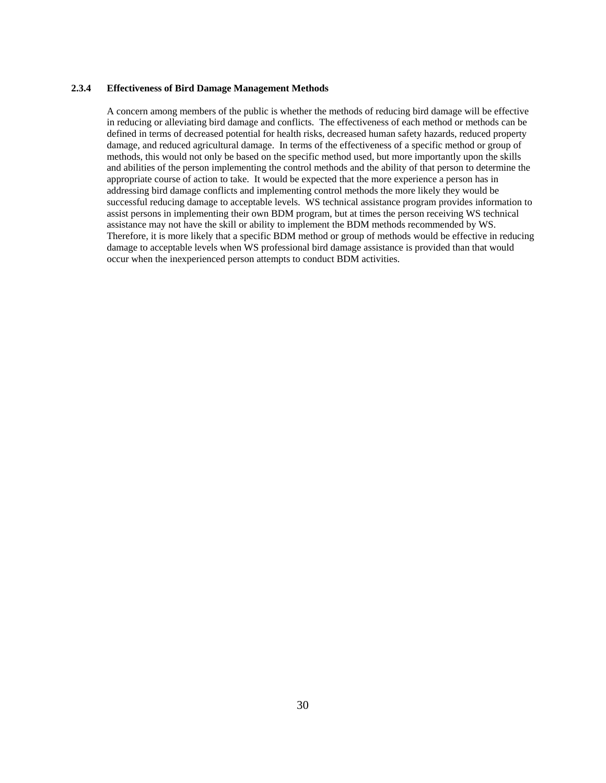### **2.3.4 Effectiveness of Bird Damage Management Methods**

A concern among members of the public is whether the methods of reducing bird damage will be effective in reducing or alleviating bird damage and conflicts. The effectiveness of each method or methods can be defined in terms of decreased potential for health risks, decreased human safety hazards, reduced property damage, and reduced agricultural damage. In terms of the effectiveness of a specific method or group of methods, this would not only be based on the specific method used, but more importantly upon the skills and abilities of the person implementing the control methods and the ability of that person to determine the appropriate course of action to take. It would be expected that the more experience a person has in addressing bird damage conflicts and implementing control methods the more likely they would be successful reducing damage to acceptable levels. WS technical assistance program provides information to assist persons in implementing their own BDM program, but at times the person receiving WS technical assistance may not have the skill or ability to implement the BDM methods recommended by WS. Therefore, it is more likely that a specific BDM method or group of methods would be effective in reducing damage to acceptable levels when WS professional bird damage assistance is provided than that would occur when the inexperienced person attempts to conduct BDM activities.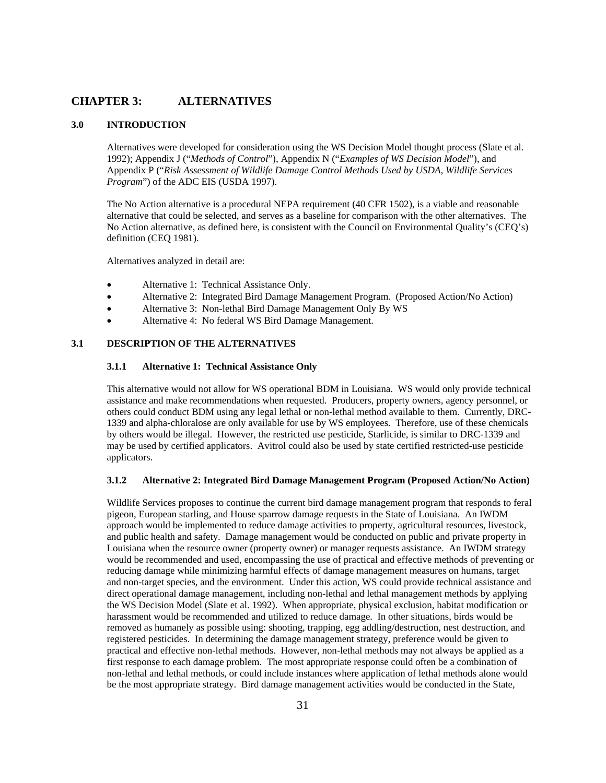# **CHAPTER 3: ALTERNATIVES**

### **3.0 INTRODUCTION**

 Alternatives were developed for consideration using the WS Decision Model thought process (Slate et al. 1992); Appendix J ("*Methods of Control*"), Appendix N ("*Examples of WS Decision Model*"), and Appendix P ("*Risk Assessment of Wildlife Damage Control Methods Used by USDA, Wildlife Services Program*") of the ADC EIS (USDA 1997).

The No Action alternative is a procedural NEPA requirement (40 CFR 1502), is a viable and reasonable alternative that could be selected, and serves as a baseline for comparison with the other alternatives. The No Action alternative, as defined here, is consistent with the Council on Environmental Quality's (CEQ's) definition (CEQ 1981).

Alternatives analyzed in detail are:

- Alternative 1: Technical Assistance Only.
- Alternative 2: Integrated Bird Damage Management Program. (Proposed Action/No Action)
- Alternative 3: Non-lethal Bird Damage Management Only By WS
- Alternative 4: No federal WS Bird Damage Management.

# **3.1 DESCRIPTION OF THE ALTERNATIVES**

### **3.1.1 Alternative 1: Technical Assistance Only**

 This alternative would not allow for WS operational BDM in Louisiana. WS would only provide technical assistance and make recommendations when requested. Producers, property owners, agency personnel, or others could conduct BDM using any legal lethal or non-lethal method available to them. Currently, DRC-1339 and alpha-chloralose are only available for use by WS employees. Therefore, use of these chemicals by others would be illegal. However, the restricted use pesticide, Starlicide, is similar to DRC-1339 and may be used by certified applicators. Avitrol could also be used by state certified restricted-use pesticide applicators.

### **3.1.2 Alternative 2: Integrated Bird Damage Management Program (Proposed Action/No Action)**

 Wildlife Services proposes to continue the current bird damage management program that responds to feral pigeon, European starling, and House sparrow damage requests in the State of Louisiana. An IWDM approach would be implemented to reduce damage activities to property, agricultural resources, livestock, and public health and safety. Damage management would be conducted on public and private property in Louisiana when the resource owner (property owner) or manager requests assistance. An IWDM strategy would be recommended and used, encompassing the use of practical and effective methods of preventing or reducing damage while minimizing harmful effects of damage management measures on humans, target and non-target species, and the environment. Under this action, WS could provide technical assistance and direct operational damage management, including non-lethal and lethal management methods by applying the WS Decision Model (Slate et al. 1992). When appropriate, physical exclusion, habitat modification or harassment would be recommended and utilized to reduce damage. In other situations, birds would be removed as humanely as possible using: shooting, trapping, egg addling/destruction, nest destruction, and registered pesticides. In determining the damage management strategy, preference would be given to practical and effective non-lethal methods. However, non-lethal methods may not always be applied as a first response to each damage problem. The most appropriate response could often be a combination of non-lethal and lethal methods, or could include instances where application of lethal methods alone would be the most appropriate strategy. Bird damage management activities would be conducted in the State,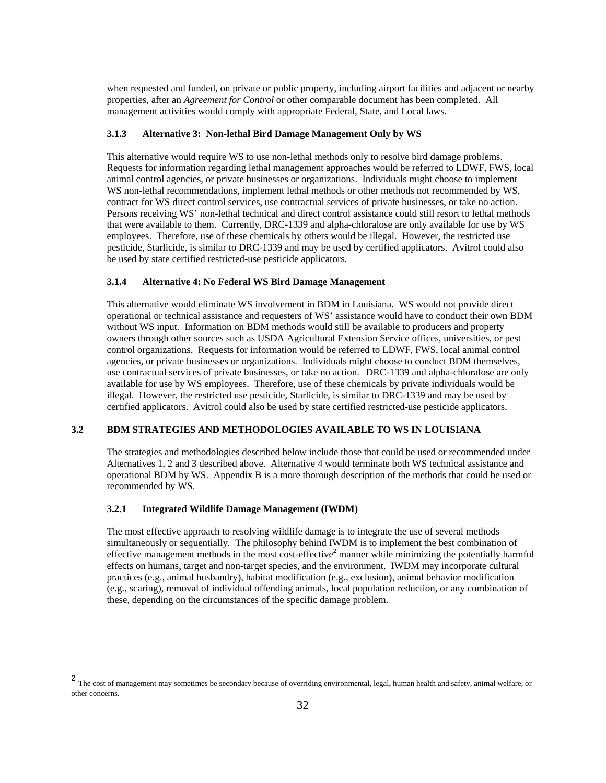when requested and funded, on private or public property, including airport facilities and adjacent or nearby properties, after an *Agreement for Control* or other comparable document has been completed. All management activities would comply with appropriate Federal, State, and Local laws.

## **3.1.3 Alternative 3: Non-lethal Bird Damage Management Only by WS**

 This alternative would require WS to use non-lethal methods only to resolve bird damage problems. Requests for information regarding lethal management approaches would be referred to LDWF, FWS, local animal control agencies, or private businesses or organizations. Individuals might choose to implement WS non-lethal recommendations, implement lethal methods or other methods not recommended by WS, contract for WS direct control services, use contractual services of private businesses, or take no action. Persons receiving WS' non-lethal technical and direct control assistance could still resort to lethal methods that were available to them. Currently, DRC-1339 and alpha-chloralose are only available for use by WS employees. Therefore, use of these chemicals by others would be illegal. However, the restricted use pesticide, Starlicide, is similar to DRC-1339 and may be used by certified applicators. Avitrol could also be used by state certified restricted-use pesticide applicators.

### **3.1.4 Alternative 4: No Federal WS Bird Damage Management**

 This alternative would eliminate WS involvement in BDM in Louisiana. WS would not provide direct operational or technical assistance and requesters of WS' assistance would have to conduct their own BDM without WS input. Information on BDM methods would still be available to producers and property owners through other sources such as USDA Agricultural Extension Service offices, universities, or pest control organizations. Requests for information would be referred to LDWF, FWS, local animal control agencies, or private businesses or organizations. Individuals might choose to conduct BDM themselves, use contractual services of private businesses, or take no action. DRC-1339 and alpha-chloralose are only available for use by WS employees. Therefore, use of these chemicals by private individuals would be illegal. However, the restricted use pesticide, Starlicide, is similar to DRC-1339 and may be used by certified applicators. Avitrol could also be used by state certified restricted-use pesticide applicators.

# **3.2 BDM STRATEGIES AND METHODOLOGIES AVAILABLE TO WS IN LOUISIANA**

 The strategies and methodologies described below include those that could be used or recommended under Alternatives 1, 2 and 3 described above. Alternative 4 would terminate both WS technical assistance and operational BDM by WS. Appendix B is a more thorough description of the methods that could be used or recommended by WS.

### **3.2.1 Integrated Wildlife Damage Management (IWDM)**

 The most effective approach to resolving wildlife damage is to integrate the use of several methods simultaneously or sequentially. The philosophy behind IWDM is to implement the best combination of effective management methods in the most cost-effective<sup>2</sup> manner while minimizing the potentially harmful effects on humans, target and non-target species, and the environment. IWDM may incorporate cultural practices (e.g., animal husbandry), habitat modification (e.g., exclusion), animal behavior modification (e.g., scaring), removal of individual offending animals, local population reduction, or any combination of these, depending on the circumstances of the specific damage problem.

 2 The cost of management may sometimes be secondary because of overriding environmental, legal, human health and safety, animal welfare, or other concerns.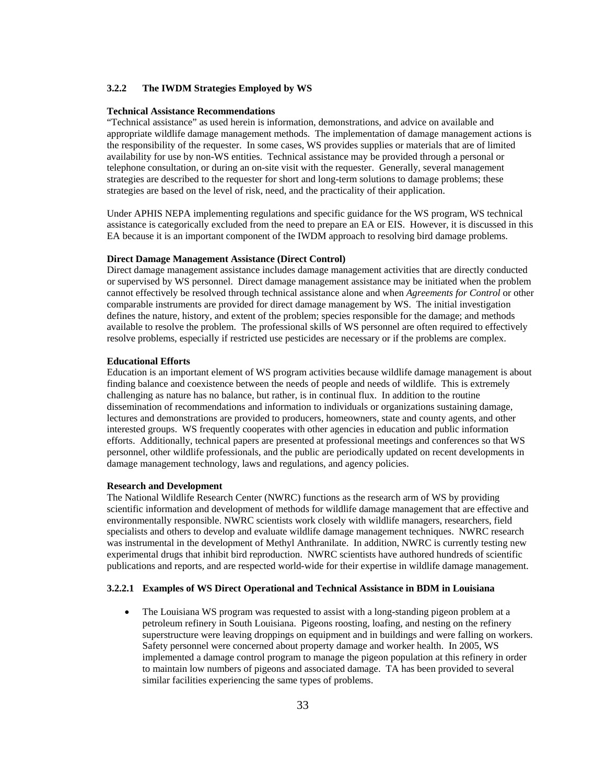#### **3.2.2 The IWDM Strategies Employed by WS**

#### **Technical Assistance Recommendations**

"Technical assistance" as used herein is information, demonstrations, and advice on available and appropriate wildlife damage management methods. The implementation of damage management actions is the responsibility of the requester. In some cases, WS provides supplies or materials that are of limited availability for use by non-WS entities. Technical assistance may be provided through a personal or telephone consultation, or during an on-site visit with the requester. Generally, several management strategies are described to the requester for short and long-term solutions to damage problems; these strategies are based on the level of risk, need, and the practicality of their application.

Under APHIS NEPA implementing regulations and specific guidance for the WS program, WS technical assistance is categorically excluded from the need to prepare an EA or EIS. However, it is discussed in this EA because it is an important component of the IWDM approach to resolving bird damage problems.

#### **Direct Damage Management Assistance (Direct Control)**

Direct damage management assistance includes damage management activities that are directly conducted or supervised by WS personnel. Direct damage management assistance may be initiated when the problem cannot effectively be resolved through technical assistance alone and when *Agreements for Control* or other comparable instruments are provided for direct damage management by WS. The initial investigation defines the nature, history, and extent of the problem; species responsible for the damage; and methods available to resolve the problem. The professional skills of WS personnel are often required to effectively resolve problems, especially if restricted use pesticides are necessary or if the problems are complex.

#### **Educational Efforts**

Education is an important element of WS program activities because wildlife damage management is about finding balance and coexistence between the needs of people and needs of wildlife. This is extremely challenging as nature has no balance, but rather, is in continual flux. In addition to the routine dissemination of recommendations and information to individuals or organizations sustaining damage, lectures and demonstrations are provided to producers, homeowners, state and county agents, and other interested groups. WS frequently cooperates with other agencies in education and public information efforts. Additionally, technical papers are presented at professional meetings and conferences so that WS personnel, other wildlife professionals, and the public are periodically updated on recent developments in damage management technology, laws and regulations, and agency policies.

#### **Research and Development**

The National Wildlife Research Center (NWRC) functions as the research arm of WS by providing scientific information and development of methods for wildlife damage management that are effective and environmentally responsible. NWRC scientists work closely with wildlife managers, researchers, field specialists and others to develop and evaluate wildlife damage management techniques. NWRC research was instrumental in the development of Methyl Anthranilate. In addition, NWRC is currently testing new experimental drugs that inhibit bird reproduction. NWRC scientists have authored hundreds of scientific publications and reports, and are respected world-wide for their expertise in wildlife damage management.

#### **3.2.2.1 Examples of WS Direct Operational and Technical Assistance in BDM in Louisiana**

• The Louisiana WS program was requested to assist with a long-standing pigeon problem at a petroleum refinery in South Louisiana. Pigeons roosting, loafing, and nesting on the refinery superstructure were leaving droppings on equipment and in buildings and were falling on workers. Safety personnel were concerned about property damage and worker health. In 2005, WS implemented a damage control program to manage the pigeon population at this refinery in order to maintain low numbers of pigeons and associated damage. TA has been provided to several similar facilities experiencing the same types of problems.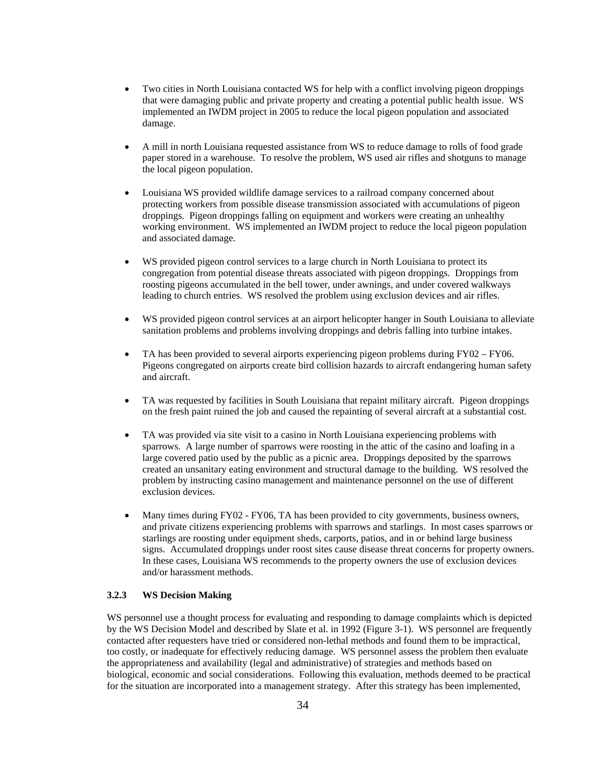- Two cities in North Louisiana contacted WS for help with a conflict involving pigeon droppings that were damaging public and private property and creating a potential public health issue. WS implemented an IWDM project in 2005 to reduce the local pigeon population and associated damage.
- A mill in north Louisiana requested assistance from WS to reduce damage to rolls of food grade paper stored in a warehouse. To resolve the problem, WS used air rifles and shotguns to manage the local pigeon population.
- Louisiana WS provided wildlife damage services to a railroad company concerned about protecting workers from possible disease transmission associated with accumulations of pigeon droppings. Pigeon droppings falling on equipment and workers were creating an unhealthy working environment. WS implemented an IWDM project to reduce the local pigeon population and associated damage.
- WS provided pigeon control services to a large church in North Louisiana to protect its congregation from potential disease threats associated with pigeon droppings. Droppings from roosting pigeons accumulated in the bell tower, under awnings, and under covered walkways leading to church entries. WS resolved the problem using exclusion devices and air rifles.
- WS provided pigeon control services at an airport helicopter hanger in South Louisiana to alleviate sanitation problems and problems involving droppings and debris falling into turbine intakes.
- TA has been provided to several airports experiencing pigeon problems during FY02 FY06. Pigeons congregated on airports create bird collision hazards to aircraft endangering human safety and aircraft.
- TA was requested by facilities in South Louisiana that repaint military aircraft. Pigeon droppings on the fresh paint ruined the job and caused the repainting of several aircraft at a substantial cost.
- TA was provided via site visit to a casino in North Louisiana experiencing problems with sparrows. A large number of sparrows were roosting in the attic of the casino and loafing in a large covered patio used by the public as a picnic area. Droppings deposited by the sparrows created an unsanitary eating environment and structural damage to the building. WS resolved the problem by instructing casino management and maintenance personnel on the use of different exclusion devices.
- Many times during FY02 FY06, TA has been provided to city governments, business owners, and private citizens experiencing problems with sparrows and starlings. In most cases sparrows or starlings are roosting under equipment sheds, carports, patios, and in or behind large business signs. Accumulated droppings under roost sites cause disease threat concerns for property owners. In these cases, Louisiana WS recommends to the property owners the use of exclusion devices and/or harassment methods.

### **3.2.3 WS Decision Making**

WS personnel use a thought process for evaluating and responding to damage complaints which is depicted by the WS Decision Model and described by Slate et al. in 1992 (Figure 3-1). WS personnel are frequently contacted after requesters have tried or considered non-lethal methods and found them to be impractical, too costly, or inadequate for effectively reducing damage. WS personnel assess the problem then evaluate the appropriateness and availability (legal and administrative) of strategies and methods based on biological, economic and social considerations. Following this evaluation, methods deemed to be practical for the situation are incorporated into a management strategy. After this strategy has been implemented,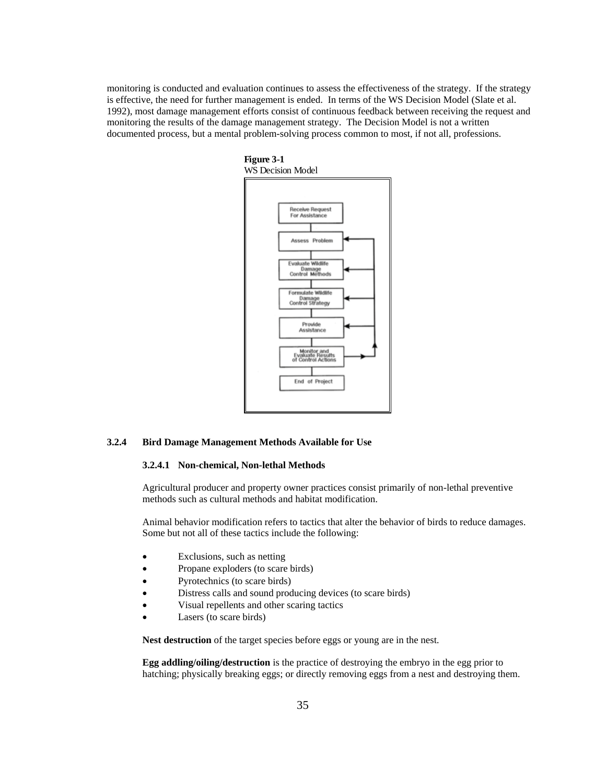monitoring is conducted and evaluation continues to assess the effectiveness of the strategy. If the strategy is effective, the need for further management is ended. In terms of the WS Decision Model (Slate et al. 1992), most damage management efforts consist of continuous feedback between receiving the request and monitoring the results of the damage management strategy. The Decision Model is not a written documented process, but a mental problem-solving process common to most, if not all, professions.



### **3.2.4 Bird Damage Management Methods Available for Use**

#### **3.2.4.1 Non-chemical, Non-lethal Methods**

 Agricultural producer and property owner practices consist primarily of non-lethal preventive methods such as cultural methods and habitat modification.

 Animal behavior modification refers to tactics that alter the behavior of birds to reduce damages. Some but not all of these tactics include the following:

- Exclusions, such as netting
- Propane exploders (to scare birds)
- Pyrotechnics (to scare birds)
- Distress calls and sound producing devices (to scare birds)
- Visual repellents and other scaring tactics
- Lasers (to scare birds)

**Nest destruction** of the target species before eggs or young are in the nest.

 **Egg addling/oiling/destruction** is the practice of destroying the embryo in the egg prior to hatching; physically breaking eggs; or directly removing eggs from a nest and destroying them.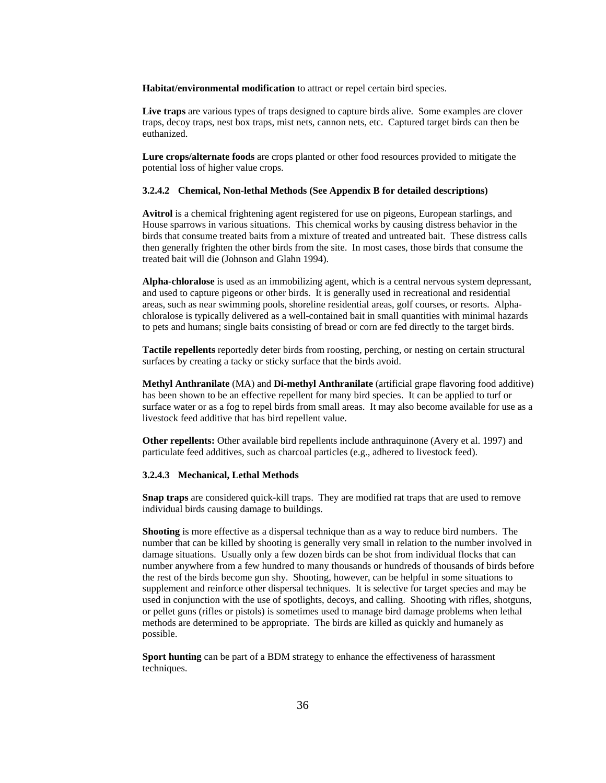**Habitat/environmental modification** to attract or repel certain bird species.

**Live traps** are various types of traps designed to capture birds alive. Some examples are clover traps, decoy traps, nest box traps, mist nets, cannon nets, etc. Captured target birds can then be euthanized.

 **Lure crops/alternate foods** are crops planted or other food resources provided to mitigate the potential loss of higher value crops.

#### **3.2.4.2 Chemical, Non-lethal Methods (See Appendix B for detailed descriptions)**

**Avitrol** is a chemical frightening agent registered for use on pigeons, European starlings, and House sparrows in various situations. This chemical works by causing distress behavior in the birds that consume treated baits from a mixture of treated and untreated bait. These distress calls then generally frighten the other birds from the site. In most cases, those birds that consume the treated bait will die (Johnson and Glahn 1994).

**Alpha-chloralose** is used as an immobilizing agent, which is a central nervous system depressant, and used to capture pigeons or other birds. It is generally used in recreational and residential areas, such as near swimming pools, shoreline residential areas, golf courses, or resorts. Alphachloralose is typically delivered as a well-contained bait in small quantities with minimal hazards to pets and humans; single baits consisting of bread or corn are fed directly to the target birds.

**Tactile repellents** reportedly deter birds from roosting, perching, or nesting on certain structural surfaces by creating a tacky or sticky surface that the birds avoid.

**Methyl Anthranilate** (MA) and **Di-methyl Anthranilate** (artificial grape flavoring food additive) has been shown to be an effective repellent for many bird species. It can be applied to turf or surface water or as a fog to repel birds from small areas. It may also become available for use as a livestock feed additive that has bird repellent value.

 **Other repellents:** Other available bird repellents include anthraquinone (Avery et al. 1997) and particulate feed additives, such as charcoal particles (e.g., adhered to livestock feed).

### **3.2.4.3 Mechanical, Lethal Methods**

**Snap traps** are considered quick-kill traps. They are modified rat traps that are used to remove individual birds causing damage to buildings.

**Shooting** is more effective as a dispersal technique than as a way to reduce bird numbers. The number that can be killed by shooting is generally very small in relation to the number involved in damage situations. Usually only a few dozen birds can be shot from individual flocks that can number anywhere from a few hundred to many thousands or hundreds of thousands of birds before the rest of the birds become gun shy. Shooting, however, can be helpful in some situations to supplement and reinforce other dispersal techniques. It is selective for target species and may be used in conjunction with the use of spotlights, decoys, and calling. Shooting with rifles, shotguns, or pellet guns (rifles or pistols) is sometimes used to manage bird damage problems when lethal methods are determined to be appropriate. The birds are killed as quickly and humanely as possible.

**Sport hunting** can be part of a BDM strategy to enhance the effectiveness of harassment techniques.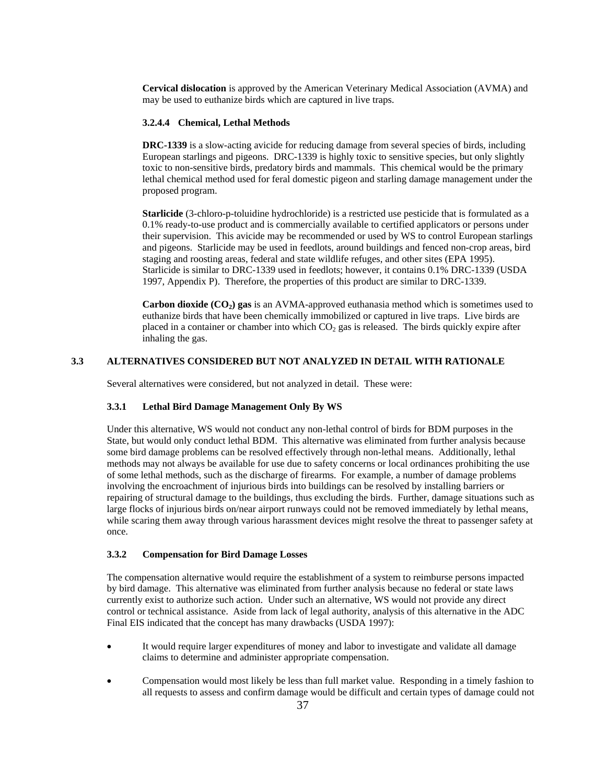**Cervical dislocation** is approved by the American Veterinary Medical Association (AVMA) and may be used to euthanize birds which are captured in live traps.

### **3.2.4.4 Chemical, Lethal Methods**

**DRC-1339** is a slow-acting avicide for reducing damage from several species of birds, including European starlings and pigeons. DRC-1339 is highly toxic to sensitive species, but only slightly toxic to non-sensitive birds, predatory birds and mammals. This chemical would be the primary lethal chemical method used for feral domestic pigeon and starling damage management under the proposed program.

**Starlicide** (3-chloro-p-toluidine hydrochloride) is a restricted use pesticide that is formulated as a 0.1% ready-to-use product and is commercially available to certified applicators or persons under their supervision. This avicide may be recommended or used by WS to control European starlings and pigeons. Starlicide may be used in feedlots, around buildings and fenced non-crop areas, bird staging and roosting areas, federal and state wildlife refuges, and other sites (EPA 1995). Starlicide is similar to DRC-1339 used in feedlots; however, it contains 0.1% DRC-1339 (USDA 1997, Appendix P). Therefore, the properties of this product are similar to DRC-1339.

Carbon dioxide (CO<sub>2</sub>) gas is an AVMA-approved euthanasia method which is sometimes used to euthanize birds that have been chemically immobilized or captured in live traps. Live birds are placed in a container or chamber into which  $CO<sub>2</sub>$  gas is released. The birds quickly expire after inhaling the gas.

# **3.3 ALTERNATIVES CONSIDERED BUT NOT ANALYZED IN DETAIL WITH RATIONALE**

Several alternatives were considered, but not analyzed in detail. These were:

# **3.3.1 Lethal Bird Damage Management Only By WS**

 Under this alternative, WS would not conduct any non-lethal control of birds for BDM purposes in the State, but would only conduct lethal BDM. This alternative was eliminated from further analysis because some bird damage problems can be resolved effectively through non-lethal means. Additionally, lethal methods may not always be available for use due to safety concerns or local ordinances prohibiting the use of some lethal methods, such as the discharge of firearms. For example, a number of damage problems involving the encroachment of injurious birds into buildings can be resolved by installing barriers or repairing of structural damage to the buildings, thus excluding the birds. Further, damage situations such as large flocks of injurious birds on/near airport runways could not be removed immediately by lethal means, while scaring them away through various harassment devices might resolve the threat to passenger safety at once.

# **3.3.2 Compensation for Bird Damage Losses**

 The compensation alternative would require the establishment of a system to reimburse persons impacted by bird damage. This alternative was eliminated from further analysis because no federal or state laws currently exist to authorize such action. Under such an alternative, WS would not provide any direct control or technical assistance. Aside from lack of legal authority, analysis of this alternative in the ADC Final EIS indicated that the concept has many drawbacks (USDA 1997):

- It would require larger expenditures of money and labor to investigate and validate all damage claims to determine and administer appropriate compensation.
- Compensation would most likely be less than full market value. Responding in a timely fashion to all requests to assess and confirm damage would be difficult and certain types of damage could not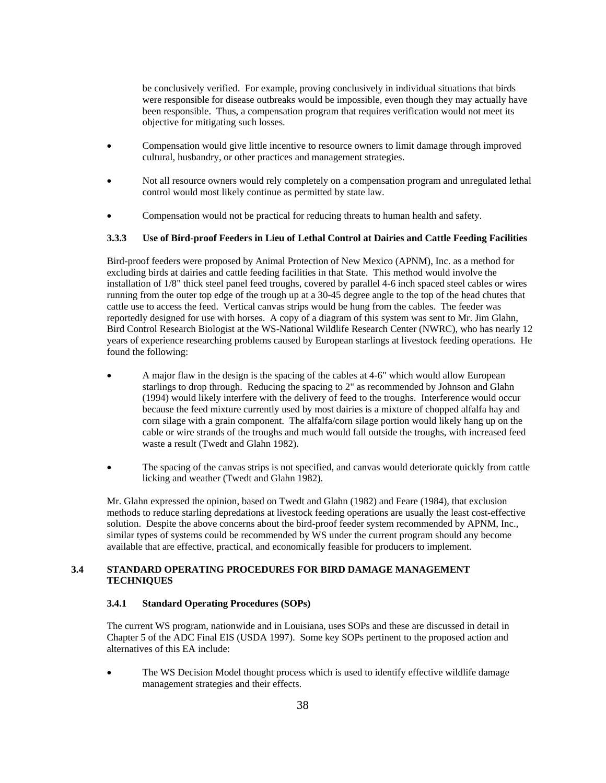be conclusively verified. For example, proving conclusively in individual situations that birds were responsible for disease outbreaks would be impossible, even though they may actually have been responsible. Thus, a compensation program that requires verification would not meet its objective for mitigating such losses.

- Compensation would give little incentive to resource owners to limit damage through improved cultural, husbandry, or other practices and management strategies.
- Not all resource owners would rely completely on a compensation program and unregulated lethal control would most likely continue as permitted by state law.
- Compensation would not be practical for reducing threats to human health and safety.

# **3.3.3 Use of Bird-proof Feeders in Lieu of Lethal Control at Dairies and Cattle Feeding Facilities**

 Bird-proof feeders were proposed by Animal Protection of New Mexico (APNM), Inc. as a method for excluding birds at dairies and cattle feeding facilities in that State. This method would involve the installation of 1/8" thick steel panel feed troughs, covered by parallel 4-6 inch spaced steel cables or wires running from the outer top edge of the trough up at a 30-45 degree angle to the top of the head chutes that cattle use to access the feed. Vertical canvas strips would be hung from the cables. The feeder was reportedly designed for use with horses. A copy of a diagram of this system was sent to Mr. Jim Glahn, Bird Control Research Biologist at the WS-National Wildlife Research Center (NWRC), who has nearly 12 years of experience researching problems caused by European starlings at livestock feeding operations. He found the following:

- A major flaw in the design is the spacing of the cables at 4-6" which would allow European starlings to drop through. Reducing the spacing to 2" as recommended by Johnson and Glahn (1994) would likely interfere with the delivery of feed to the troughs. Interference would occur because the feed mixture currently used by most dairies is a mixture of chopped alfalfa hay and corn silage with a grain component. The alfalfa/corn silage portion would likely hang up on the cable or wire strands of the troughs and much would fall outside the troughs, with increased feed waste a result (Twedt and Glahn 1982).
- The spacing of the canvas strips is not specified, and canvas would deteriorate quickly from cattle licking and weather (Twedt and Glahn 1982).

 Mr. Glahn expressed the opinion, based on Twedt and Glahn (1982) and Feare (1984), that exclusion methods to reduce starling depredations at livestock feeding operations are usually the least cost-effective solution. Despite the above concerns about the bird-proof feeder system recommended by APNM, Inc., similar types of systems could be recommended by WS under the current program should any become available that are effective, practical, and economically feasible for producers to implement.

# **3.4 STANDARD OPERATING PROCEDURES FOR BIRD DAMAGE MANAGEMENT TECHNIQUES**

# **3.4.1 Standard Operating Procedures (SOPs)**

The current WS program, nationwide and in Louisiana, uses SOPs and these are discussed in detail in Chapter 5 of the ADC Final EIS (USDA 1997). Some key SOPs pertinent to the proposed action and alternatives of this EA include:

• The WS Decision Model thought process which is used to identify effective wildlife damage management strategies and their effects.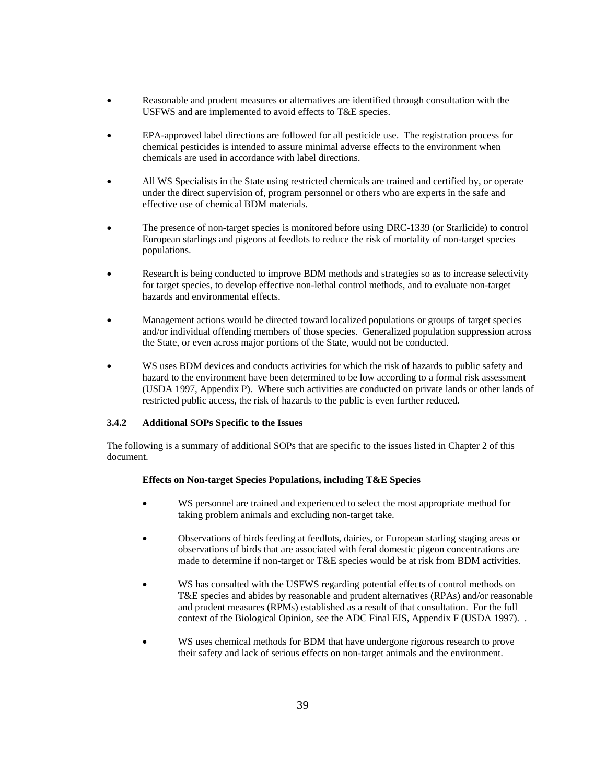- Reasonable and prudent measures or alternatives are identified through consultation with the USFWS and are implemented to avoid effects to T&E species.
- EPA-approved label directions are followed for all pesticide use. The registration process for chemical pesticides is intended to assure minimal adverse effects to the environment when chemicals are used in accordance with label directions.
- All WS Specialists in the State using restricted chemicals are trained and certified by, or operate under the direct supervision of, program personnel or others who are experts in the safe and effective use of chemical BDM materials.
- The presence of non-target species is monitored before using DRC-1339 (or Starlicide) to control European starlings and pigeons at feedlots to reduce the risk of mortality of non-target species populations.
- Research is being conducted to improve BDM methods and strategies so as to increase selectivity for target species, to develop effective non-lethal control methods, and to evaluate non-target hazards and environmental effects.
- Management actions would be directed toward localized populations or groups of target species and/or individual offending members of those species. Generalized population suppression across the State, or even across major portions of the State, would not be conducted.
- WS uses BDM devices and conducts activities for which the risk of hazards to public safety and hazard to the environment have been determined to be low according to a formal risk assessment (USDA 1997, Appendix P). Where such activities are conducted on private lands or other lands of restricted public access, the risk of hazards to the public is even further reduced.

# **3.4.2 Additional SOPs Specific to the Issues**

 The following is a summary of additional SOPs that are specific to the issues listed in Chapter 2 of this document.

### **Effects on Non-target Species Populations, including T&E Species**

- WS personnel are trained and experienced to select the most appropriate method for taking problem animals and excluding non-target take.
- Observations of birds feeding at feedlots, dairies, or European starling staging areas or observations of birds that are associated with feral domestic pigeon concentrations are made to determine if non-target or T&E species would be at risk from BDM activities.
- WS has consulted with the USFWS regarding potential effects of control methods on T&E species and abides by reasonable and prudent alternatives (RPAs) and/or reasonable and prudent measures (RPMs) established as a result of that consultation. For the full context of the Biological Opinion, see the ADC Final EIS, Appendix F (USDA 1997). .
- WS uses chemical methods for BDM that have undergone rigorous research to prove their safety and lack of serious effects on non-target animals and the environment.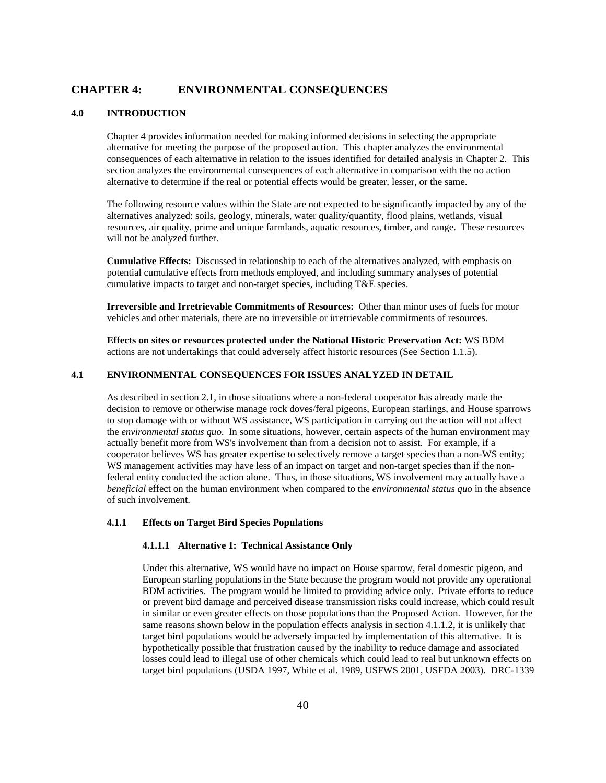# **CHAPTER 4: ENVIRONMENTAL CONSEQUENCES**

## **4.0 INTRODUCTION**

 Chapter 4 provides information needed for making informed decisions in selecting the appropriate alternative for meeting the purpose of the proposed action. This chapter analyzes the environmental consequences of each alternative in relation to the issues identified for detailed analysis in Chapter 2. This section analyzes the environmental consequences of each alternative in comparison with the no action alternative to determine if the real or potential effects would be greater, lesser, or the same.

 The following resource values within the State are not expected to be significantly impacted by any of the alternatives analyzed: soils, geology, minerals, water quality/quantity, flood plains, wetlands, visual resources, air quality, prime and unique farmlands, aquatic resources, timber, and range. These resources will not be analyzed further.

 **Cumulative Effects:** Discussed in relationship to each of the alternatives analyzed, with emphasis on potential cumulative effects from methods employed, and including summary analyses of potential cumulative impacts to target and non-target species, including T&E species.

 **Irreversible and Irretrievable Commitments of Resources:** Other than minor uses of fuels for motor vehicles and other materials, there are no irreversible or irretrievable commitments of resources.

 **Effects on sites or resources protected under the National Historic Preservation Act:** WS BDM actions are not undertakings that could adversely affect historic resources (See Section 1.1.5).

# **4.1 ENVIRONMENTAL CONSEQUENCES FOR ISSUES ANALYZED IN DETAIL**

As described in section 2.1, in those situations where a non-federal cooperator has already made the decision to remove or otherwise manage rock doves/feral pigeons, European starlings, and House sparrows to stop damage with or without WS assistance, WS participation in carrying out the action will not affect the *environmental status quo*. In some situations, however, certain aspects of the human environment may actually benefit more from WS's involvement than from a decision not to assist. For example, if a cooperator believes WS has greater expertise to selectively remove a target species than a non-WS entity; WS management activities may have less of an impact on target and non-target species than if the nonfederal entity conducted the action alone. Thus, in those situations, WS involvement may actually have a *beneficial* effect on the human environment when compared to the *environmental status quo* in the absence of such involvement.

# **4.1.1 Effects on Target Bird Species Populations**

# **4.1.1.1 Alternative 1: Technical Assistance Only**

Under this alternative, WS would have no impact on House sparrow, feral domestic pigeon, and European starling populations in the State because the program would not provide any operational BDM activities. The program would be limited to providing advice only. Private efforts to reduce or prevent bird damage and perceived disease transmission risks could increase, which could result in similar or even greater effects on those populations than the Proposed Action. However, for the same reasons shown below in the population effects analysis in section 4.1.1.2, it is unlikely that target bird populations would be adversely impacted by implementation of this alternative. It is hypothetically possible that frustration caused by the inability to reduce damage and associated losses could lead to illegal use of other chemicals which could lead to real but unknown effects on target bird populations (USDA 1997, White et al. 1989, USFWS 2001, USFDA 2003). DRC-1339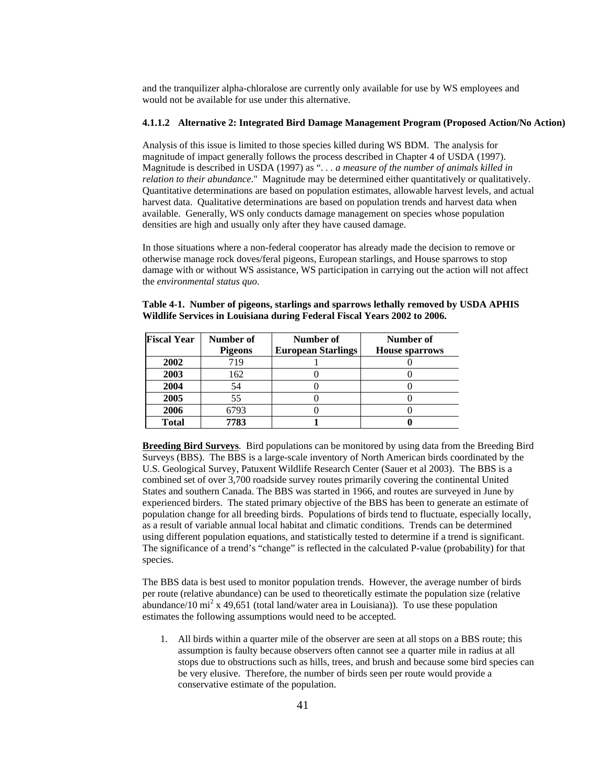and the tranquilizer alpha-chloralose are currently only available for use by WS employees and would not be available for use under this alternative.

### **4.1.1.2 Alternative 2: Integrated Bird Damage Management Program (Proposed Action/No Action)**

Analysis of this issue is limited to those species killed during WS BDM. The analysis for magnitude of impact generally follows the process described in Chapter 4 of USDA (1997). Magnitude is described in USDA (1997) as ". *. . a measure of the number of animals killed in relation to their abundance*." Magnitude may be determined either quantitatively or qualitatively. Quantitative determinations are based on population estimates, allowable harvest levels, and actual harvest data. Qualitative determinations are based on population trends and harvest data when available. Generally, WS only conducts damage management on species whose population densities are high and usually only after they have caused damage.

In those situations where a non-federal cooperator has already made the decision to remove or otherwise manage rock doves/feral pigeons, European starlings, and House sparrows to stop damage with or without WS assistance, WS participation in carrying out the action will not affect the *environmental status quo*.

| Table 4-1. Number of pigeons, starlings and sparrows lethally removed by USDA APHIS |  |
|-------------------------------------------------------------------------------------|--|
| Wildlife Services in Louisiana during Federal Fiscal Years 2002 to 2006.            |  |

| <b>Fiscal Year</b> | Number of      | Number of                 | Number of             |
|--------------------|----------------|---------------------------|-----------------------|
|                    | <b>Pigeons</b> | <b>European Starlings</b> | <b>House sparrows</b> |
| 2002               | 719            |                           |                       |
| 2003               | 162            |                           |                       |
| 2004               | 54             |                           |                       |
| 2005               | 55             |                           |                       |
| 2006               | 6793           |                           |                       |
| <b>Total</b>       | 7783           |                           |                       |

**Breeding Bird Surveys**. Bird populations can be monitored by using data from the Breeding Bird Surveys (BBS). The BBS is a large-scale inventory of North American birds coordinated by the U.S. Geological Survey, Patuxent Wildlife Research Center (Sauer et al 2003). The BBS is a combined set of over 3,700 roadside survey routes primarily covering the continental United States and southern Canada. The BBS was started in 1966, and routes are surveyed in June by experienced birders. The stated primary objective of the BBS has been to generate an estimate of population change for all breeding birds. Populations of birds tend to fluctuate, especially locally, as a result of variable annual local habitat and climatic conditions. Trends can be determined using different population equations, and statistically tested to determine if a trend is significant. The significance of a trend's "change" is reflected in the calculated P-value (probability) for that species.

The BBS data is best used to monitor population trends. However, the average number of birds per route (relative abundance) can be used to theoretically estimate the population size (relative abundance/10 mi<sup>2</sup> x 49,651 (total land/water area in Louisiana)). To use these population estimates the following assumptions would need to be accepted.

1. All birds within a quarter mile of the observer are seen at all stops on a BBS route; this assumption is faulty because observers often cannot see a quarter mile in radius at all stops due to obstructions such as hills, trees, and brush and because some bird species can be very elusive. Therefore, the number of birds seen per route would provide a conservative estimate of the population.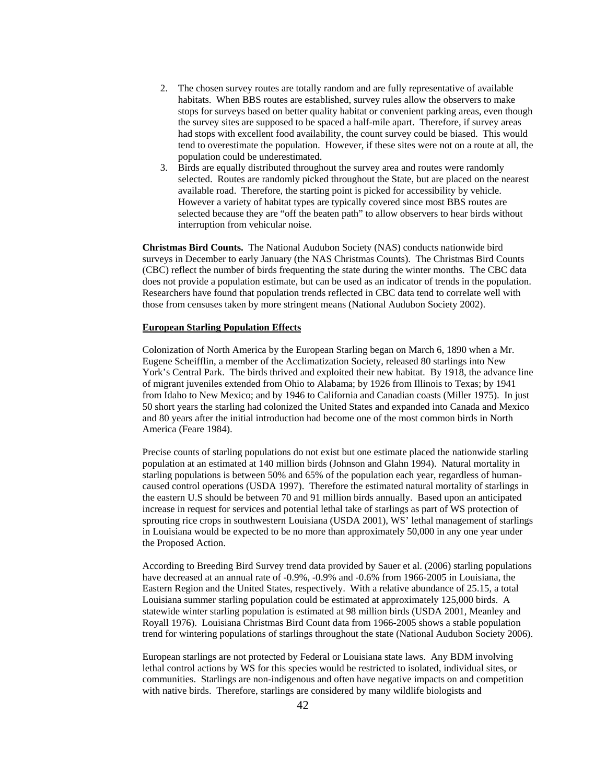- 2. The chosen survey routes are totally random and are fully representative of available habitats. When BBS routes are established, survey rules allow the observers to make stops for surveys based on better quality habitat or convenient parking areas, even though the survey sites are supposed to be spaced a half-mile apart. Therefore, if survey areas had stops with excellent food availability, the count survey could be biased. This would tend to overestimate the population. However, if these sites were not on a route at all, the population could be underestimated.
- 3. Birds are equally distributed throughout the survey area and routes were randomly selected. Routes are randomly picked throughout the State, but are placed on the nearest available road. Therefore, the starting point is picked for accessibility by vehicle. However a variety of habitat types are typically covered since most BBS routes are selected because they are "off the beaten path" to allow observers to hear birds without interruption from vehicular noise.

**Christmas Bird Counts.** The National Audubon Society (NAS) conducts nationwide bird surveys in December to early January (the NAS Christmas Counts). The Christmas Bird Counts (CBC) reflect the number of birds frequenting the state during the winter months. The CBC data does not provide a population estimate, but can be used as an indicator of trends in the population. Researchers have found that population trends reflected in CBC data tend to correlate well with those from censuses taken by more stringent means (National Audubon Society 2002).

### **European Starling Population Effects**

Colonization of North America by the European Starling began on March 6, 1890 when a Mr. Eugene Scheifflin, a member of the Acclimatization Society, released 80 starlings into New York's Central Park. The birds thrived and exploited their new habitat. By 1918, the advance line of migrant juveniles extended from Ohio to Alabama; by 1926 from Illinois to Texas; by 1941 from Idaho to New Mexico; and by 1946 to California and Canadian coasts (Miller 1975). In just 50 short years the starling had colonized the United States and expanded into Canada and Mexico and 80 years after the initial introduction had become one of the most common birds in North America (Feare 1984).

Precise counts of starling populations do not exist but one estimate placed the nationwide starling population at an estimated at 140 million birds (Johnson and Glahn 1994). Natural mortality in starling populations is between 50% and 65% of the population each year, regardless of humancaused control operations (USDA 1997). Therefore the estimated natural mortality of starlings in the eastern U.S should be between 70 and 91 million birds annually. Based upon an anticipated increase in request for services and potential lethal take of starlings as part of WS protection of sprouting rice crops in southwestern Louisiana (USDA 2001), WS' lethal management of starlings in Louisiana would be expected to be no more than approximately 50,000 in any one year under the Proposed Action.

According to Breeding Bird Survey trend data provided by Sauer et al. (2006) starling populations have decreased at an annual rate of  $-0.9\%$ ,  $-0.9\%$  and  $-0.6\%$  from 1966-2005 in Louisiana, the Eastern Region and the United States, respectively. With a relative abundance of 25.15, a total Louisiana summer starling population could be estimated at approximately 125,000 birds. A statewide winter starling population is estimated at 98 million birds (USDA 2001, Meanley and Royall 1976). Louisiana Christmas Bird Count data from 1966-2005 shows a stable population trend for wintering populations of starlings throughout the state (National Audubon Society 2006).

European starlings are not protected by Federal or Louisiana state laws. Any BDM involving lethal control actions by WS for this species would be restricted to isolated, individual sites, or communities. Starlings are non-indigenous and often have negative impacts on and competition with native birds. Therefore, starlings are considered by many wildlife biologists and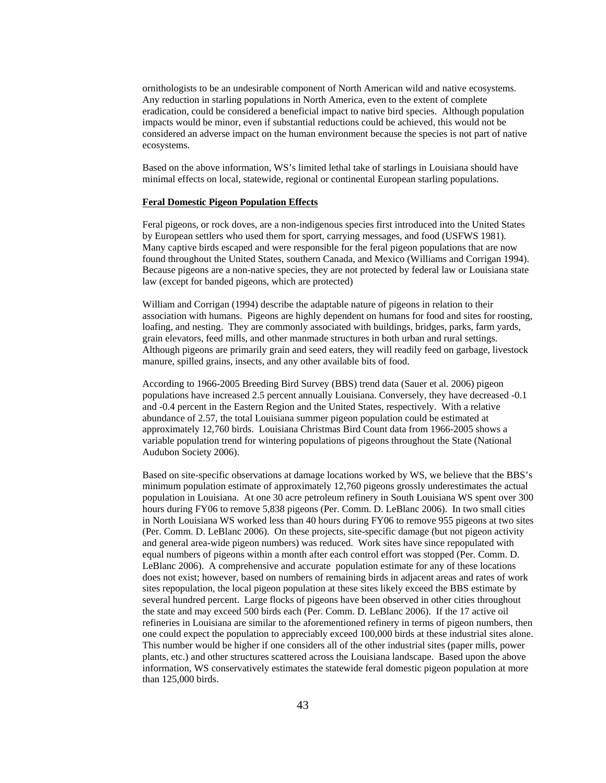ornithologists to be an undesirable component of North American wild and native ecosystems. Any reduction in starling populations in North America, even to the extent of complete eradication, could be considered a beneficial impact to native bird species. Although population impacts would be minor, even if substantial reductions could be achieved, this would not be considered an adverse impact on the human environment because the species is not part of native ecosystems.

Based on the above information, WS's limited lethal take of starlings in Louisiana should have minimal effects on local, statewide, regional or continental European starling populations.

### **Feral Domestic Pigeon Population Effects**

Feral pigeons, or rock doves, are a non-indigenous species first introduced into the United States by European settlers who used them for sport, carrying messages, and food (USFWS 1981). Many captive birds escaped and were responsible for the feral pigeon populations that are now found throughout the United States, southern Canada, and Mexico (Williams and Corrigan 1994). Because pigeons are a non-native species, they are not protected by federal law or Louisiana state law (except for banded pigeons, which are protected)

William and Corrigan (1994) describe the adaptable nature of pigeons in relation to their association with humans. Pigeons are highly dependent on humans for food and sites for roosting, loafing, and nesting. They are commonly associated with buildings, bridges, parks, farm yards, grain elevators, feed mills, and other manmade structures in both urban and rural settings. Although pigeons are primarily grain and seed eaters, they will readily feed on garbage, livestock manure, spilled grains, insects, and any other available bits of food.

According to 1966-2005 Breeding Bird Survey (BBS) trend data (Sauer et al. 2006) pigeon populations have increased 2.5 percent annually Louisiana. Conversely, they have decreased -0.1 and -0.4 percent in the Eastern Region and the United States, respectively. With a relative abundance of 2.57, the total Louisiana summer pigeon population could be estimated at approximately 12,760 birds. Louisiana Christmas Bird Count data from 1966-2005 shows a variable population trend for wintering populations of pigeons throughout the State (National Audubon Society 2006).

Based on site-specific observations at damage locations worked by WS, we believe that the BBS's minimum population estimate of approximately 12,760 pigeons grossly underestimates the actual population in Louisiana. At one 30 acre petroleum refinery in South Louisiana WS spent over 300 hours during FY06 to remove 5,838 pigeons (Per. Comm. D. LeBlanc 2006). In two small cities in North Louisiana WS worked less than 40 hours during FY06 to remove 955 pigeons at two sites (Per. Comm. D. LeBlanc 2006). On these projects, site-specific damage (but not pigeon activity and general area-wide pigeon numbers) was reduced. Work sites have since repopulated with equal numbers of pigeons within a month after each control effort was stopped (Per. Comm. D. LeBlanc 2006). A comprehensive and accurate population estimate for any of these locations does not exist; however, based on numbers of remaining birds in adjacent areas and rates of work sites repopulation, the local pigeon population at these sites likely exceed the BBS estimate by several hundred percent. Large flocks of pigeons have been observed in other cities throughout the state and may exceed 500 birds each (Per. Comm. D. LeBlanc 2006). If the 17 active oil refineries in Louisiana are similar to the aforementioned refinery in terms of pigeon numbers, then one could expect the population to appreciably exceed 100,000 birds at these industrial sites alone. This number would be higher if one considers all of the other industrial sites (paper mills, power plants, etc.) and other structures scattered across the Louisiana landscape. Based upon the above information, WS conservatively estimates the statewide feral domestic pigeon population at more than 125,000 birds.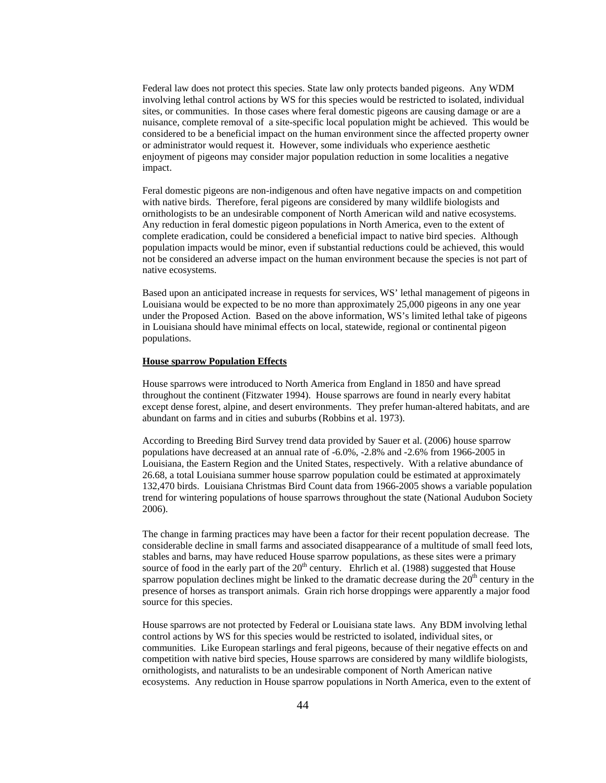Federal law does not protect this species. State law only protects banded pigeons. Any WDM involving lethal control actions by WS for this species would be restricted to isolated, individual sites, or communities. In those cases where feral domestic pigeons are causing damage or are a nuisance, complete removal of a site-specific local population might be achieved. This would be considered to be a beneficial impact on the human environment since the affected property owner or administrator would request it. However, some individuals who experience aesthetic enjoyment of pigeons may consider major population reduction in some localities a negative impact.

Feral domestic pigeons are non-indigenous and often have negative impacts on and competition with native birds. Therefore, feral pigeons are considered by many wildlife biologists and ornithologists to be an undesirable component of North American wild and native ecosystems. Any reduction in feral domestic pigeon populations in North America, even to the extent of complete eradication, could be considered a beneficial impact to native bird species. Although population impacts would be minor, even if substantial reductions could be achieved, this would not be considered an adverse impact on the human environment because the species is not part of native ecosystems.

Based upon an anticipated increase in requests for services, WS' lethal management of pigeons in Louisiana would be expected to be no more than approximately 25,000 pigeons in any one year under the Proposed Action. Based on the above information, WS's limited lethal take of pigeons in Louisiana should have minimal effects on local, statewide, regional or continental pigeon populations.

#### **House sparrow Population Effects**

House sparrows were introduced to North America from England in 1850 and have spread throughout the continent (Fitzwater 1994). House sparrows are found in nearly every habitat except dense forest, alpine, and desert environments. They prefer human-altered habitats, and are abundant on farms and in cities and suburbs (Robbins et al. 1973).

According to Breeding Bird Survey trend data provided by Sauer et al. (2006) house sparrow populations have decreased at an annual rate of -6.0%, -2.8% and -2.6% from 1966-2005 in Louisiana, the Eastern Region and the United States, respectively. With a relative abundance of 26.68, a total Louisiana summer house sparrow population could be estimated at approximately 132,470 birds. Louisiana Christmas Bird Count data from 1966-2005 shows a variable population trend for wintering populations of house sparrows throughout the state (National Audubon Society 2006).

The change in farming practices may have been a factor for their recent population decrease. The considerable decline in small farms and associated disappearance of a multitude of small feed lots, stables and barns, may have reduced House sparrow populations, as these sites were a primary source of food in the early part of the  $20<sup>th</sup>$  century. Ehrlich et al. (1988) suggested that House sparrow population declines might be linked to the dramatic decrease during the  $20<sup>th</sup>$  century in the presence of horses as transport animals. Grain rich horse droppings were apparently a major food source for this species.

House sparrows are not protected by Federal or Louisiana state laws. Any BDM involving lethal control actions by WS for this species would be restricted to isolated, individual sites, or communities. Like European starlings and feral pigeons, because of their negative effects on and competition with native bird species, House sparrows are considered by many wildlife biologists, ornithologists, and naturalists to be an undesirable component of North American native ecosystems. Any reduction in House sparrow populations in North America, even to the extent of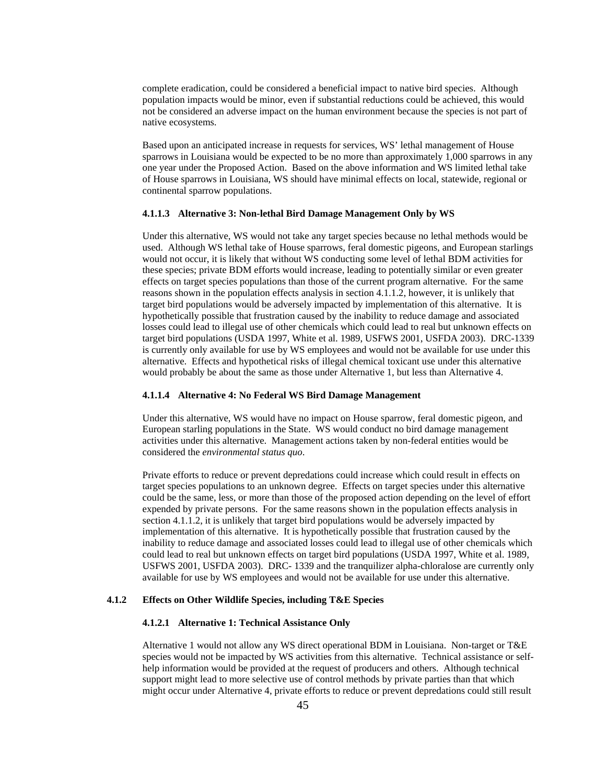complete eradication, could be considered a beneficial impact to native bird species. Although population impacts would be minor, even if substantial reductions could be achieved, this would not be considered an adverse impact on the human environment because the species is not part of native ecosystems.

Based upon an anticipated increase in requests for services, WS' lethal management of House sparrows in Louisiana would be expected to be no more than approximately 1,000 sparrows in any one year under the Proposed Action. Based on the above information and WS limited lethal take of House sparrows in Louisiana, WS should have minimal effects on local, statewide, regional or continental sparrow populations.

#### **4.1.1.3 Alternative 3: Non-lethal Bird Damage Management Only by WS**

Under this alternative, WS would not take any target species because no lethal methods would be used. Although WS lethal take of House sparrows, feral domestic pigeons, and European starlings would not occur, it is likely that without WS conducting some level of lethal BDM activities for these species; private BDM efforts would increase, leading to potentially similar or even greater effects on target species populations than those of the current program alternative. For the same reasons shown in the population effects analysis in section 4.1.1.2, however, it is unlikely that target bird populations would be adversely impacted by implementation of this alternative. It is hypothetically possible that frustration caused by the inability to reduce damage and associated losses could lead to illegal use of other chemicals which could lead to real but unknown effects on target bird populations (USDA 1997, White et al. 1989, USFWS 2001, USFDA 2003). DRC-1339 is currently only available for use by WS employees and would not be available for use under this alternative. Effects and hypothetical risks of illegal chemical toxicant use under this alternative would probably be about the same as those under Alternative 1, but less than Alternative 4.

#### **4.1.1.4 Alternative 4: No Federal WS Bird Damage Management**

 Under this alternative, WS would have no impact on House sparrow, feral domestic pigeon, and European starling populations in the State. WS would conduct no bird damage management activities under this alternative. Management actions taken by non-federal entities would be considered the *environmental status quo*.

Private efforts to reduce or prevent depredations could increase which could result in effects on target species populations to an unknown degree. Effects on target species under this alternative could be the same, less, or more than those of the proposed action depending on the level of effort expended by private persons. For the same reasons shown in the population effects analysis in section 4.1.1.2, it is unlikely that target bird populations would be adversely impacted by implementation of this alternative. It is hypothetically possible that frustration caused by the inability to reduce damage and associated losses could lead to illegal use of other chemicals which could lead to real but unknown effects on target bird populations (USDA 1997, White et al. 1989, USFWS 2001, USFDA 2003). DRC- 1339 and the tranquilizer alpha-chloralose are currently only available for use by WS employees and would not be available for use under this alternative.

### **4.1.2 Effects on Other Wildlife Species, including T&E Species**

### **4.1.2.1 Alternative 1: Technical Assistance Only**

 Alternative 1 would not allow any WS direct operational BDM in Louisiana. Non-target or T&E species would not be impacted by WS activities from this alternative. Technical assistance or selfhelp information would be provided at the request of producers and others. Although technical support might lead to more selective use of control methods by private parties than that which might occur under Alternative 4, private efforts to reduce or prevent depredations could still result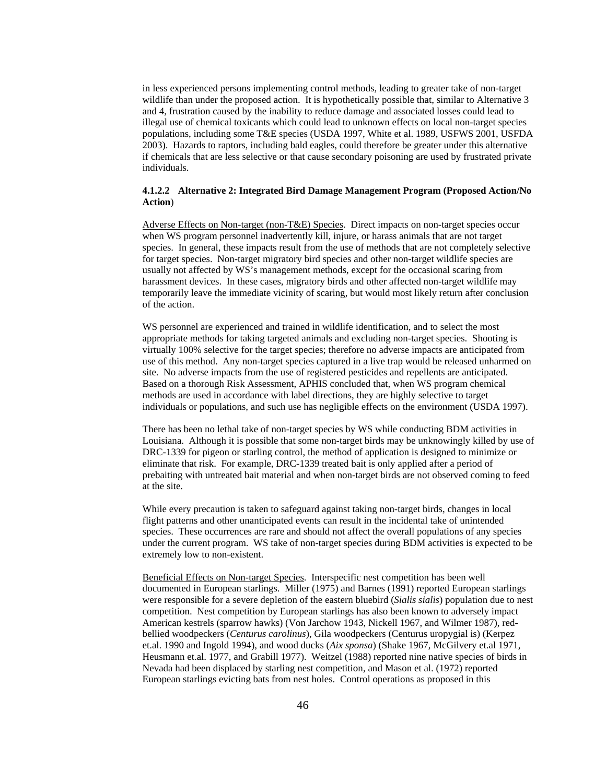in less experienced persons implementing control methods, leading to greater take of non-target wildlife than under the proposed action. It is hypothetically possible that, similar to Alternative 3 and 4, frustration caused by the inability to reduce damage and associated losses could lead to illegal use of chemical toxicants which could lead to unknown effects on local non-target species populations, including some T&E species (USDA 1997, White et al. 1989, USFWS 2001, USFDA 2003). Hazards to raptors, including bald eagles, could therefore be greater under this alternative if chemicals that are less selective or that cause secondary poisoning are used by frustrated private individuals.

## **4.1.2.2 Alternative 2: Integrated Bird Damage Management Program (Proposed Action/No Action**)

 Adverse Effects on Non-target (non-T&E) Species. Direct impacts on non-target species occur when WS program personnel inadvertently kill, injure, or harass animals that are not target species. In general, these impacts result from the use of methods that are not completely selective for target species. Non-target migratory bird species and other non-target wildlife species are usually not affected by WS's management methods, except for the occasional scaring from harassment devices. In these cases, migratory birds and other affected non-target wildlife may temporarily leave the immediate vicinity of scaring, but would most likely return after conclusion of the action.

WS personnel are experienced and trained in wildlife identification, and to select the most appropriate methods for taking targeted animals and excluding non-target species. Shooting is virtually 100% selective for the target species; therefore no adverse impacts are anticipated from use of this method. Any non-target species captured in a live trap would be released unharmed on site. No adverse impacts from the use of registered pesticides and repellents are anticipated. Based on a thorough Risk Assessment, APHIS concluded that, when WS program chemical methods are used in accordance with label directions, they are highly selective to target individuals or populations, and such use has negligible effects on the environment (USDA 1997).

There has been no lethal take of non-target species by WS while conducting BDM activities in Louisiana. Although it is possible that some non-target birds may be unknowingly killed by use of DRC-1339 for pigeon or starling control, the method of application is designed to minimize or eliminate that risk. For example, DRC-1339 treated bait is only applied after a period of prebaiting with untreated bait material and when non-target birds are not observed coming to feed at the site.

 While every precaution is taken to safeguard against taking non-target birds, changes in local flight patterns and other unanticipated events can result in the incidental take of unintended species. These occurrences are rare and should not affect the overall populations of any species under the current program. WS take of non-target species during BDM activities is expected to be extremely low to non-existent.

 Beneficial Effects on Non-target Species. Interspecific nest competition has been well documented in European starlings. Miller (1975) and Barnes (1991) reported European starlings were responsible for a severe depletion of the eastern bluebird (*Sialis sialis*) population due to nest competition. Nest competition by European starlings has also been known to adversely impact American kestrels (sparrow hawks) (Von Jarchow 1943, Nickell 1967, and Wilmer 1987), redbellied woodpeckers (*Centurus carolinus*), Gila woodpeckers (Centurus uropygial is) (Kerpez et.al. 1990 and Ingold 1994), and wood ducks (*Aix sponsa*) (Shake 1967, McGilvery et.al 1971, Heusmann et.al. 1977, and Grabill 1977). Weitzel (1988) reported nine native species of birds in Nevada had been displaced by starling nest competition, and Mason et al. (1972) reported European starlings evicting bats from nest holes. Control operations as proposed in this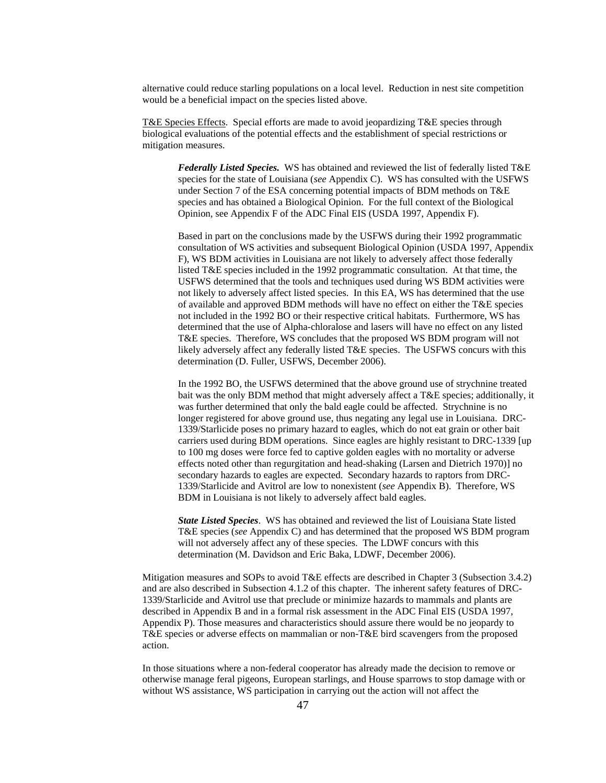alternative could reduce starling populations on a local level. Reduction in nest site competition would be a beneficial impact on the species listed above.

T&E Species Effects. Special efforts are made to avoid jeopardizing T&E species through biological evaluations of the potential effects and the establishment of special restrictions or mitigation measures.

*Federally Listed Species.* WS has obtained and reviewed the list of federally listed T&E species for the state of Louisiana (*see* Appendix C). WS has consulted with the USFWS under Section 7 of the ESA concerning potential impacts of BDM methods on T&E species and has obtained a Biological Opinion. For the full context of the Biological Opinion, see Appendix F of the ADC Final EIS (USDA 1997, Appendix F).

Based in part on the conclusions made by the USFWS during their 1992 programmatic consultation of WS activities and subsequent Biological Opinion (USDA 1997, Appendix F), WS BDM activities in Louisiana are not likely to adversely affect those federally listed T&E species included in the 1992 programmatic consultation. At that time, the USFWS determined that the tools and techniques used during WS BDM activities were not likely to adversely affect listed species. In this EA, WS has determined that the use of available and approved BDM methods will have no effect on either the T&E species not included in the 1992 BO or their respective critical habitats. Furthermore, WS has determined that the use of Alpha-chloralose and lasers will have no effect on any listed T&E species. Therefore, WS concludes that the proposed WS BDM program will not likely adversely affect any federally listed T&E species. The USFWS concurs with this determination (D. Fuller, USFWS, December 2006).

In the 1992 BO, the USFWS determined that the above ground use of strychnine treated bait was the only BDM method that might adversely affect a T&E species; additionally, it was further determined that only the bald eagle could be affected. Strychnine is no longer registered for above ground use, thus negating any legal use in Louisiana. DRC-1339/Starlicide poses no primary hazard to eagles, which do not eat grain or other bait carriers used during BDM operations. Since eagles are highly resistant to DRC-1339 [up to 100 mg doses were force fed to captive golden eagles with no mortality or adverse effects noted other than regurgitation and head-shaking (Larsen and Dietrich 1970)] no secondary hazards to eagles are expected. Secondary hazards to raptors from DRC-1339/Starlicide and Avitrol are low to nonexistent (*see* Appendix B). Therefore, WS BDM in Louisiana is not likely to adversely affect bald eagles.

*State Listed Species*. WS has obtained and reviewed the list of Louisiana State listed T&E species (*see* Appendix C) and has determined that the proposed WS BDM program will not adversely affect any of these species. The LDWF concurs with this determination (M. Davidson and Eric Baka, LDWF, December 2006).

 Mitigation measures and SOPs to avoid T&E effects are described in Chapter 3 (Subsection 3.4.2) and are also described in Subsection 4.1.2 of this chapter. The inherent safety features of DRC-1339/Starlicide and Avitrol use that preclude or minimize hazards to mammals and plants are described in Appendix B and in a formal risk assessment in the ADC Final EIS (USDA 1997, Appendix P). Those measures and characteristics should assure there would be no jeopardy to T&E species or adverse effects on mammalian or non-T&E bird scavengers from the proposed action.

In those situations where a non-federal cooperator has already made the decision to remove or otherwise manage feral pigeons, European starlings, and House sparrows to stop damage with or without WS assistance, WS participation in carrying out the action will not affect the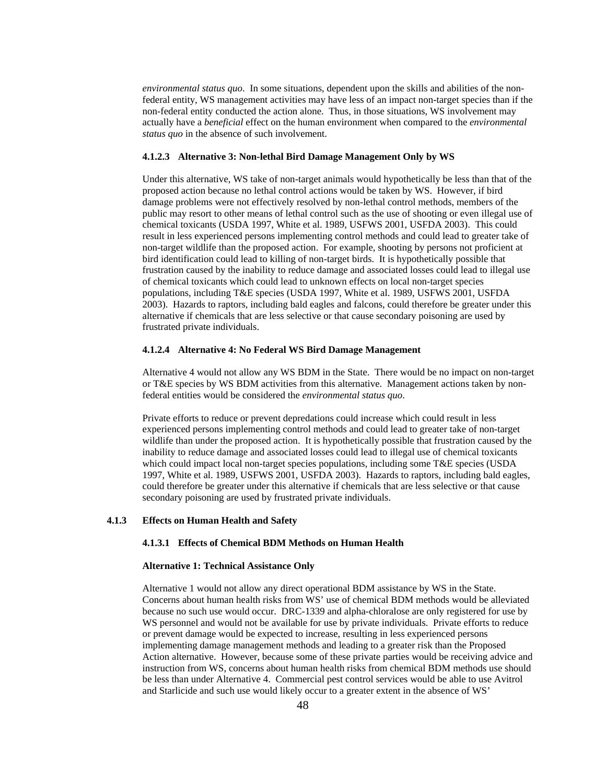*environmental status quo*. In some situations, dependent upon the skills and abilities of the nonfederal entity, WS management activities may have less of an impact non-target species than if the non-federal entity conducted the action alone. Thus, in those situations, WS involvement may actually have a *beneficial* effect on the human environment when compared to the *environmental status quo* in the absence of such involvement.

### **4.1.2.3 Alternative 3: Non-lethal Bird Damage Management Only by WS**

Under this alternative, WS take of non-target animals would hypothetically be less than that of the proposed action because no lethal control actions would be taken by WS. However, if bird damage problems were not effectively resolved by non-lethal control methods, members of the public may resort to other means of lethal control such as the use of shooting or even illegal use of chemical toxicants (USDA 1997, White et al. 1989, USFWS 2001, USFDA 2003). This could result in less experienced persons implementing control methods and could lead to greater take of non-target wildlife than the proposed action. For example, shooting by persons not proficient at bird identification could lead to killing of non-target birds. It is hypothetically possible that frustration caused by the inability to reduce damage and associated losses could lead to illegal use of chemical toxicants which could lead to unknown effects on local non-target species populations, including T&E species (USDA 1997, White et al. 1989, USFWS 2001, USFDA 2003). Hazards to raptors, including bald eagles and falcons, could therefore be greater under this alternative if chemicals that are less selective or that cause secondary poisoning are used by frustrated private individuals.

### **4.1.2.4 Alternative 4: No Federal WS Bird Damage Management**

 Alternative 4 would not allow any WS BDM in the State. There would be no impact on non-target or T&E species by WS BDM activities from this alternative. Management actions taken by nonfederal entities would be considered the *environmental status quo*.

Private efforts to reduce or prevent depredations could increase which could result in less experienced persons implementing control methods and could lead to greater take of non-target wildlife than under the proposed action. It is hypothetically possible that frustration caused by the inability to reduce damage and associated losses could lead to illegal use of chemical toxicants which could impact local non-target species populations, including some T&E species (USDA 1997, White et al. 1989, USFWS 2001, USFDA 2003). Hazards to raptors, including bald eagles, could therefore be greater under this alternative if chemicals that are less selective or that cause secondary poisoning are used by frustrated private individuals.

### **4.1.3 Effects on Human Health and Safety**

# **4.1.3.1 Effects of Chemical BDM Methods on Human Health**

#### **Alternative 1: Technical Assistance Only**

 Alternative 1 would not allow any direct operational BDM assistance by WS in the State. Concerns about human health risks from WS' use of chemical BDM methods would be alleviated because no such use would occur. DRC-1339 and alpha-chloralose are only registered for use by WS personnel and would not be available for use by private individuals. Private efforts to reduce or prevent damage would be expected to increase, resulting in less experienced persons implementing damage management methods and leading to a greater risk than the Proposed Action alternative. However, because some of these private parties would be receiving advice and instruction from WS, concerns about human health risks from chemical BDM methods use should be less than under Alternative 4. Commercial pest control services would be able to use Avitrol and Starlicide and such use would likely occur to a greater extent in the absence of WS'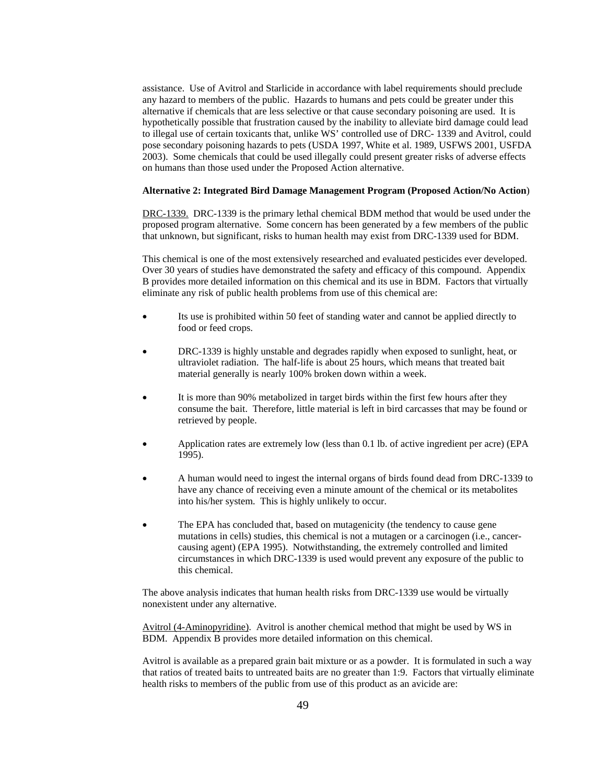assistance. Use of Avitrol and Starlicide in accordance with label requirements should preclude any hazard to members of the public. Hazards to humans and pets could be greater under this alternative if chemicals that are less selective or that cause secondary poisoning are used. It is hypothetically possible that frustration caused by the inability to alleviate bird damage could lead to illegal use of certain toxicants that, unlike WS' controlled use of DRC- 1339 and Avitrol, could pose secondary poisoning hazards to pets (USDA 1997, White et al. 1989, USFWS 2001, USFDA 2003). Some chemicals that could be used illegally could present greater risks of adverse effects on humans than those used under the Proposed Action alternative.

### **Alternative 2: Integrated Bird Damage Management Program (Proposed Action/No Action**)

 DRC-1339. DRC-1339 is the primary lethal chemical BDM method that would be used under the proposed program alternative. Some concern has been generated by a few members of the public that unknown, but significant, risks to human health may exist from DRC-1339 used for BDM.

 This chemical is one of the most extensively researched and evaluated pesticides ever developed. Over 30 years of studies have demonstrated the safety and efficacy of this compound. Appendix B provides more detailed information on this chemical and its use in BDM. Factors that virtually eliminate any risk of public health problems from use of this chemical are:

- Its use is prohibited within 50 feet of standing water and cannot be applied directly to food or feed crops.
- DRC-1339 is highly unstable and degrades rapidly when exposed to sunlight, heat, or ultraviolet radiation. The half-life is about 25 hours, which means that treated bait material generally is nearly 100% broken down within a week.
- It is more than 90% metabolized in target birds within the first few hours after they consume the bait. Therefore, little material is left in bird carcasses that may be found or retrieved by people.
- Application rates are extremely low (less than 0.1 lb. of active ingredient per acre) (EPA 1995).
- A human would need to ingest the internal organs of birds found dead from DRC-1339 to have any chance of receiving even a minute amount of the chemical or its metabolites into his/her system. This is highly unlikely to occur.
- The EPA has concluded that, based on mutagenicity (the tendency to cause gene mutations in cells) studies, this chemical is not a mutagen or a carcinogen (i.e., cancercausing agent) (EPA 1995). Notwithstanding, the extremely controlled and limited circumstances in which DRC-1339 is used would prevent any exposure of the public to this chemical.

 The above analysis indicates that human health risks from DRC-1339 use would be virtually nonexistent under any alternative.

 Avitrol (4-Aminopyridine). Avitrol is another chemical method that might be used by WS in BDM. Appendix B provides more detailed information on this chemical.

 Avitrol is available as a prepared grain bait mixture or as a powder. It is formulated in such a way that ratios of treated baits to untreated baits are no greater than 1:9. Factors that virtually eliminate health risks to members of the public from use of this product as an avicide are: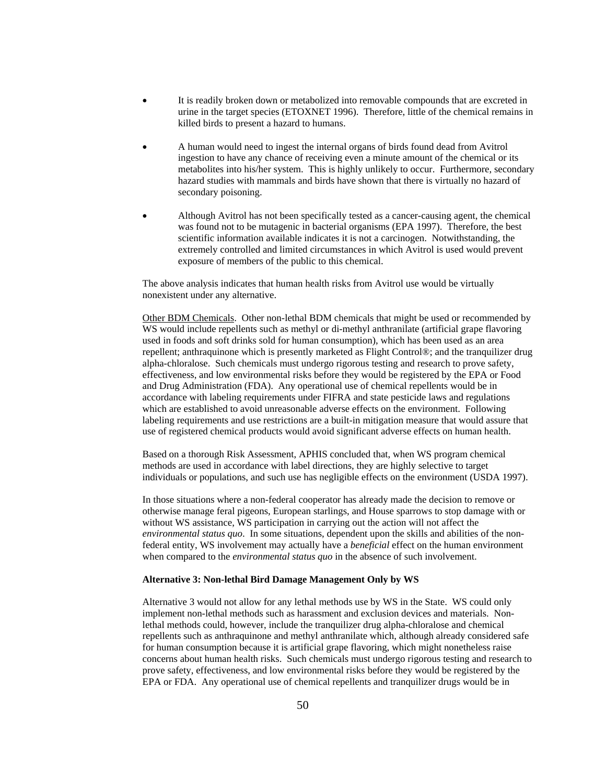- It is readily broken down or metabolized into removable compounds that are excreted in urine in the target species (ETOXNET 1996). Therefore, little of the chemical remains in killed birds to present a hazard to humans.
- A human would need to ingest the internal organs of birds found dead from Avitrol ingestion to have any chance of receiving even a minute amount of the chemical or its metabolites into his/her system. This is highly unlikely to occur. Furthermore, secondary hazard studies with mammals and birds have shown that there is virtually no hazard of secondary poisoning.
- Although Avitrol has not been specifically tested as a cancer-causing agent, the chemical was found not to be mutagenic in bacterial organisms (EPA 1997). Therefore, the best scientific information available indicates it is not a carcinogen. Notwithstanding, the extremely controlled and limited circumstances in which Avitrol is used would prevent exposure of members of the public to this chemical.

 The above analysis indicates that human health risks from Avitrol use would be virtually nonexistent under any alternative.

 Other BDM Chemicals. Other non-lethal BDM chemicals that might be used or recommended by WS would include repellents such as methyl or di-methyl anthranilate (artificial grape flavoring used in foods and soft drinks sold for human consumption), which has been used as an area repellent; anthraquinone which is presently marketed as Flight Control®; and the tranquilizer drug alpha-chloralose. Such chemicals must undergo rigorous testing and research to prove safety, effectiveness, and low environmental risks before they would be registered by the EPA or Food and Drug Administration (FDA). Any operational use of chemical repellents would be in accordance with labeling requirements under FIFRA and state pesticide laws and regulations which are established to avoid unreasonable adverse effects on the environment. Following labeling requirements and use restrictions are a built-in mitigation measure that would assure that use of registered chemical products would avoid significant adverse effects on human health.

 Based on a thorough Risk Assessment, APHIS concluded that, when WS program chemical methods are used in accordance with label directions, they are highly selective to target individuals or populations, and such use has negligible effects on the environment (USDA 1997).

In those situations where a non-federal cooperator has already made the decision to remove or otherwise manage feral pigeons, European starlings, and House sparrows to stop damage with or without WS assistance, WS participation in carrying out the action will not affect the *environmental status quo*. In some situations, dependent upon the skills and abilities of the nonfederal entity, WS involvement may actually have a *beneficial* effect on the human environment when compared to the *environmental status quo* in the absence of such involvement.

### **Alternative 3: Non-lethal Bird Damage Management Only by WS**

 Alternative 3 would not allow for any lethal methods use by WS in the State. WS could only implement non-lethal methods such as harassment and exclusion devices and materials. Nonlethal methods could, however, include the tranquilizer drug alpha-chloralose and chemical repellents such as anthraquinone and methyl anthranilate which, although already considered safe for human consumption because it is artificial grape flavoring, which might nonetheless raise concerns about human health risks. Such chemicals must undergo rigorous testing and research to prove safety, effectiveness, and low environmental risks before they would be registered by the EPA or FDA. Any operational use of chemical repellents and tranquilizer drugs would be in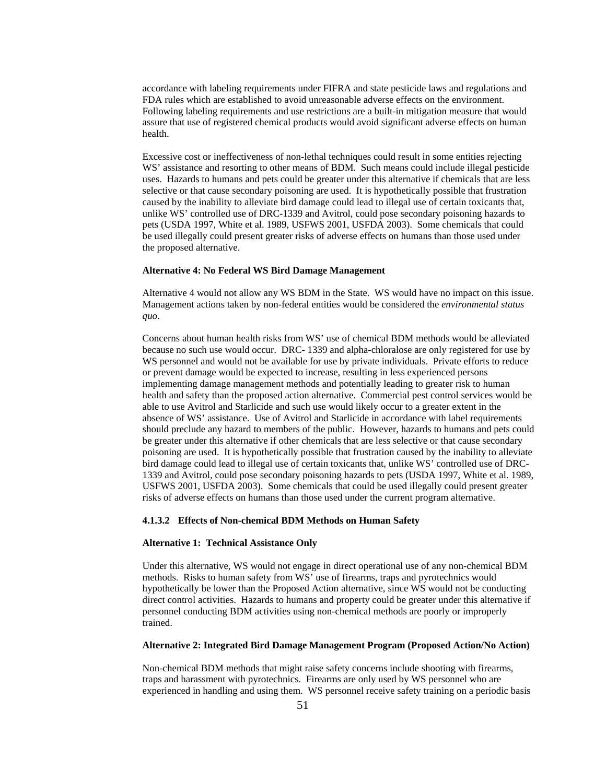accordance with labeling requirements under FIFRA and state pesticide laws and regulations and FDA rules which are established to avoid unreasonable adverse effects on the environment. Following labeling requirements and use restrictions are a built-in mitigation measure that would assure that use of registered chemical products would avoid significant adverse effects on human health.

 Excessive cost or ineffectiveness of non-lethal techniques could result in some entities rejecting WS' assistance and resorting to other means of BDM. Such means could include illegal pesticide uses. Hazards to humans and pets could be greater under this alternative if chemicals that are less selective or that cause secondary poisoning are used. It is hypothetically possible that frustration caused by the inability to alleviate bird damage could lead to illegal use of certain toxicants that, unlike WS' controlled use of DRC-1339 and Avitrol, could pose secondary poisoning hazards to pets (USDA 1997, White et al. 1989, USFWS 2001, USFDA 2003). Some chemicals that could be used illegally could present greater risks of adverse effects on humans than those used under the proposed alternative.

### **Alternative 4: No Federal WS Bird Damage Management**

 Alternative 4 would not allow any WS BDM in the State. WS would have no impact on this issue. Management actions taken by non-federal entities would be considered the *environmental status quo*.

Concerns about human health risks from WS' use of chemical BDM methods would be alleviated because no such use would occur. DRC- 1339 and alpha-chloralose are only registered for use by WS personnel and would not be available for use by private individuals. Private efforts to reduce or prevent damage would be expected to increase, resulting in less experienced persons implementing damage management methods and potentially leading to greater risk to human health and safety than the proposed action alternative. Commercial pest control services would be able to use Avitrol and Starlicide and such use would likely occur to a greater extent in the absence of WS' assistance. Use of Avitrol and Starlicide in accordance with label requirements should preclude any hazard to members of the public. However, hazards to humans and pets could be greater under this alternative if other chemicals that are less selective or that cause secondary poisoning are used. It is hypothetically possible that frustration caused by the inability to alleviate bird damage could lead to illegal use of certain toxicants that, unlike WS' controlled use of DRC-1339 and Avitrol, could pose secondary poisoning hazards to pets (USDA 1997, White et al. 1989, USFWS 2001, USFDA 2003). Some chemicals that could be used illegally could present greater risks of adverse effects on humans than those used under the current program alternative.

### **4.1.3.2 Effects of Non-chemical BDM Methods on Human Safety**

### **Alternative 1: Technical Assistance Only**

Under this alternative, WS would not engage in direct operational use of any non-chemical BDM methods. Risks to human safety from WS' use of firearms, traps and pyrotechnics would hypothetically be lower than the Proposed Action alternative, since WS would not be conducting direct control activities. Hazards to humans and property could be greater under this alternative if personnel conducting BDM activities using non-chemical methods are poorly or improperly trained.

#### **Alternative 2: Integrated Bird Damage Management Program (Proposed Action/No Action)**

 Non-chemical BDM methods that might raise safety concerns include shooting with firearms, traps and harassment with pyrotechnics. Firearms are only used by WS personnel who are experienced in handling and using them. WS personnel receive safety training on a periodic basis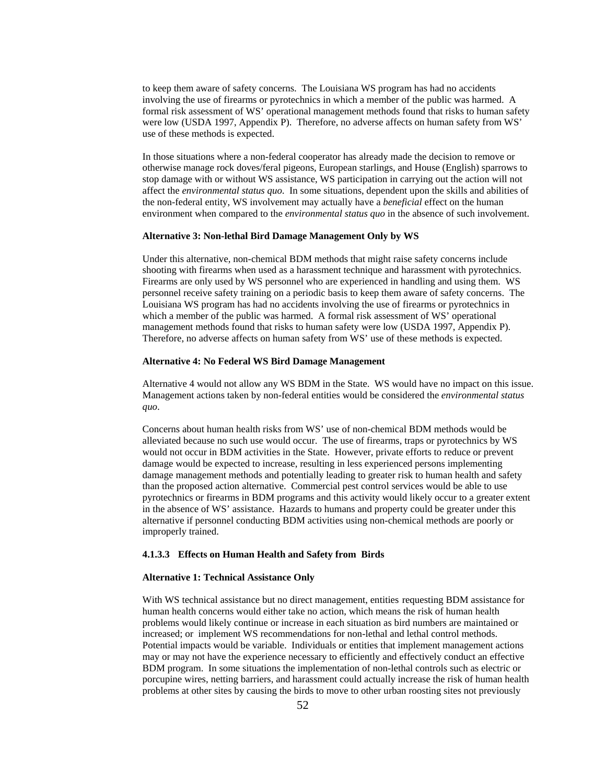to keep them aware of safety concerns. The Louisiana WS program has had no accidents involving the use of firearms or pyrotechnics in which a member of the public was harmed. A formal risk assessment of WS' operational management methods found that risks to human safety were low (USDA 1997, Appendix P). Therefore, no adverse affects on human safety from WS' use of these methods is expected.

 In those situations where a non-federal cooperator has already made the decision to remove or otherwise manage rock doves/feral pigeons, European starlings, and House (English) sparrows to stop damage with or without WS assistance, WS participation in carrying out the action will not affect the *environmental status quo*. In some situations, dependent upon the skills and abilities of the non-federal entity, WS involvement may actually have a *beneficial* effect on the human environment when compared to the *environmental status quo* in the absence of such involvement.

#### **Alternative 3: Non-lethal Bird Damage Management Only by WS**

 Under this alternative, non-chemical BDM methods that might raise safety concerns include shooting with firearms when used as a harassment technique and harassment with pyrotechnics. Firearms are only used by WS personnel who are experienced in handling and using them. WS personnel receive safety training on a periodic basis to keep them aware of safety concerns. The Louisiana WS program has had no accidents involving the use of firearms or pyrotechnics in which a member of the public was harmed. A formal risk assessment of WS' operational management methods found that risks to human safety were low (USDA 1997, Appendix P). Therefore, no adverse affects on human safety from WS' use of these methods is expected.

#### **Alternative 4: No Federal WS Bird Damage Management**

Alternative 4 would not allow any WS BDM in the State. WS would have no impact on this issue. Management actions taken by non-federal entities would be considered the *environmental status quo*.

Concerns about human health risks from WS' use of non-chemical BDM methods would be alleviated because no such use would occur. The use of firearms, traps or pyrotechnics by WS would not occur in BDM activities in the State. However, private efforts to reduce or prevent damage would be expected to increase, resulting in less experienced persons implementing damage management methods and potentially leading to greater risk to human health and safety than the proposed action alternative. Commercial pest control services would be able to use pyrotechnics or firearms in BDM programs and this activity would likely occur to a greater extent in the absence of WS' assistance. Hazards to humans and property could be greater under this alternative if personnel conducting BDM activities using non-chemical methods are poorly or improperly trained.

### **4.1.3.3 Effects on Human Health and Safety from Birds**

### **Alternative 1: Technical Assistance Only**

With WS technical assistance but no direct management, entities requesting BDM assistance for human health concerns would either take no action, which means the risk of human health problems would likely continue or increase in each situation as bird numbers are maintained or increased; or implement WS recommendations for non-lethal and lethal control methods. Potential impacts would be variable. Individuals or entities that implement management actions may or may not have the experience necessary to efficiently and effectively conduct an effective BDM program. In some situations the implementation of non-lethal controls such as electric or porcupine wires, netting barriers, and harassment could actually increase the risk of human health problems at other sites by causing the birds to move to other urban roosting sites not previously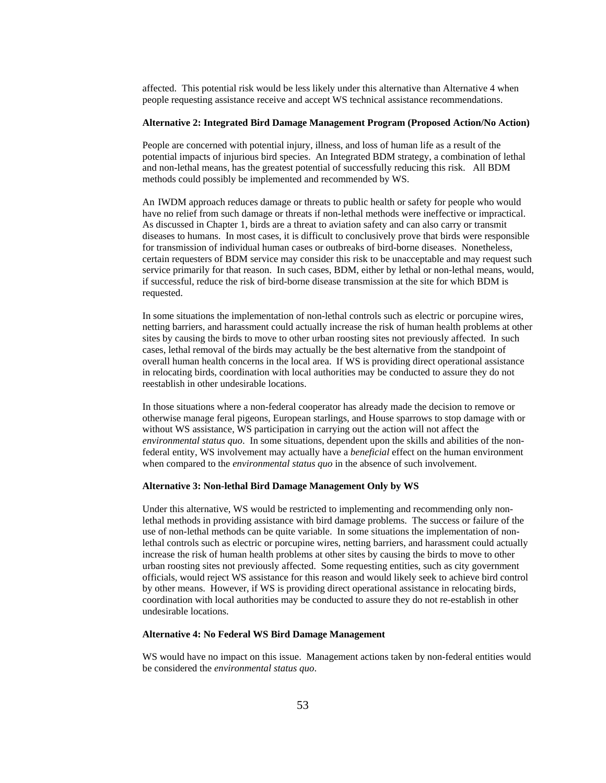affected. This potential risk would be less likely under this alternative than Alternative 4 when people requesting assistance receive and accept WS technical assistance recommendations.

### **Alternative 2: Integrated Bird Damage Management Program (Proposed Action/No Action)**

 People are concerned with potential injury, illness, and loss of human life as a result of the potential impacts of injurious bird species. An Integrated BDM strategy, a combination of lethal and non-lethal means, has the greatest potential of successfully reducing this risk. All BDM methods could possibly be implemented and recommended by WS.

An IWDM approach reduces damage or threats to public health or safety for people who would have no relief from such damage or threats if non-lethal methods were ineffective or impractical. As discussed in Chapter 1, birds are a threat to aviation safety and can also carry or transmit diseases to humans. In most cases, it is difficult to conclusively prove that birds were responsible for transmission of individual human cases or outbreaks of bird-borne diseases. Nonetheless, certain requesters of BDM service may consider this risk to be unacceptable and may request such service primarily for that reason. In such cases, BDM, either by lethal or non-lethal means, would, if successful, reduce the risk of bird-borne disease transmission at the site for which BDM is requested.

 In some situations the implementation of non-lethal controls such as electric or porcupine wires, netting barriers, and harassment could actually increase the risk of human health problems at other sites by causing the birds to move to other urban roosting sites not previously affected. In such cases, lethal removal of the birds may actually be the best alternative from the standpoint of overall human health concerns in the local area. If WS is providing direct operational assistance in relocating birds, coordination with local authorities may be conducted to assure they do not reestablish in other undesirable locations.

In those situations where a non-federal cooperator has already made the decision to remove or otherwise manage feral pigeons, European starlings, and House sparrows to stop damage with or without WS assistance, WS participation in carrying out the action will not affect the *environmental status quo*. In some situations, dependent upon the skills and abilities of the nonfederal entity, WS involvement may actually have a *beneficial* effect on the human environment when compared to the *environmental status quo* in the absence of such involvement.

#### **Alternative 3: Non-lethal Bird Damage Management Only by WS**

 Under this alternative, WS would be restricted to implementing and recommending only nonlethal methods in providing assistance with bird damage problems. The success or failure of the use of non-lethal methods can be quite variable. In some situations the implementation of nonlethal controls such as electric or porcupine wires, netting barriers, and harassment could actually increase the risk of human health problems at other sites by causing the birds to move to other urban roosting sites not previously affected. Some requesting entities, such as city government officials, would reject WS assistance for this reason and would likely seek to achieve bird control by other means. However, if WS is providing direct operational assistance in relocating birds, coordination with local authorities may be conducted to assure they do not re-establish in other undesirable locations.

#### **Alternative 4: No Federal WS Bird Damage Management**

 WS would have no impact on this issue. Management actions taken by non-federal entities would be considered the *environmental status quo*.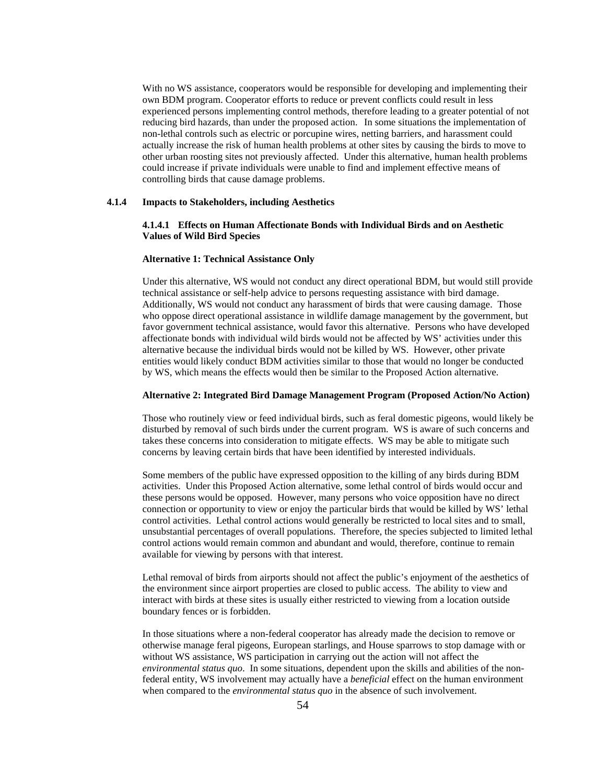With no WS assistance, cooperators would be responsible for developing and implementing their own BDM program. Cooperator efforts to reduce or prevent conflicts could result in less experienced persons implementing control methods, therefore leading to a greater potential of not reducing bird hazards, than under the proposed action. In some situations the implementation of non-lethal controls such as electric or porcupine wires, netting barriers, and harassment could actually increase the risk of human health problems at other sites by causing the birds to move to other urban roosting sites not previously affected. Under this alternative, human health problems could increase if private individuals were unable to find and implement effective means of controlling birds that cause damage problems.

# **4.1.4 Impacts to Stakeholders, including Aesthetics**

### **4.1.4.1 Effects on Human Affectionate Bonds with Individual Birds and on Aesthetic Values of Wild Bird Species**

### **Alternative 1: Technical Assistance Only**

Under this alternative, WS would not conduct any direct operational BDM, but would still provide technical assistance or self-help advice to persons requesting assistance with bird damage. Additionally, WS would not conduct any harassment of birds that were causing damage. Those who oppose direct operational assistance in wildlife damage management by the government, but favor government technical assistance, would favor this alternative. Persons who have developed affectionate bonds with individual wild birds would not be affected by WS' activities under this alternative because the individual birds would not be killed by WS. However, other private entities would likely conduct BDM activities similar to those that would no longer be conducted by WS, which means the effects would then be similar to the Proposed Action alternative.

#### **Alternative 2: Integrated Bird Damage Management Program (Proposed Action/No Action)**

 Those who routinely view or feed individual birds, such as feral domestic pigeons, would likely be disturbed by removal of such birds under the current program. WS is aware of such concerns and takes these concerns into consideration to mitigate effects. WS may be able to mitigate such concerns by leaving certain birds that have been identified by interested individuals.

 Some members of the public have expressed opposition to the killing of any birds during BDM activities. Under this Proposed Action alternative, some lethal control of birds would occur and these persons would be opposed. However, many persons who voice opposition have no direct connection or opportunity to view or enjoy the particular birds that would be killed by WS' lethal control activities. Lethal control actions would generally be restricted to local sites and to small, unsubstantial percentages of overall populations. Therefore, the species subjected to limited lethal control actions would remain common and abundant and would, therefore, continue to remain available for viewing by persons with that interest.

Lethal removal of birds from airports should not affect the public's enjoyment of the aesthetics of the environment since airport properties are closed to public access. The ability to view and interact with birds at these sites is usually either restricted to viewing from a location outside boundary fences or is forbidden.

In those situations where a non-federal cooperator has already made the decision to remove or otherwise manage feral pigeons, European starlings, and House sparrows to stop damage with or without WS assistance, WS participation in carrying out the action will not affect the *environmental status quo*. In some situations, dependent upon the skills and abilities of the nonfederal entity, WS involvement may actually have a *beneficial* effect on the human environment when compared to the *environmental status quo* in the absence of such involvement.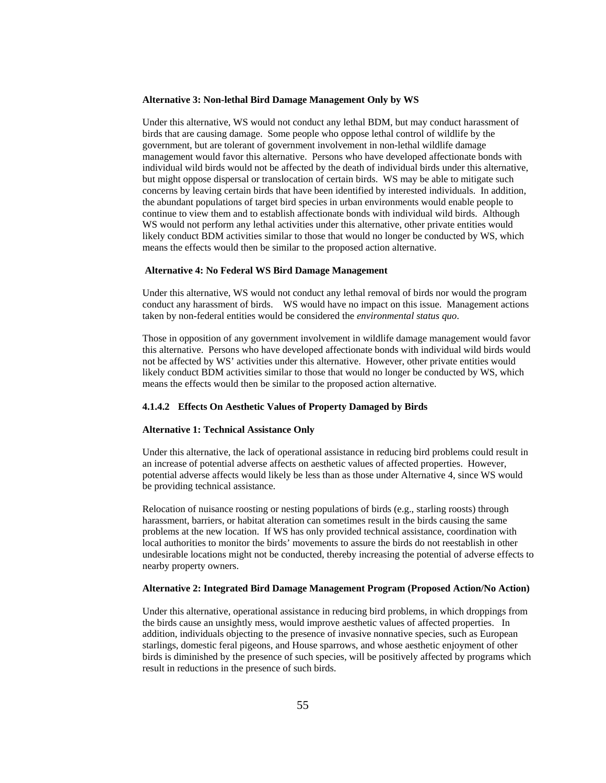#### **Alternative 3: Non-lethal Bird Damage Management Only by WS**

 Under this alternative, WS would not conduct any lethal BDM, but may conduct harassment of birds that are causing damage. Some people who oppose lethal control of wildlife by the government, but are tolerant of government involvement in non-lethal wildlife damage management would favor this alternative. Persons who have developed affectionate bonds with individual wild birds would not be affected by the death of individual birds under this alternative, but might oppose dispersal or translocation of certain birds. WS may be able to mitigate such concerns by leaving certain birds that have been identified by interested individuals. In addition, the abundant populations of target bird species in urban environments would enable people to continue to view them and to establish affectionate bonds with individual wild birds. Although WS would not perform any lethal activities under this alternative, other private entities would likely conduct BDM activities similar to those that would no longer be conducted by WS, which means the effects would then be similar to the proposed action alternative.

#### **Alternative 4: No Federal WS Bird Damage Management**

 Under this alternative, WS would not conduct any lethal removal of birds nor would the program conduct any harassment of birds. WS would have no impact on this issue. Management actions taken by non-federal entities would be considered the *environmental status quo*.

Those in opposition of any government involvement in wildlife damage management would favor this alternative. Persons who have developed affectionate bonds with individual wild birds would not be affected by WS' activities under this alternative. However, other private entities would likely conduct BDM activities similar to those that would no longer be conducted by WS, which means the effects would then be similar to the proposed action alternative.

#### **4.1.4.2 Effects On Aesthetic Values of Property Damaged by Birds**

#### **Alternative 1: Technical Assistance Only**

 Under this alternative, the lack of operational assistance in reducing bird problems could result in an increase of potential adverse affects on aesthetic values of affected properties. However, potential adverse affects would likely be less than as those under Alternative 4, since WS would be providing technical assistance.

Relocation of nuisance roosting or nesting populations of birds (e.g., starling roosts) through harassment, barriers, or habitat alteration can sometimes result in the birds causing the same problems at the new location. If WS has only provided technical assistance, coordination with local authorities to monitor the birds' movements to assure the birds do not reestablish in other undesirable locations might not be conducted, thereby increasing the potential of adverse effects to nearby property owners.

#### **Alternative 2: Integrated Bird Damage Management Program (Proposed Action/No Action)**

 Under this alternative, operational assistance in reducing bird problems, in which droppings from the birds cause an unsightly mess, would improve aesthetic values of affected properties. In addition, individuals objecting to the presence of invasive nonnative species, such as European starlings, domestic feral pigeons, and House sparrows, and whose aesthetic enjoyment of other birds is diminished by the presence of such species, will be positively affected by programs which result in reductions in the presence of such birds.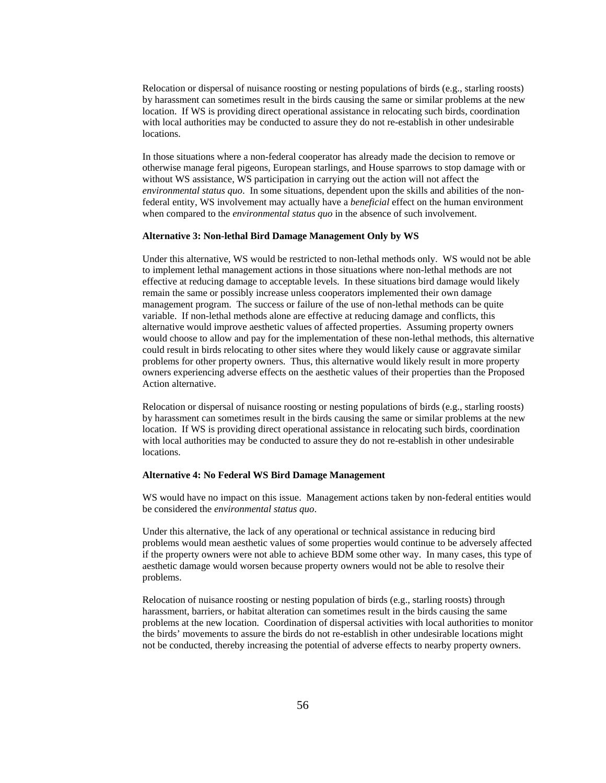Relocation or dispersal of nuisance roosting or nesting populations of birds (e.g., starling roosts) by harassment can sometimes result in the birds causing the same or similar problems at the new location. If WS is providing direct operational assistance in relocating such birds, coordination with local authorities may be conducted to assure they do not re-establish in other undesirable locations.

In those situations where a non-federal cooperator has already made the decision to remove or otherwise manage feral pigeons, European starlings, and House sparrows to stop damage with or without WS assistance, WS participation in carrying out the action will not affect the *environmental status quo*. In some situations, dependent upon the skills and abilities of the nonfederal entity, WS involvement may actually have a *beneficial* effect on the human environment when compared to the *environmental status quo* in the absence of such involvement.

#### **Alternative 3: Non-lethal Bird Damage Management Only by WS**

 Under this alternative, WS would be restricted to non-lethal methods only. WS would not be able to implement lethal management actions in those situations where non-lethal methods are not effective at reducing damage to acceptable levels. In these situations bird damage would likely remain the same or possibly increase unless cooperators implemented their own damage management program. The success or failure of the use of non-lethal methods can be quite variable. If non-lethal methods alone are effective at reducing damage and conflicts, this alternative would improve aesthetic values of affected properties. Assuming property owners would choose to allow and pay for the implementation of these non-lethal methods, this alternative could result in birds relocating to other sites where they would likely cause or aggravate similar problems for other property owners. Thus, this alternative would likely result in more property owners experiencing adverse effects on the aesthetic values of their properties than the Proposed Action alternative.

 Relocation or dispersal of nuisance roosting or nesting populations of birds (e.g., starling roosts) by harassment can sometimes result in the birds causing the same or similar problems at the new location. If WS is providing direct operational assistance in relocating such birds, coordination with local authorities may be conducted to assure they do not re-establish in other undesirable locations.

#### **Alternative 4: No Federal WS Bird Damage Management**

 WS would have no impact on this issue. Management actions taken by non-federal entities would be considered the *environmental status quo*.

Under this alternative, the lack of any operational or technical assistance in reducing bird problems would mean aesthetic values of some properties would continue to be adversely affected if the property owners were not able to achieve BDM some other way. In many cases, this type of aesthetic damage would worsen because property owners would not be able to resolve their problems.

 Relocation of nuisance roosting or nesting population of birds (e.g., starling roosts) through harassment, barriers, or habitat alteration can sometimes result in the birds causing the same problems at the new location. Coordination of dispersal activities with local authorities to monitor the birds' movements to assure the birds do not re-establish in other undesirable locations might not be conducted, thereby increasing the potential of adverse effects to nearby property owners.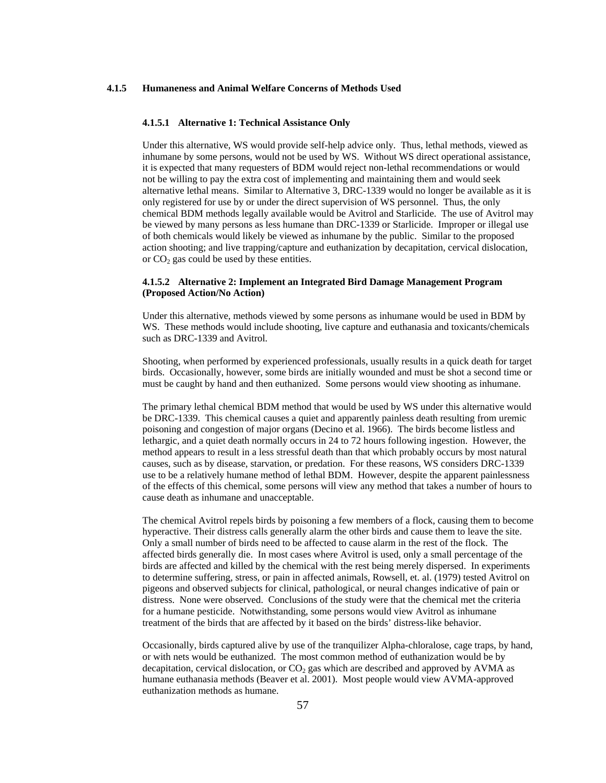#### **4.1.5 Humaneness and Animal Welfare Concerns of Methods Used**

#### **4.1.5.1 Alternative 1: Technical Assistance Only**

 Under this alternative, WS would provide self-help advice only. Thus, lethal methods, viewed as inhumane by some persons, would not be used by WS. Without WS direct operational assistance, it is expected that many requesters of BDM would reject non-lethal recommendations or would not be willing to pay the extra cost of implementing and maintaining them and would seek alternative lethal means. Similar to Alternative 3, DRC-1339 would no longer be available as it is only registered for use by or under the direct supervision of WS personnel. Thus, the only chemical BDM methods legally available would be Avitrol and Starlicide. The use of Avitrol may be viewed by many persons as less humane than DRC-1339 or Starlicide. Improper or illegal use of both chemicals would likely be viewed as inhumane by the public. Similar to the proposed action shooting; and live trapping/capture and euthanization by decapitation, cervical dislocation, or  $CO<sub>2</sub>$  gas could be used by these entities.

## **4.1.5.2 Alternative 2: Implement an Integrated Bird Damage Management Program (Proposed Action/No Action)**

 Under this alternative, methods viewed by some persons as inhumane would be used in BDM by WS. These methods would include shooting, live capture and euthanasia and toxicants/chemicals such as DRC-1339 and Avitrol.

 Shooting, when performed by experienced professionals, usually results in a quick death for target birds. Occasionally, however, some birds are initially wounded and must be shot a second time or must be caught by hand and then euthanized. Some persons would view shooting as inhumane.

 The primary lethal chemical BDM method that would be used by WS under this alternative would be DRC-1339. This chemical causes a quiet and apparently painless death resulting from uremic poisoning and congestion of major organs (Decino et al. 1966). The birds become listless and lethargic, and a quiet death normally occurs in 24 to 72 hours following ingestion. However, the method appears to result in a less stressful death than that which probably occurs by most natural causes, such as by disease, starvation, or predation. For these reasons, WS considers DRC-1339 use to be a relatively humane method of lethal BDM. However, despite the apparent painlessness of the effects of this chemical, some persons will view any method that takes a number of hours to cause death as inhumane and unacceptable.

 The chemical Avitrol repels birds by poisoning a few members of a flock, causing them to become hyperactive. Their distress calls generally alarm the other birds and cause them to leave the site. Only a small number of birds need to be affected to cause alarm in the rest of the flock. The affected birds generally die. In most cases where Avitrol is used, only a small percentage of the birds are affected and killed by the chemical with the rest being merely dispersed. In experiments to determine suffering, stress, or pain in affected animals, Rowsell, et. al. (1979) tested Avitrol on pigeons and observed subjects for clinical, pathological, or neural changes indicative of pain or distress. None were observed. Conclusions of the study were that the chemical met the criteria for a humane pesticide. Notwithstanding, some persons would view Avitrol as inhumane treatment of the birds that are affected by it based on the birds' distress-like behavior.

 Occasionally, birds captured alive by use of the tranquilizer Alpha-chloralose, cage traps, by hand, or with nets would be euthanized. The most common method of euthanization would be by decapitation, cervical dislocation, or  $CO<sub>2</sub>$  gas which are described and approved by AVMA as humane euthanasia methods (Beaver et al. 2001). Most people would view AVMA-approved euthanization methods as humane.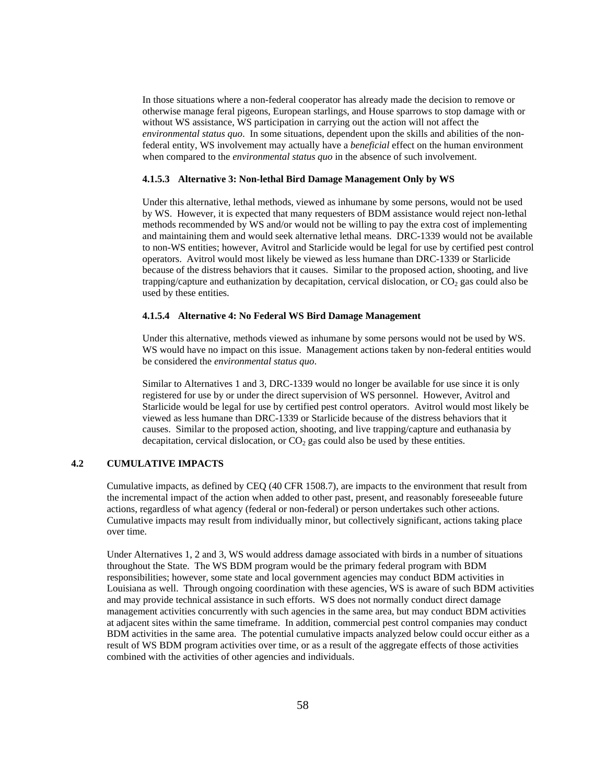In those situations where a non-federal cooperator has already made the decision to remove or otherwise manage feral pigeons, European starlings, and House sparrows to stop damage with or without WS assistance, WS participation in carrying out the action will not affect the *environmental status quo*. In some situations, dependent upon the skills and abilities of the nonfederal entity, WS involvement may actually have a *beneficial* effect on the human environment when compared to the *environmental status quo* in the absence of such involvement.

#### **4.1.5.3 Alternative 3: Non-lethal Bird Damage Management Only by WS**

 Under this alternative, lethal methods, viewed as inhumane by some persons, would not be used by WS. However, it is expected that many requesters of BDM assistance would reject non-lethal methods recommended by WS and/or would not be willing to pay the extra cost of implementing and maintaining them and would seek alternative lethal means. DRC-1339 would not be available to non-WS entities; however, Avitrol and Starlicide would be legal for use by certified pest control operators. Avitrol would most likely be viewed as less humane than DRC-1339 or Starlicide because of the distress behaviors that it causes. Similar to the proposed action, shooting, and live trapping/capture and euthanization by decapitation, cervical dislocation, or  $CO<sub>2</sub>$  gas could also be used by these entities.

### **4.1.5.4 Alternative 4: No Federal WS Bird Damage Management**

 Under this alternative, methods viewed as inhumane by some persons would not be used by WS. WS would have no impact on this issue. Management actions taken by non-federal entities would be considered the *environmental status quo*.

Similar to Alternatives 1 and 3, DRC-1339 would no longer be available for use since it is only registered for use by or under the direct supervision of WS personnel. However, Avitrol and Starlicide would be legal for use by certified pest control operators. Avitrol would most likely be viewed as less humane than DRC-1339 or Starlicide because of the distress behaviors that it causes. Similar to the proposed action, shooting, and live trapping/capture and euthanasia by decapitation, cervical dislocation, or  $CO<sub>2</sub>$  gas could also be used by these entities.

# **4.2 CUMULATIVE IMPACTS**

 Cumulative impacts, as defined by CEQ (40 CFR 1508.7), are impacts to the environment that result from the incremental impact of the action when added to other past, present, and reasonably foreseeable future actions, regardless of what agency (federal or non-federal) or person undertakes such other actions. Cumulative impacts may result from individually minor, but collectively significant, actions taking place over time.

 Under Alternatives 1, 2 and 3, WS would address damage associated with birds in a number of situations throughout the State. The WS BDM program would be the primary federal program with BDM responsibilities; however, some state and local government agencies may conduct BDM activities in Louisiana as well. Through ongoing coordination with these agencies, WS is aware of such BDM activities and may provide technical assistance in such efforts. WS does not normally conduct direct damage management activities concurrently with such agencies in the same area, but may conduct BDM activities at adjacent sites within the same timeframe. In addition, commercial pest control companies may conduct BDM activities in the same area. The potential cumulative impacts analyzed below could occur either as a result of WS BDM program activities over time, or as a result of the aggregate effects of those activities combined with the activities of other agencies and individuals.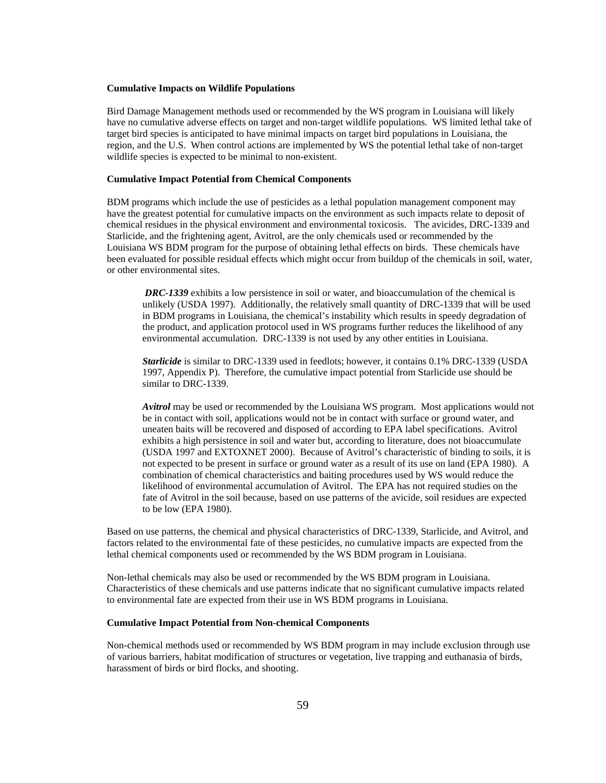#### **Cumulative Impacts on Wildlife Populations**

 Bird Damage Management methods used or recommended by the WS program in Louisiana will likely have no cumulative adverse effects on target and non-target wildlife populations. WS limited lethal take of target bird species is anticipated to have minimal impacts on target bird populations in Louisiana, the region, and the U.S. When control actions are implemented by WS the potential lethal take of non-target wildlife species is expected to be minimal to non-existent.

### **Cumulative Impact Potential from Chemical Components**

BDM programs which include the use of pesticides as a lethal population management component may have the greatest potential for cumulative impacts on the environment as such impacts relate to deposit of chemical residues in the physical environment and environmental toxicosis. The avicides, DRC-1339 and Starlicide, and the frightening agent, Avitrol, are the only chemicals used or recommended by the Louisiana WS BDM program for the purpose of obtaining lethal effects on birds. These chemicals have been evaluated for possible residual effects which might occur from buildup of the chemicals in soil, water, or other environmental sites.

 *DRC-1339* exhibits a low persistence in soil or water, and bioaccumulation of the chemical is unlikely (USDA 1997). Additionally, the relatively small quantity of DRC-1339 that will be used in BDM programs in Louisiana, the chemical's instability which results in speedy degradation of the product, and application protocol used in WS programs further reduces the likelihood of any environmental accumulation. DRC-1339 is not used by any other entities in Louisiana.

*Starlicide* is similar to DRC-1339 used in feedlots; however, it contains 0.1% DRC-1339 (USDA 1997, Appendix P). Therefore, the cumulative impact potential from Starlicide use should be similar to DRC-1339.

*Avitrol* may be used or recommended by the Louisiana WS program. Most applications would not be in contact with soil, applications would not be in contact with surface or ground water, and uneaten baits will be recovered and disposed of according to EPA label specifications. Avitrol exhibits a high persistence in soil and water but, according to literature, does not bioaccumulate (USDA 1997 and EXTOXNET 2000). Because of Avitrol's characteristic of binding to soils, it is not expected to be present in surface or ground water as a result of its use on land (EPA 1980). A combination of chemical characteristics and baiting procedures used by WS would reduce the likelihood of environmental accumulation of Avitrol. The EPA has not required studies on the fate of Avitrol in the soil because, based on use patterns of the avicide, soil residues are expected to be low (EPA 1980).

Based on use patterns, the chemical and physical characteristics of DRC-1339, Starlicide, and Avitrol, and factors related to the environmental fate of these pesticides, no cumulative impacts are expected from the lethal chemical components used or recommended by the WS BDM program in Louisiana.

Non-lethal chemicals may also be used or recommended by the WS BDM program in Louisiana. Characteristics of these chemicals and use patterns indicate that no significant cumulative impacts related to environmental fate are expected from their use in WS BDM programs in Louisiana.

#### **Cumulative Impact Potential from Non-chemical Components**

Non-chemical methods used or recommended by WS BDM program in may include exclusion through use of various barriers, habitat modification of structures or vegetation, live trapping and euthanasia of birds, harassment of birds or bird flocks, and shooting.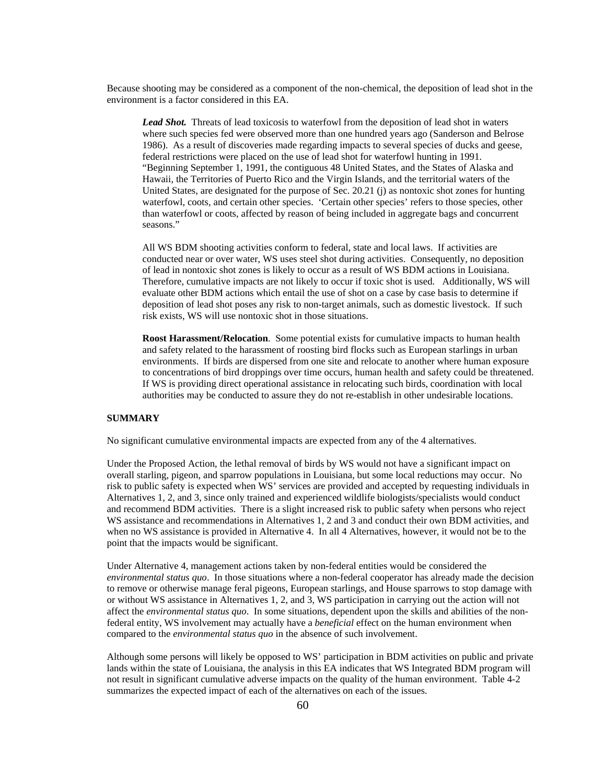Because shooting may be considered as a component of the non-chemical, the deposition of lead shot in the environment is a factor considered in this EA.

*Lead Shot.* Threats of lead toxicosis to waterfowl from the deposition of lead shot in waters where such species fed were observed more than one hundred years ago (Sanderson and Belrose 1986). As a result of discoveries made regarding impacts to several species of ducks and geese, federal restrictions were placed on the use of lead shot for waterfowl hunting in 1991. "Beginning September 1, 1991, the contiguous 48 United States, and the States of Alaska and Hawaii, the Territories of Puerto Rico and the Virgin Islands, and the territorial waters of the United States, are designated for the purpose of Sec. 20.21 (j) as nontoxic shot zones for hunting waterfowl, coots, and certain other species. 'Certain other species' refers to those species, other than waterfowl or coots, affected by reason of being included in aggregate bags and concurrent seasons."

 All WS BDM shooting activities conform to federal, state and local laws. If activities are conducted near or over water, WS uses steel shot during activities. Consequently, no deposition of lead in nontoxic shot zones is likely to occur as a result of WS BDM actions in Louisiana. Therefore, cumulative impacts are not likely to occur if toxic shot is used. Additionally, WS will evaluate other BDM actions which entail the use of shot on a case by case basis to determine if deposition of lead shot poses any risk to non-target animals, such as domestic livestock. If such risk exists, WS will use nontoxic shot in those situations.

**Roost Harassment/Relocation**. Some potential exists for cumulative impacts to human health and safety related to the harassment of roosting bird flocks such as European starlings in urban environments. If birds are dispersed from one site and relocate to another where human exposure to concentrations of bird droppings over time occurs, human health and safety could be threatened. If WS is providing direct operational assistance in relocating such birds, coordination with local authorities may be conducted to assure they do not re-establish in other undesirable locations.

# **SUMMARY**

No significant cumulative environmental impacts are expected from any of the 4 alternatives.

Under the Proposed Action, the lethal removal of birds by WS would not have a significant impact on overall starling, pigeon, and sparrow populations in Louisiana, but some local reductions may occur. No risk to public safety is expected when WS' services are provided and accepted by requesting individuals in Alternatives 1, 2, and 3, since only trained and experienced wildlife biologists/specialists would conduct and recommend BDM activities. There is a slight increased risk to public safety when persons who reject WS assistance and recommendations in Alternatives 1, 2 and 3 and conduct their own BDM activities, and when no WS assistance is provided in Alternative 4. In all 4 Alternatives, however, it would not be to the point that the impacts would be significant.

Under Alternative 4, management actions taken by non-federal entities would be considered the *environmental status quo*. In those situations where a non-federal cooperator has already made the decision to remove or otherwise manage feral pigeons, European starlings, and House sparrows to stop damage with or without WS assistance in Alternatives 1, 2, and 3, WS participation in carrying out the action will not affect the *environmental status quo*. In some situations, dependent upon the skills and abilities of the nonfederal entity, WS involvement may actually have a *beneficial* effect on the human environment when compared to the *environmental status quo* in the absence of such involvement.

Although some persons will likely be opposed to WS' participation in BDM activities on public and private lands within the state of Louisiana, the analysis in this EA indicates that WS Integrated BDM program will not result in significant cumulative adverse impacts on the quality of the human environment. Table 4-2 summarizes the expected impact of each of the alternatives on each of the issues.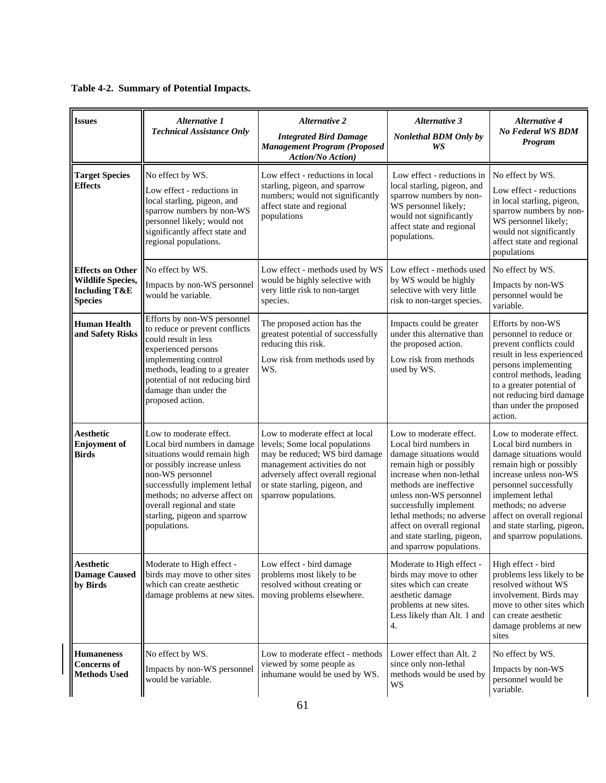| <b>Issues</b>                                                                                     | Alternative 1<br><b>Technical Assistance Only</b>                                                                                                                                                                                                                                          | <b>Alternative 2</b><br><b>Integrated Bird Damage</b><br><b>Management Program (Proposed</b><br><b>Action/No Action</b> )                                                                                                          | <b>Alternative 3</b><br>Nonlethal BDM Only by<br>WS                                                                                                                                                                                                                                                                                       | <b>Alternative 4</b><br><b>No Federal WS BDM</b><br>Program                                                                                                                                                                                                                                    |
|---------------------------------------------------------------------------------------------------|--------------------------------------------------------------------------------------------------------------------------------------------------------------------------------------------------------------------------------------------------------------------------------------------|------------------------------------------------------------------------------------------------------------------------------------------------------------------------------------------------------------------------------------|-------------------------------------------------------------------------------------------------------------------------------------------------------------------------------------------------------------------------------------------------------------------------------------------------------------------------------------------|------------------------------------------------------------------------------------------------------------------------------------------------------------------------------------------------------------------------------------------------------------------------------------------------|
| <b>Target Species</b><br><b>Effects</b>                                                           | No effect by WS.<br>Low effect - reductions in<br>local starling, pigeon, and<br>sparrow numbers by non-WS<br>personnel likely; would not<br>significantly affect state and<br>regional populations.                                                                                       | Low effect - reductions in local<br>starling, pigeon, and sparrow<br>numbers; would not significantly<br>affect state and regional<br>populations                                                                                  | Low effect - reductions in<br>local starling, pigeon, and<br>sparrow numbers by non-<br>WS personnel likely;<br>would not significantly<br>affect state and regional<br>populations.                                                                                                                                                      | No effect by WS.<br>Low effect - reductions<br>in local starling, pigeon,<br>sparrow numbers by non-<br>WS personnel likely;<br>would not significantly<br>affect state and regional<br>populations                                                                                            |
| <b>Effects on Other</b><br><b>Wildlife Species,</b><br><b>Including T&amp;E</b><br><b>Species</b> | No effect by WS.<br>Impacts by non-WS personnel<br>would be variable.                                                                                                                                                                                                                      | Low effect - methods used by WS<br>would be highly selective with<br>very little risk to non-target<br>species.                                                                                                                    | Low effect - methods used<br>by WS would be highly<br>selective with very little<br>risk to non-target species.                                                                                                                                                                                                                           | No effect by WS.<br>Impacts by non-WS<br>personnel would be<br>variable.                                                                                                                                                                                                                       |
| <b>Human Health</b><br>and Safety Risks                                                           | Efforts by non-WS personnel<br>to reduce or prevent conflicts<br>could result in less<br>experienced persons<br>implementing control<br>methods, leading to a greater<br>potential of not reducing bird<br>damage than under the<br>proposed action.                                       | The proposed action has the<br>greatest potential of successfully<br>reducing this risk.<br>Low risk from methods used by<br>WS.                                                                                                   | Impacts could be greater<br>under this alternative than<br>the proposed action.<br>Low risk from methods<br>used by WS.                                                                                                                                                                                                                   | Efforts by non-WS<br>personnel to reduce or<br>prevent conflicts could<br>result in less experienced<br>persons implementing<br>control methods, leading<br>to a greater potential of<br>not reducing bird damage<br>than under the proposed<br>action.                                        |
| <b>Aesthetic</b><br><b>Enjoyment</b> of<br><b>Birds</b>                                           | Low to moderate effect.<br>Local bird numbers in damage<br>situations would remain high<br>or possibly increase unless<br>non-WS personnel<br>successfully implement lethal<br>methods; no adverse affect on<br>overall regional and state<br>starling, pigeon and sparrow<br>populations. | Low to moderate effect at local<br>levels; Some local populations<br>may be reduced; WS bird damage<br>management activities do not<br>adversely affect overall regional<br>or state starling, pigeon, and<br>sparrow populations. | Low to moderate effect.<br>Local bird numbers in<br>damage situations would<br>remain high or possibly<br>increase when non-lethal<br>methods are ineffective<br>unless non-WS personnel<br>successfully implement<br>lethal methods; no adverse<br>affect on overall regional<br>and state starling, pigeon,<br>and sparrow populations. | Low to moderate effect.<br>Local bird numbers in<br>damage situations would<br>remain high or possibly<br>increase unless non-WS<br>personnel successfully<br>implement lethal<br>methods; no adverse<br>affect on overall regional<br>and state starling, pigeon,<br>and sparrow populations. |
| Aesthetic<br><b>Damage Caused</b><br>by Birds                                                     | Moderate to High effect -<br>birds may move to other sites<br>which can create aesthetic<br>damage problems at new sites.                                                                                                                                                                  | Low effect - bird damage<br>problems most likely to be<br>resolved without creating or<br>moving problems elsewhere.                                                                                                               | Moderate to High effect -<br>birds may move to other<br>sites which can create<br>aesthetic damage<br>problems at new sites.<br>Less likely than Alt. 1 and<br>4.                                                                                                                                                                         | High effect - bird<br>problems less likely to be<br>resolved without WS<br>involvement. Birds may<br>move to other sites which<br>can create aesthetic<br>damage problems at new<br>sites                                                                                                      |
| <b>Humaneness</b><br><b>Concerns</b> of<br><b>Methods Used</b>                                    | No effect by WS.<br>Impacts by non-WS personnel<br>would be variable.                                                                                                                                                                                                                      | Low to moderate effect - methods<br>viewed by some people as<br>inhumane would be used by WS.                                                                                                                                      | Lower effect than Alt. 2<br>since only non-lethal<br>methods would be used by<br>WS                                                                                                                                                                                                                                                       | No effect by WS.<br>Impacts by non-WS<br>personnel would be<br>variable.                                                                                                                                                                                                                       |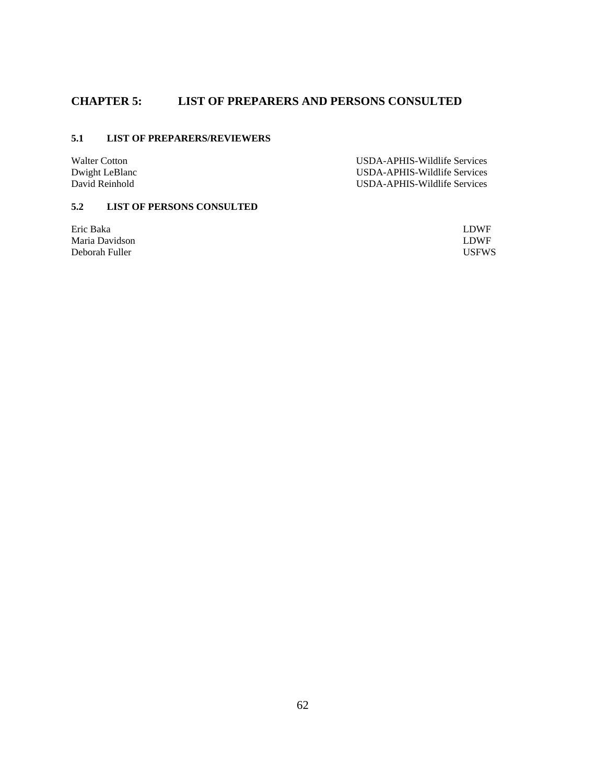# **CHAPTER 5: LIST OF PREPARERS AND PERSONS CONSULTED**

# **5.1 LIST OF PREPARERS/REVIEWERS**

Walter Cotton **Walter Cotton Contract Contract Contract Contract Contract Contract Contract Contract Contract Contract Contract Contract Contract Contract Contract Contract Contract Contract Contract Contract Contract Cont** Dwight LeBlanc USDA-APHIS-Wildlife Services USDA-APHIS-Wildlife Services

# **5.2 LIST OF PERSONS CONSULTED**

Eric Baka LDWF Maria Davidson<br>
Deborah Fuller<br>
USFWS<br>
USFWS Deborah Fuller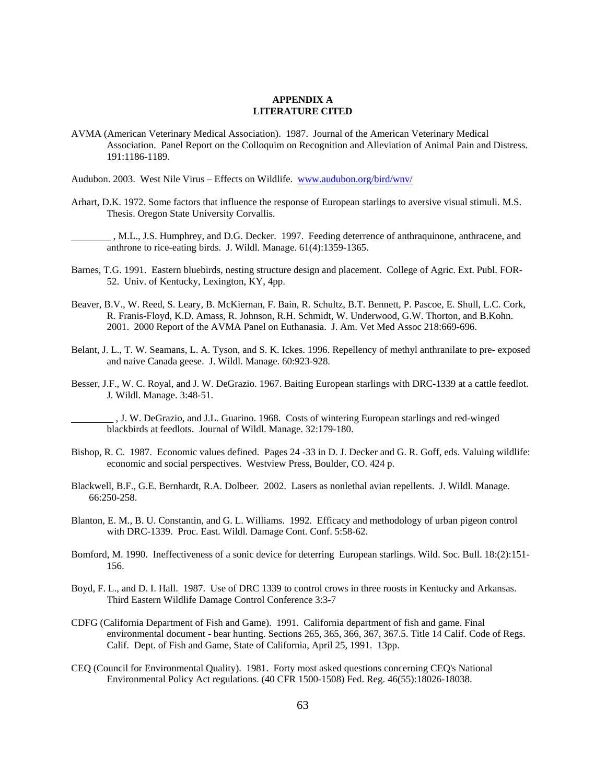### **APPENDIX A LITERATURE CITED**

AVMA (American Veterinary Medical Association). 1987. Journal of the American Veterinary Medical Association. Panel Report on the Colloquim on Recognition and Alleviation of Animal Pain and Distress. 191:1186-1189.

Audubon. 2003. West Nile Virus – Effects on Wildlife. www.audubon.org/bird/wnv/

Arhart, D.K. 1972. Some factors that influence the response of European starlings to aversive visual stimuli. M.S. Thesis. Oregon State University Corvallis.

 , M.L., J.S. Humphrey, and D.G. Decker. 1997. Feeding deterrence of anthraquinone, anthracene, and anthrone to rice-eating birds. J. Wildl. Manage. 61(4):1359-1365.

- Barnes, T.G. 1991. Eastern bluebirds, nesting structure design and placement. College of Agric. Ext. Publ. FOR-52. Univ. of Kentucky, Lexington, KY, 4pp.
- Beaver, B.V., W. Reed, S. Leary, B. McKiernan, F. Bain, R. Schultz, B.T. Bennett, P. Pascoe, E. Shull, L.C. Cork, R. Franis-Floyd, K.D. Amass, R. Johnson, R.H. Schmidt, W. Underwood, G.W. Thorton, and B.Kohn. 2001. 2000 Report of the AVMA Panel on Euthanasia. J. Am. Vet Med Assoc 218:669-696.
- Belant, J. L., T. W. Seamans, L. A. Tyson, and S. K. Ickes. 1996. Repellency of methyl anthranilate to pre- exposed and naive Canada geese. J. Wildl. Manage. 60:923-928.
- Besser, J.F., W. C. Royal, and J. W. DeGrazio. 1967. Baiting European starlings with DRC-1339 at a cattle feedlot. J. Wildl. Manage. 3:48-51.

 , J. W. DeGrazio, and J.L. Guarino. 1968. Costs of wintering European starlings and red-winged blackbirds at feedlots. Journal of Wildl. Manage. 32:179-180.

- Bishop, R. C. 1987. Economic values defined. Pages 24 -33 in D. J. Decker and G. R. Goff, eds. Valuing wildlife: economic and social perspectives. Westview Press, Boulder, CO. 424 p.
- Blackwell, B.F., G.E. Bernhardt, R.A. Dolbeer. 2002. Lasers as nonlethal avian repellents. J. Wildl. Manage. 66:250-258.
- Blanton, E. M., B. U. Constantin, and G. L. Williams. 1992. Efficacy and methodology of urban pigeon control with DRC-1339. Proc. East. Wildl. Damage Cont. Conf. 5:58-62.
- Bomford, M. 1990. Ineffectiveness of a sonic device for deterring European starlings. Wild. Soc. Bull. 18:(2):151- 156.
- Boyd, F. L., and D. I. Hall. 1987. Use of DRC 1339 to control crows in three roosts in Kentucky and Arkansas. Third Eastern Wildlife Damage Control Conference 3:3-7
- CDFG (California Department of Fish and Game). 1991. California department of fish and game. Final environmental document - bear hunting. Sections 265, 365, 366, 367, 367.5. Title 14 Calif. Code of Regs. Calif. Dept. of Fish and Game, State of California, April 25, 1991. 13pp.
- CEQ (Council for Environmental Quality). 1981. Forty most asked questions concerning CEQ's National Environmental Policy Act regulations. (40 CFR 1500-1508) Fed. Reg. 46(55):18026-18038.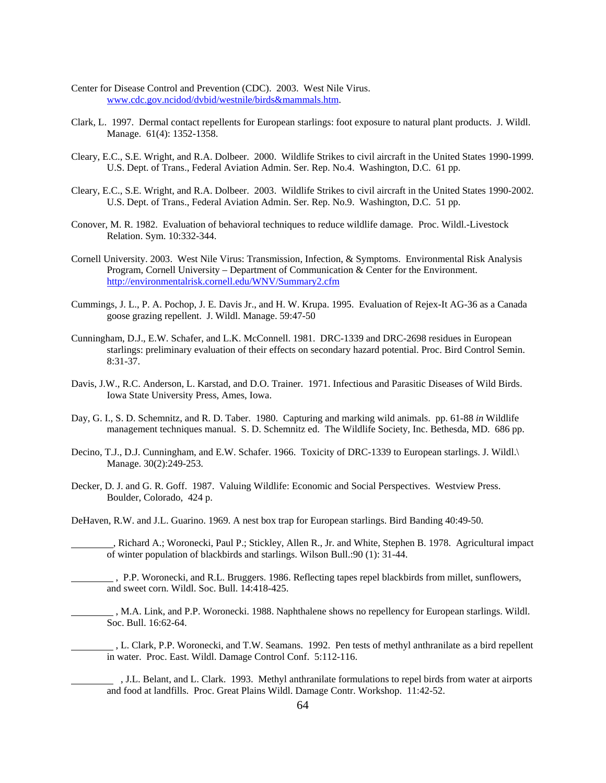- Center for Disease Control and Prevention (CDC). 2003. West Nile Virus. www.cdc.gov.ncidod/dvbid/westnile/birds&mammals.htm.
- Clark, L. 1997. Dermal contact repellents for European starlings: foot exposure to natural plant products. J. Wildl. Manage. 61(4): 1352-1358.
- Cleary, E.C., S.E. Wright, and R.A. Dolbeer. 2000. Wildlife Strikes to civil aircraft in the United States 1990-1999. U.S. Dept. of Trans., Federal Aviation Admin. Ser. Rep. No.4. Washington, D.C. 61 pp.
- Cleary, E.C., S.E. Wright, and R.A. Dolbeer. 2003. Wildlife Strikes to civil aircraft in the United States 1990-2002. U.S. Dept. of Trans., Federal Aviation Admin. Ser. Rep. No.9. Washington, D.C. 51 pp.
- Conover, M. R. 1982. Evaluation of behavioral techniques to reduce wildlife damage. Proc. Wildl.-Livestock Relation. Sym. 10:332-344.
- Cornell University. 2003. West Nile Virus: Transmission, Infection, & Symptoms. Environmental Risk Analysis Program, Cornell University – Department of Communication & Center for the Environment. http://environmentalrisk.cornell.edu/WNV/Summary2.cfm
- Cummings, J. L., P. A. Pochop, J. E. Davis Jr., and H. W. Krupa. 1995. Evaluation of Rejex-It AG-36 as a Canada goose grazing repellent. J. Wildl. Manage. 59:47-50
- Cunningham, D.J., E.W. Schafer, and L.K. McConnell. 1981. DRC-1339 and DRC-2698 residues in European starlings: preliminary evaluation of their effects on secondary hazard potential. Proc. Bird Control Semin. 8:31-37.
- Davis, J.W., R.C. Anderson, L. Karstad, and D.O. Trainer. 1971. Infectious and Parasitic Diseases of Wild Birds. Iowa State University Press, Ames, Iowa.
- Day, G. I., S. D. Schemnitz, and R. D. Taber. 1980. Capturing and marking wild animals. pp. 61-88 *in* Wildlife management techniques manual. S. D. Schemnitz ed. The Wildlife Society, Inc. Bethesda, MD. 686 pp.
- Decino, T.J., D.J. Cunningham, and E.W. Schafer. 1966. Toxicity of DRC-1339 to European starlings. J. Wildl. Manage. 30(2):249-253.
- Decker, D. J. and G. R. Goff. 1987. Valuing Wildlife: Economic and Social Perspectives. Westview Press. Boulder, Colorado, 424 p.

DeHaven, R.W. and J.L. Guarino. 1969. A nest box trap for European starlings. Bird Banding 40:49-50.

 , Richard A.; Woronecki, Paul P.; Stickley, Allen R., Jr. and White, Stephen B. 1978. Agricultural impact of winter population of blackbirds and starlings. Wilson Bull.:90 (1): 31-44.

 , P.P. Woronecki, and R.L. Bruggers. 1986. Reflecting tapes repel blackbirds from millet, sunflowers, and sweet corn. Wildl. Soc. Bull. 14:418-425.

- , M.A. Link, and P.P. Woronecki. 1988. Naphthalene shows no repellency for European starlings. Wildl. Soc. Bull. 16:62-64.
- , L. Clark, P.P. Woronecki, and T.W. Seamans. 1992. Pen tests of methyl anthranilate as a bird repellent in water. Proc. East. Wildl. Damage Control Conf. 5:112-116.
	- , J.L. Belant, and L. Clark. 1993. Methyl anthranilate formulations to repel birds from water at airports and food at landfills. Proc. Great Plains Wildl. Damage Contr. Workshop. 11:42-52.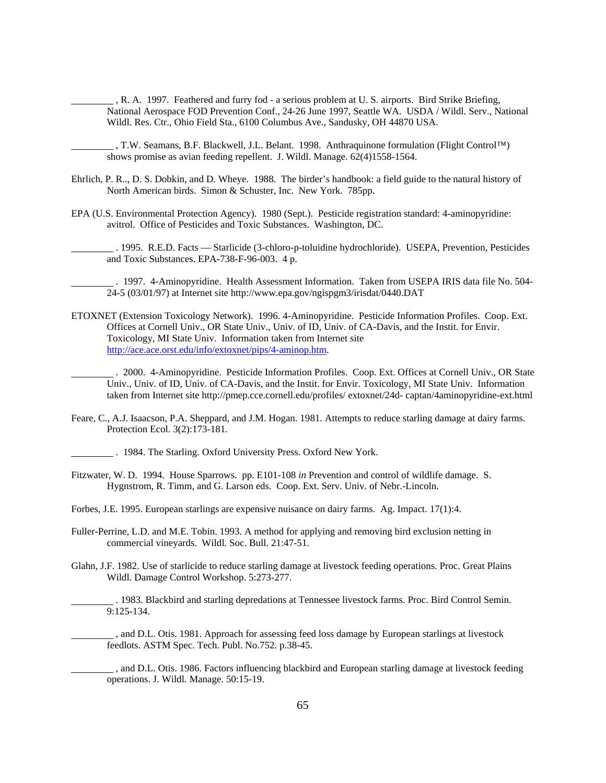, R. A. 1997. Feathered and furry fod - a serious problem at U. S. airports. Bird Strike Briefing, National Aerospace FOD Prevention Conf., 24-26 June 1997, Seattle WA. USDA / Wildl. Serv., National Wildl. Res. Ctr., Ohio Field Sta., 6100 Columbus Ave., Sandusky, OH 44870 USA.

 , T.W. Seamans, B.F. Blackwell, J.L. Belant. 1998. Anthraquinone formulation (Flight Control™) shows promise as avian feeding repellent. J. Wildl. Manage. 62(4)1558-1564.

- Ehrlich, P. R.., D. S. Dobkin, and D. Wheye. 1988. The birder's handbook: a field guide to the natural history of North American birds. Simon & Schuster, Inc. New York. 785pp.
- EPA (U.S. Environmental Protection Agency). 1980 (Sept.). Pesticide registration standard: 4-aminopyridine: avitrol. Office of Pesticides and Toxic Substances. Washington, DC.

 . 1995. R.E.D. Facts — Starlicide (3-chloro-p-toluidine hydrochloride). USEPA, Prevention, Pesticides and Toxic Substances. EPA-738-F-96-003. 4 p.

 . 1997. 4-Aminopyridine. Health Assessment Information. Taken from USEPA IRIS data file No. 504- 24-5 (03/01/97) at Internet site http://www.epa.gov/ngispgm3/irisdat/0440.DAT

ETOXNET (Extension Toxicology Network). 1996. 4-Aminopyridine. Pesticide Information Profiles. Coop. Ext. Offices at Cornell Univ., OR State Univ., Univ. of ID, Univ. of CA-Davis, and the Instit. for Envir. Toxicology, MI State Univ. Information taken from Internet site http://ace.ace.orst.edu/info/extoxnet/pips/4-aminop.htm.

 . 2000. 4-Aminopyridine. Pesticide Information Profiles. Coop. Ext. Offices at Cornell Univ., OR State Univ., Univ. of ID, Univ. of CA-Davis, and the Instit. for Envir. Toxicology, MI State Univ. Information taken from Internet site http://pmep.cce.cornell.edu/profiles/ extoxnet/24d- captan/4aminopyridine-ext.html

Feare, C., A.J. Isaacson, P.A. Sheppard, and J.M. Hogan. 1981. Attempts to reduce starling damage at dairy farms. Protection Ecol. 3(2):173-181.

. 1984. The Starling. Oxford University Press. Oxford New York.

- Fitzwater, W. D. 1994. House Sparrows. pp. E101-108 *in* Prevention and control of wildlife damage. S. Hygnstrom, R. Timm, and G. Larson eds. Coop. Ext. Serv. Univ. of Nebr.-Lincoln.
- Forbes, J.E. 1995. European starlings are expensive nuisance on dairy farms. Ag. Impact. 17(1):4.
- Fuller-Perrine, L.D. and M.E. Tobin. 1993. A method for applying and removing bird exclusion netting in commercial vineyards. Wildl. Soc. Bull. 21:47-51.
- Glahn, J.F. 1982. Use of starlicide to reduce starling damage at livestock feeding operations. Proc. Great Plains Wildl. Damage Control Workshop. 5:273-277.

 . 1983. Blackbird and starling depredations at Tennessee livestock farms. Proc. Bird Control Semin. 9:125-134.

 , and D.L. Otis. 1981. Approach for assessing feed loss damage by European starlings at livestock feedlots. ASTM Spec. Tech. Publ. No.752. p.38-45.

 , and D.L. Otis. 1986. Factors influencing blackbird and European starling damage at livestock feeding operations. J. Wildl. Manage. 50:15-19.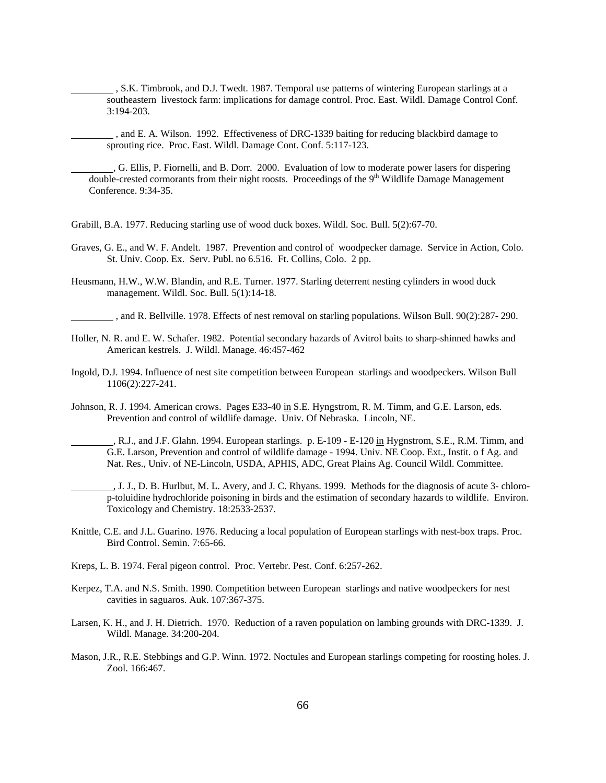, S.K. Timbrook, and D.J. Twedt. 1987. Temporal use patterns of wintering European starlings at a southeastern livestock farm: implications for damage control. Proc. East. Wildl. Damage Control Conf. 3:194-203.

 , and E. A. Wilson. 1992. Effectiveness of DRC-1339 baiting for reducing blackbird damage to sprouting rice. Proc. East. Wildl. Damage Cont. Conf. 5:117-123.

 , G. Ellis, P. Fiornelli, and B. Dorr. 2000. Evaluation of low to moderate power lasers for dispering double-crested cormorants from their night roosts. Proceedings of the 9<sup>th</sup> Wildlife Damage Management Conference. 9:34-35.

Grabill, B.A. 1977. Reducing starling use of wood duck boxes. Wildl. Soc. Bull. 5(2):67-70.

- Graves, G. E., and W. F. Andelt. 1987. Prevention and control of woodpecker damage. Service in Action, Colo. St. Univ. Coop. Ex. Serv. Publ. no 6.516. Ft. Collins, Colo. 2 pp.
- Heusmann, H.W., W.W. Blandin, and R.E. Turner. 1977. Starling deterrent nesting cylinders in wood duck management. Wildl. Soc. Bull. 5(1):14-18.

, and R. Bellville. 1978. Effects of nest removal on starling populations. Wilson Bull. 90(2):287- 290.

- Holler, N. R. and E. W. Schafer. 1982. Potential secondary hazards of Avitrol baits to sharp-shinned hawks and American kestrels. J. Wildl. Manage. 46:457-462
- Ingold, D.J. 1994. Influence of nest site competition between European starlings and woodpeckers. Wilson Bull 1106(2):227-241.
- Johnson, R. J. 1994. American crows. Pages E33-40 in S.E. Hyngstrom, R. M. Timm, and G.E. Larson, eds. Prevention and control of wildlife damage. Univ. Of Nebraska. Lincoln, NE.
	- R.J., and J.F. Glahn. 1994. European starlings. p. E-109 E-120 in Hygnstrom, S.E., R.M. Timm, and G.E. Larson, Prevention and control of wildlife damage - 1994. Univ. NE Coop. Ext., Instit. o f Ag. and Nat. Res., Univ. of NE-Lincoln, USDA, APHIS, ADC, Great Plains Ag. Council Wildl. Committee.
		- , J. J., D. B. Hurlbut, M. L. Avery, and J. C. Rhyans. 1999. Methods for the diagnosis of acute 3- chlorop-toluidine hydrochloride poisoning in birds and the estimation of secondary hazards to wildlife. Environ. Toxicology and Chemistry. 18:2533-2537.
- Knittle, C.E. and J.L. Guarino. 1976. Reducing a local population of European starlings with nest-box traps. Proc. Bird Control. Semin. 7:65-66.
- Kreps, L. B. 1974. Feral pigeon control. Proc. Vertebr. Pest. Conf. 6:257-262.
- Kerpez, T.A. and N.S. Smith. 1990. Competition between European starlings and native woodpeckers for nest cavities in saguaros. Auk. 107:367-375.
- Larsen, K. H., and J. H. Dietrich. 1970. Reduction of a raven population on lambing grounds with DRC-1339. J. Wildl. Manage. 34:200-204.
- Mason, J.R., R.E. Stebbings and G.P. Winn. 1972. Noctules and European starlings competing for roosting holes. J. Zool. 166:467.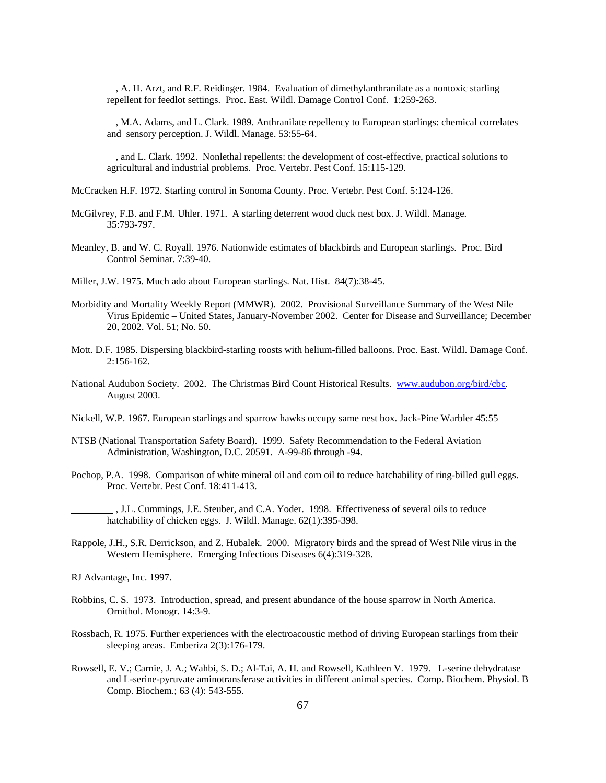- , A. H. Arzt, and R.F. Reidinger. 1984. Evaluation of dimethylanthranilate as a nontoxic starling repellent for feedlot settings. Proc. East. Wildl. Damage Control Conf. 1:259-263.
- , M.A. Adams, and L. Clark. 1989. Anthranilate repellency to European starlings: chemical correlates and sensory perception. J. Wildl. Manage. 53:55-64.
- , and L. Clark. 1992. Nonlethal repellents: the development of cost-effective, practical solutions to agricultural and industrial problems. Proc. Vertebr. Pest Conf. 15:115-129.
- McCracken H.F. 1972. Starling control in Sonoma County. Proc. Vertebr. Pest Conf. 5:124-126.
- McGilvrey, F.B. and F.M. Uhler. 1971. A starling deterrent wood duck nest box. J. Wildl. Manage. 35:793-797.
- Meanley, B. and W. C. Royall. 1976. Nationwide estimates of blackbirds and European starlings. Proc. Bird Control Seminar. 7:39-40.
- Miller, J.W. 1975. Much ado about European starlings. Nat. Hist. 84(7):38-45.
- Morbidity and Mortality Weekly Report (MMWR). 2002. Provisional Surveillance Summary of the West Nile Virus Epidemic – United States, January-November 2002. Center for Disease and Surveillance; December 20, 2002. Vol. 51; No. 50.
- Mott. D.F. 1985. Dispersing blackbird-starling roosts with helium-filled balloons. Proc. East. Wildl. Damage Conf. 2:156-162.
- National Audubon Society. 2002. The Christmas Bird Count Historical Results. www.audubon.org/bird/cbc. August 2003.
- Nickell, W.P. 1967. European starlings and sparrow hawks occupy same nest box. Jack-Pine Warbler 45:55
- NTSB (National Transportation Safety Board). 1999. Safety Recommendation to the Federal Aviation Administration, Washington, D.C. 20591. A-99-86 through -94.
- Pochop, P.A. 1998. Comparison of white mineral oil and corn oil to reduce hatchability of ring-billed gull eggs. Proc. Vertebr. Pest Conf. 18:411-413.
	- , J.L. Cummings, J.E. Steuber, and C.A. Yoder. 1998. Effectiveness of several oils to reduce hatchability of chicken eggs. J. Wildl. Manage. 62(1):395-398.
- Rappole, J.H., S.R. Derrickson, and Z. Hubalek. 2000. Migratory birds and the spread of West Nile virus in the Western Hemisphere. Emerging Infectious Diseases 6(4):319-328.
- RJ Advantage, Inc. 1997.
- Robbins, C. S. 1973. Introduction, spread, and present abundance of the house sparrow in North America. Ornithol. Monogr. 14:3-9.
- Rossbach, R. 1975. Further experiences with the electroacoustic method of driving European starlings from their sleeping areas. Emberiza 2(3):176-179.
- Rowsell, E. V.; Carnie, J. A.; Wahbi, S. D.; Al-Tai, A. H. and Rowsell, Kathleen V. 1979. L-serine dehydratase and L-serine-pyruvate aminotransferase activities in different animal species. Comp. Biochem. Physiol. B Comp. Biochem.; 63 (4): 543-555.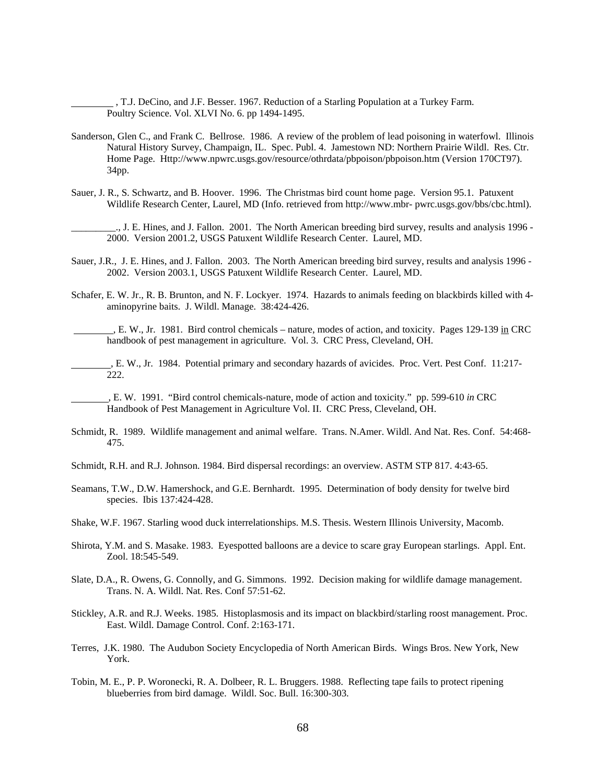, T.J. DeCino, and J.F. Besser. 1967. Reduction of a Starling Population at a Turkey Farm. Poultry Science. Vol. XLVI No. 6. pp 1494-1495.

- Sanderson, Glen C., and Frank C. Bellrose. 1986. A review of the problem of lead poisoning in waterfowl. Illinois Natural History Survey, Champaign, IL. Spec. Publ. 4. Jamestown ND: Northern Prairie Wildl. Res. Ctr. Home Page. Http://www.npwrc.usgs.gov/resource/othrdata/pbpoison/pbpoison.htm (Version 170CT97). 34pp.
- Sauer, J. R., S. Schwartz, and B. Hoover. 1996. The Christmas bird count home page. Version 95.1. Patuxent Wildlife Research Center, Laurel, MD (Info. retrieved from http://www.mbr- pwrc.usgs.gov/bbs/cbc.html).

\_\_\_\_\_\_\_\_\_., J. E. Hines, and J. Fallon. 2001. The North American breeding bird survey, results and analysis 1996 - 2000. Version 2001.2, USGS Patuxent Wildlife Research Center. Laurel, MD.

- Sauer, J.R., J. E. Hines, and J. Fallon. 2003. The North American breeding bird survey, results and analysis 1996 2002. Version 2003.1, USGS Patuxent Wildlife Research Center. Laurel, MD.
- Schafer, E. W. Jr., R. B. Brunton, and N. F. Lockyer. 1974. Hazards to animals feeding on blackbirds killed with 4 aminopyrine baits. J. Wildl. Manage. 38:424-426.

 , E. W., Jr. 1981. Bird control chemicals – nature, modes of action, and toxicity. Pages 129-139 in CRC handbook of pest management in agriculture. Vol. 3. CRC Press, Cleveland, OH.

 , E. W., Jr. 1984. Potential primary and secondary hazards of avicides. Proc. Vert. Pest Conf. 11:217- 222.

 , E. W. 1991. "Bird control chemicals-nature, mode of action and toxicity." pp. 599-610 *in* CRC Handbook of Pest Management in Agriculture Vol. II. CRC Press, Cleveland, OH.

- Schmidt, R. 1989. Wildlife management and animal welfare. Trans. N.Amer. Wildl. And Nat. Res. Conf. 54:468- 475.
- Schmidt, R.H. and R.J. Johnson. 1984. Bird dispersal recordings: an overview. ASTM STP 817. 4:43-65.
- Seamans, T.W., D.W. Hamershock, and G.E. Bernhardt. 1995. Determination of body density for twelve bird species. Ibis 137:424-428.
- Shake, W.F. 1967. Starling wood duck interrelationships. M.S. Thesis. Western Illinois University, Macomb.
- Shirota, Y.M. and S. Masake. 1983. Eyespotted balloons are a device to scare gray European starlings. Appl. Ent. Zool. 18:545-549.
- Slate, D.A., R. Owens, G. Connolly, and G. Simmons. 1992. Decision making for wildlife damage management. Trans. N. A. Wildl. Nat. Res. Conf 57:51-62.
- Stickley, A.R. and R.J. Weeks. 1985. Histoplasmosis and its impact on blackbird/starling roost management. Proc. East. Wildl. Damage Control. Conf. 2:163-171.
- Terres, J.K. 1980. The Audubon Society Encyclopedia of North American Birds. Wings Bros. New York, New York.
- Tobin, M. E., P. P. Woronecki, R. A. Dolbeer, R. L. Bruggers. 1988. Reflecting tape fails to protect ripening blueberries from bird damage. Wildl. Soc. Bull. 16:300-303.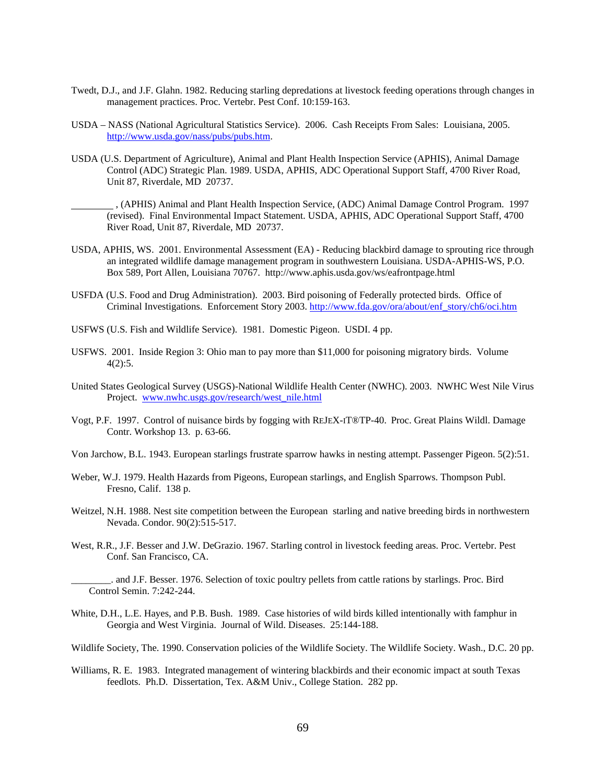- Twedt, D.J., and J.F. Glahn. 1982. Reducing starling depredations at livestock feeding operations through changes in management practices. Proc. Vertebr. Pest Conf. 10:159-163.
- USDA NASS (National Agricultural Statistics Service). 2006. Cash Receipts From Sales: Louisiana, 2005. http://www.usda.gov/nass/pubs/pubs.htm.
- USDA (U.S. Department of Agriculture), Animal and Plant Health Inspection Service (APHIS), Animal Damage Control (ADC) Strategic Plan. 1989. USDA, APHIS, ADC Operational Support Staff, 4700 River Road, Unit 87, Riverdale, MD 20737.
	- , (APHIS) Animal and Plant Health Inspection Service, (ADC) Animal Damage Control Program. 1997 (revised). Final Environmental Impact Statement. USDA, APHIS, ADC Operational Support Staff, 4700 River Road, Unit 87, Riverdale, MD 20737.
- USDA, APHIS, WS. 2001. Environmental Assessment (EA) Reducing blackbird damage to sprouting rice through an integrated wildlife damage management program in southwestern Louisiana. USDA-APHIS-WS, P.O. Box 589, Port Allen, Louisiana 70767. http://www.aphis.usda.gov/ws/eafrontpage.html
- USFDA (U.S. Food and Drug Administration). 2003. Bird poisoning of Federally protected birds. Office of Criminal Investigations. Enforcement Story 2003. http://www.fda.gov/ora/about/enf\_story/ch6/oci.htm
- USFWS (U.S. Fish and Wildlife Service). 1981. Domestic Pigeon. USDI. 4 pp.
- USFWS. 2001. Inside Region 3: Ohio man to pay more than \$11,000 for poisoning migratory birds. Volume 4(2):5.
- United States Geological Survey (USGS)-National Wildlife Health Center (NWHC). 2003. NWHC West Nile Virus Project. www.nwhc.usgs.gov/research/west\_nile.html
- Vogt, P.F. 1997. Control of nuisance birds by fogging with REJEX-IT®TP-40. Proc. Great Plains Wildl. Damage Contr. Workshop 13. p. 63-66.
- Von Jarchow, B.L. 1943. European starlings frustrate sparrow hawks in nesting attempt. Passenger Pigeon. 5(2):51.
- Weber, W.J. 1979. Health Hazards from Pigeons, European starlings, and English Sparrows. Thompson Publ. Fresno, Calif. 138 p.
- Weitzel, N.H. 1988. Nest site competition between the European starling and native breeding birds in northwestern Nevada. Condor. 90(2):515-517.
- West, R.R., J.F. Besser and J.W. DeGrazio. 1967. Starling control in livestock feeding areas. Proc. Vertebr. Pest Conf. San Francisco, CA.
	- \_\_\_\_\_\_\_\_. and J.F. Besser. 1976. Selection of toxic poultry pellets from cattle rations by starlings. Proc. Bird Control Semin. 7:242-244.
- White, D.H., L.E. Hayes, and P.B. Bush. 1989. Case histories of wild birds killed intentionally with famphur in Georgia and West Virginia. Journal of Wild. Diseases. 25:144-188.
- Wildlife Society, The. 1990. Conservation policies of the Wildlife Society. The Wildlife Society. Wash., D.C. 20 pp.
- Williams, R. E. 1983. Integrated management of wintering blackbirds and their economic impact at south Texas feedlots. Ph.D. Dissertation, Tex. A&M Univ., College Station. 282 pp.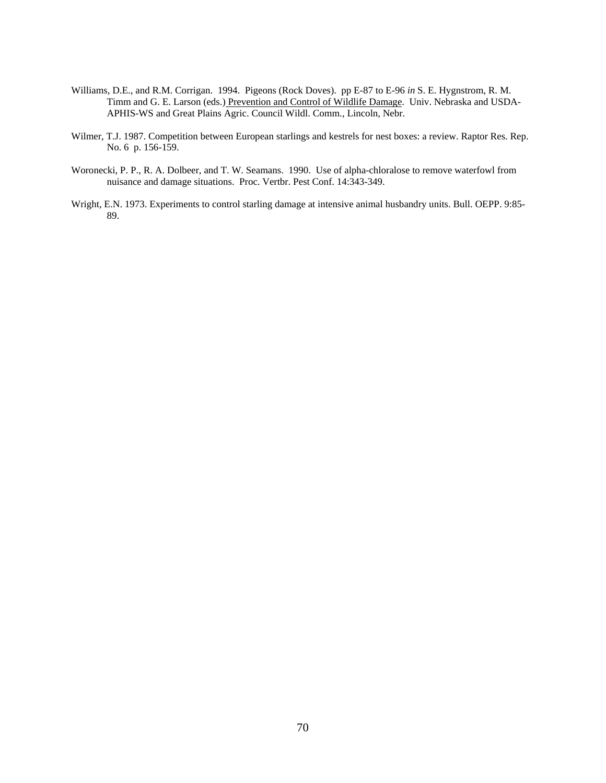- Williams, D.E., and R.M. Corrigan. 1994. Pigeons (Rock Doves). pp E-87 to E-96 *in* S. E. Hygnstrom, R. M. Timm and G. E. Larson (eds.) Prevention and Control of Wildlife Damage. Univ. Nebraska and USDA-APHIS-WS and Great Plains Agric. Council Wildl. Comm., Lincoln, Nebr.
- Wilmer, T.J. 1987. Competition between European starlings and kestrels for nest boxes: a review. Raptor Res. Rep. No. 6 p. 156-159.
- Woronecki, P. P., R. A. Dolbeer, and T. W. Seamans. 1990. Use of alpha-chloralose to remove waterfowl from nuisance and damage situations. Proc. Vertbr. Pest Conf. 14:343-349.
- Wright, E.N. 1973. Experiments to control starling damage at intensive animal husbandry units. Bull. OEPP. 9:85- 89.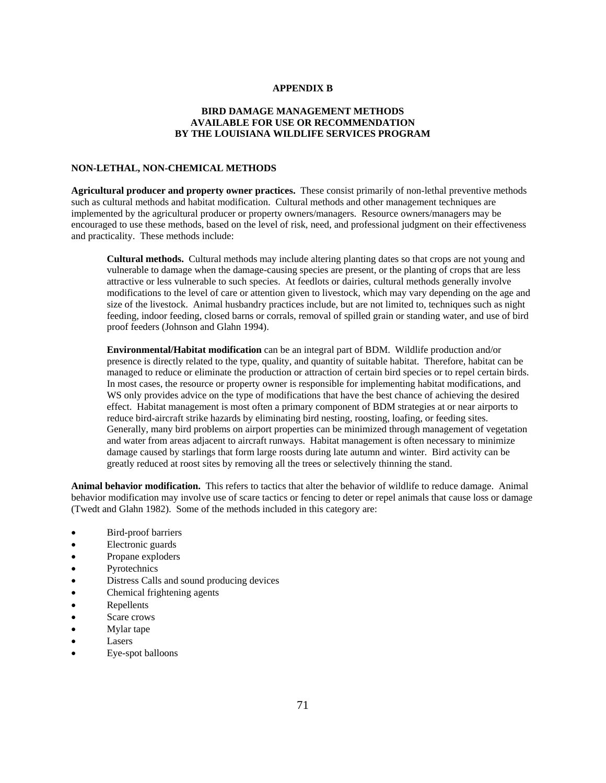### **APPENDIX B**

# **BIRD DAMAGE MANAGEMENT METHODS AVAILABLE FOR USE OR RECOMMENDATION BY THE LOUISIANA WILDLIFE SERVICES PROGRAM**

# **NON-LETHAL, NON-CHEMICAL METHODS**

**Agricultural producer and property owner practices.** These consist primarily of non-lethal preventive methods such as cultural methods and habitat modification. Cultural methods and other management techniques are implemented by the agricultural producer or property owners/managers. Resource owners/managers may be encouraged to use these methods, based on the level of risk, need, and professional judgment on their effectiveness and practicality. These methods include:

 **Cultural methods.** Cultural methods may include altering planting dates so that crops are not young and vulnerable to damage when the damage-causing species are present, or the planting of crops that are less attractive or less vulnerable to such species. At feedlots or dairies, cultural methods generally involve modifications to the level of care or attention given to livestock, which may vary depending on the age and size of the livestock. Animal husbandry practices include, but are not limited to, techniques such as night feeding, indoor feeding, closed barns or corrals, removal of spilled grain or standing water, and use of bird proof feeders (Johnson and Glahn 1994).

**Environmental/Habitat modification** can be an integral part of BDM. Wildlife production and/or presence is directly related to the type, quality, and quantity of suitable habitat. Therefore, habitat can be managed to reduce or eliminate the production or attraction of certain bird species or to repel certain birds. In most cases, the resource or property owner is responsible for implementing habitat modifications, and WS only provides advice on the type of modifications that have the best chance of achieving the desired effect. Habitat management is most often a primary component of BDM strategies at or near airports to reduce bird-aircraft strike hazards by eliminating bird nesting, roosting, loafing, or feeding sites. Generally, many bird problems on airport properties can be minimized through management of vegetation and water from areas adjacent to aircraft runways. Habitat management is often necessary to minimize damage caused by starlings that form large roosts during late autumn and winter. Bird activity can be greatly reduced at roost sites by removing all the trees or selectively thinning the stand.

**Animal behavior modification.** This refers to tactics that alter the behavior of wildlife to reduce damage. Animal behavior modification may involve use of scare tactics or fencing to deter or repel animals that cause loss or damage (Twedt and Glahn 1982). Some of the methods included in this category are:

- Bird-proof barriers
- Electronic guards
- Propane exploders
- **Pyrotechnics**
- Distress Calls and sound producing devices
- Chemical frightening agents
- Repellents
- Scare crows
- Mylar tape
- Lasers
- Eye-spot balloons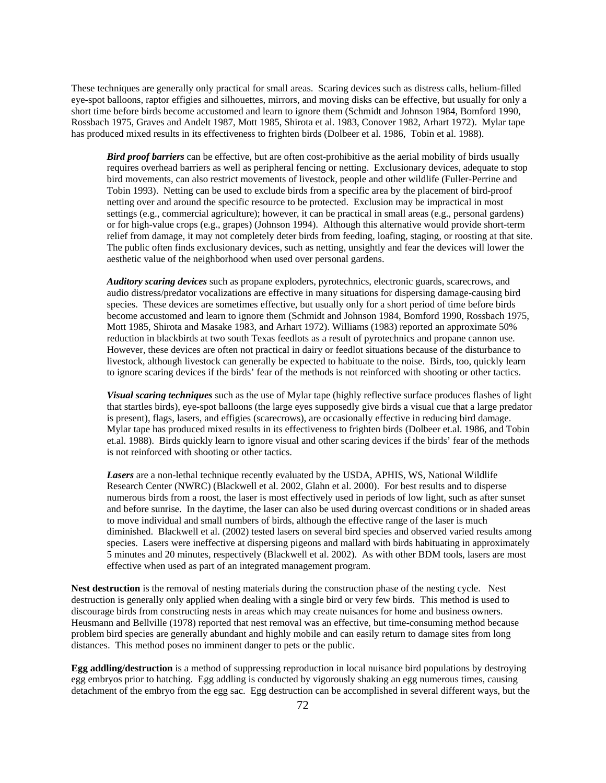These techniques are generally only practical for small areas. Scaring devices such as distress calls, helium-filled eye-spot balloons, raptor effigies and silhouettes, mirrors, and moving disks can be effective, but usually for only a short time before birds become accustomed and learn to ignore them (Schmidt and Johnson 1984, Bomford 1990, Rossbach 1975, Graves and Andelt 1987, Mott 1985, Shirota et al. 1983, Conover 1982, Arhart 1972). Mylar tape has produced mixed results in its effectiveness to frighten birds (Dolbeer et al. 1986, Tobin et al. 1988).

*Bird proof barriers* can be effective, but are often cost-prohibitive as the aerial mobility of birds usually requires overhead barriers as well as peripheral fencing or netting. Exclusionary devices, adequate to stop bird movements, can also restrict movements of livestock, people and other wildlife (Fuller-Perrine and Tobin 1993). Netting can be used to exclude birds from a specific area by the placement of bird-proof netting over and around the specific resource to be protected. Exclusion may be impractical in most settings (e.g., commercial agriculture); however, it can be practical in small areas (e.g., personal gardens) or for high-value crops (e.g., grapes) (Johnson 1994). Although this alternative would provide short-term relief from damage, it may not completely deter birds from feeding, loafing, staging, or roosting at that site. The public often finds exclusionary devices, such as netting, unsightly and fear the devices will lower the aesthetic value of the neighborhood when used over personal gardens.

*Auditory scaring devices* such as propane exploders, pyrotechnics, electronic guards, scarecrows, and audio distress/predator vocalizations are effective in many situations for dispersing damage-causing bird species. These devices are sometimes effective, but usually only for a short period of time before birds become accustomed and learn to ignore them (Schmidt and Johnson 1984, Bomford 1990, Rossbach 1975, Mott 1985, Shirota and Masake 1983, and Arhart 1972). Williams (1983) reported an approximate 50% reduction in blackbirds at two south Texas feedlots as a result of pyrotechnics and propane cannon use. However, these devices are often not practical in dairy or feedlot situations because of the disturbance to livestock, although livestock can generally be expected to habituate to the noise. Birds, too, quickly learn to ignore scaring devices if the birds' fear of the methods is not reinforced with shooting or other tactics.

*Visual scaring techniques* such as the use of Mylar tape (highly reflective surface produces flashes of light that startles birds), eye-spot balloons (the large eyes supposedly give birds a visual cue that a large predator is present), flags, lasers, and effigies (scarecrows), are occasionally effective in reducing bird damage. Mylar tape has produced mixed results in its effectiveness to frighten birds (Dolbeer et.al. 1986, and Tobin et.al. 1988). Birds quickly learn to ignore visual and other scaring devices if the birds' fear of the methods is not reinforced with shooting or other tactics.

*Lasers* are a non-lethal technique recently evaluated by the USDA, APHIS, WS, National Wildlife Research Center (NWRC) (Blackwell et al. 2002, Glahn et al. 2000). For best results and to disperse numerous birds from a roost, the laser is most effectively used in periods of low light, such as after sunset and before sunrise. In the daytime, the laser can also be used during overcast conditions or in shaded areas to move individual and small numbers of birds, although the effective range of the laser is much diminished. Blackwell et al. (2002) tested lasers on several bird species and observed varied results among species. Lasers were ineffective at dispersing pigeons and mallard with birds habituating in approximately 5 minutes and 20 minutes, respectively (Blackwell et al. 2002). As with other BDM tools, lasers are most effective when used as part of an integrated management program.

**Nest destruction** is the removal of nesting materials during the construction phase of the nesting cycle. Nest destruction is generally only applied when dealing with a single bird or very few birds. This method is used to discourage birds from constructing nests in areas which may create nuisances for home and business owners. Heusmann and Bellville (1978) reported that nest removal was an effective, but time-consuming method because problem bird species are generally abundant and highly mobile and can easily return to damage sites from long distances. This method poses no imminent danger to pets or the public.

**Egg addling/destruction** is a method of suppressing reproduction in local nuisance bird populations by destroying egg embryos prior to hatching. Egg addling is conducted by vigorously shaking an egg numerous times, causing detachment of the embryo from the egg sac. Egg destruction can be accomplished in several different ways, but the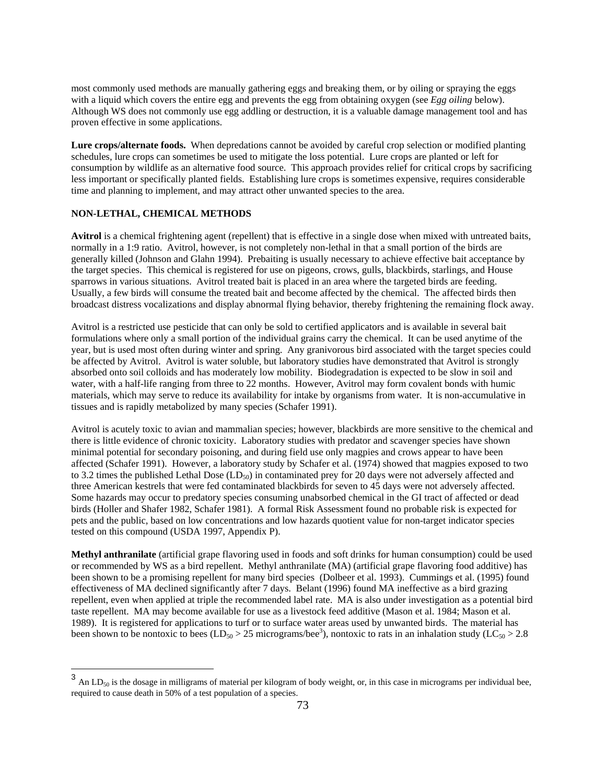most commonly used methods are manually gathering eggs and breaking them, or by oiling or spraying the eggs with a liquid which covers the entire egg and prevents the egg from obtaining oxygen (see *Egg oiling* below). Although WS does not commonly use egg addling or destruction, it is a valuable damage management tool and has proven effective in some applications.

**Lure crops/alternate foods.** When depredations cannot be avoided by careful crop selection or modified planting schedules, lure crops can sometimes be used to mitigate the loss potential. Lure crops are planted or left for consumption by wildlife as an alternative food source. This approach provides relief for critical crops by sacrificing less important or specifically planted fields. Establishing lure crops is sometimes expensive, requires considerable time and planning to implement, and may attract other unwanted species to the area.

## **NON-LETHAL, CHEMICAL METHODS**

 $\overline{a}$ 

**Avitrol** is a chemical frightening agent (repellent) that is effective in a single dose when mixed with untreated baits, normally in a 1:9 ratio. Avitrol, however, is not completely non-lethal in that a small portion of the birds are generally killed (Johnson and Glahn 1994). Prebaiting is usually necessary to achieve effective bait acceptance by the target species. This chemical is registered for use on pigeons, crows, gulls, blackbirds, starlings, and House sparrows in various situations. Avitrol treated bait is placed in an area where the targeted birds are feeding. Usually, a few birds will consume the treated bait and become affected by the chemical. The affected birds then broadcast distress vocalizations and display abnormal flying behavior, thereby frightening the remaining flock away.

Avitrol is a restricted use pesticide that can only be sold to certified applicators and is available in several bait formulations where only a small portion of the individual grains carry the chemical. It can be used anytime of the year, but is used most often during winter and spring. Any granivorous bird associated with the target species could be affected by Avitrol. Avitrol is water soluble, but laboratory studies have demonstrated that Avitrol is strongly absorbed onto soil colloids and has moderately low mobility. Biodegradation is expected to be slow in soil and water, with a half-life ranging from three to 22 months. However, Avitrol may form covalent bonds with humic materials, which may serve to reduce its availability for intake by organisms from water. It is non-accumulative in tissues and is rapidly metabolized by many species (Schafer 1991).

Avitrol is acutely toxic to avian and mammalian species; however, blackbirds are more sensitive to the chemical and there is little evidence of chronic toxicity. Laboratory studies with predator and scavenger species have shown minimal potential for secondary poisoning, and during field use only magpies and crows appear to have been affected (Schafer 1991). However, a laboratory study by Schafer et al. (1974) showed that magpies exposed to two to 3.2 times the published Lethal Dose (LD<sub>50</sub>) in contaminated prey for 20 days were not adversely affected and three American kestrels that were fed contaminated blackbirds for seven to 45 days were not adversely affected. Some hazards may occur to predatory species consuming unabsorbed chemical in the GI tract of affected or dead birds (Holler and Shafer 1982, Schafer 1981). A formal Risk Assessment found no probable risk is expected for pets and the public, based on low concentrations and low hazards quotient value for non-target indicator species tested on this compound (USDA 1997, Appendix P).

**Methyl anthranilate** (artificial grape flavoring used in foods and soft drinks for human consumption) could be used or recommended by WS as a bird repellent. Methyl anthranilate (MA) (artificial grape flavoring food additive) has been shown to be a promising repellent for many bird species (Dolbeer et al. 1993). Cummings et al. (1995) found effectiveness of MA declined significantly after 7 days. Belant (1996) found MA ineffective as a bird grazing repellent, even when applied at triple the recommended label rate. MA is also under investigation as a potential bird taste repellent. MA may become available for use as a livestock feed additive (Mason et al. 1984; Mason et al. 1989). It is registered for applications to turf or to surface water areas used by unwanted birds. The material has been shown to be nontoxic to bees ( $LD_{50} > 25$  micrograms/bee<sup>3</sup>), nontoxic to rats in an inhalation study ( $LC_{50} > 2.8$ 

 $3$  An LD<sub>50</sub> is the dosage in milligrams of material per kilogram of body weight, or, in this case in micrograms per individual bee, required to cause death in 50% of a test population of a species.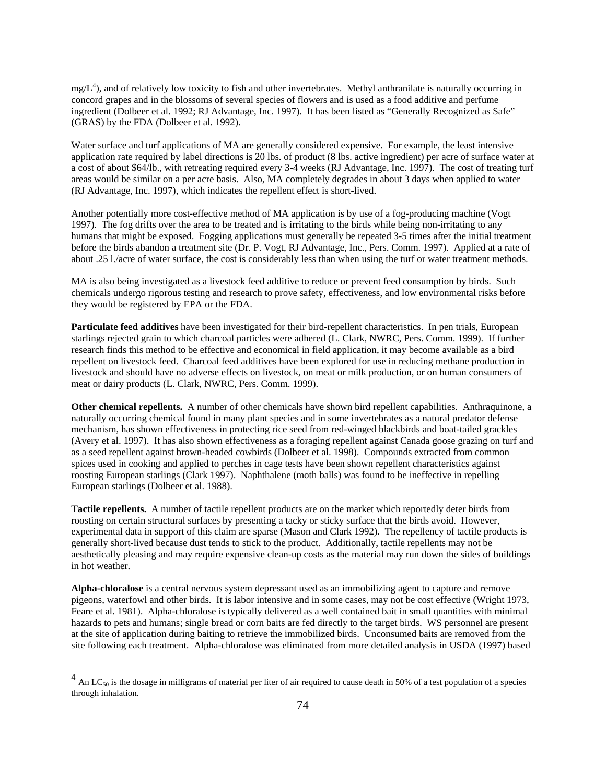$mg/L<sup>4</sup>$ ), and of relatively low toxicity to fish and other invertebrates. Methyl anthranilate is naturally occurring in concord grapes and in the blossoms of several species of flowers and is used as a food additive and perfume ingredient (Dolbeer et al. 1992; RJ Advantage, Inc. 1997). It has been listed as "Generally Recognized as Safe" (GRAS) by the FDA (Dolbeer et al. 1992).

Water surface and turf applications of MA are generally considered expensive. For example, the least intensive application rate required by label directions is 20 lbs. of product (8 lbs. active ingredient) per acre of surface water at a cost of about \$64/lb., with retreating required every 3-4 weeks (RJ Advantage, Inc. 1997). The cost of treating turf areas would be similar on a per acre basis. Also, MA completely degrades in about 3 days when applied to water (RJ Advantage, Inc. 1997), which indicates the repellent effect is short-lived.

Another potentially more cost-effective method of MA application is by use of a fog-producing machine (Vogt 1997). The fog drifts over the area to be treated and is irritating to the birds while being non-irritating to any humans that might be exposed. Fogging applications must generally be repeated 3-5 times after the initial treatment before the birds abandon a treatment site (Dr. P. Vogt, RJ Advantage, Inc., Pers. Comm. 1997). Applied at a rate of about .25 l./acre of water surface, the cost is considerably less than when using the turf or water treatment methods.

MA is also being investigated as a livestock feed additive to reduce or prevent feed consumption by birds. Such chemicals undergo rigorous testing and research to prove safety, effectiveness, and low environmental risks before they would be registered by EPA or the FDA.

**Particulate feed additives** have been investigated for their bird-repellent characteristics. In pen trials, European starlings rejected grain to which charcoal particles were adhered (L. Clark, NWRC, Pers. Comm. 1999). If further research finds this method to be effective and economical in field application, it may become available as a bird repellent on livestock feed. Charcoal feed additives have been explored for use in reducing methane production in livestock and should have no adverse effects on livestock, on meat or milk production, or on human consumers of meat or dairy products (L. Clark, NWRC, Pers. Comm. 1999).

**Other chemical repellents.** A number of other chemicals have shown bird repellent capabilities. Anthraquinone, a naturally occurring chemical found in many plant species and in some invertebrates as a natural predator defense mechanism, has shown effectiveness in protecting rice seed from red-winged blackbirds and boat-tailed grackles (Avery et al. 1997). It has also shown effectiveness as a foraging repellent against Canada goose grazing on turf and as a seed repellent against brown-headed cowbirds (Dolbeer et al. 1998). Compounds extracted from common spices used in cooking and applied to perches in cage tests have been shown repellent characteristics against roosting European starlings (Clark 1997). Naphthalene (moth balls) was found to be ineffective in repelling European starlings (Dolbeer et al. 1988).

**Tactile repellents.** A number of tactile repellent products are on the market which reportedly deter birds from roosting on certain structural surfaces by presenting a tacky or sticky surface that the birds avoid. However, experimental data in support of this claim are sparse (Mason and Clark 1992). The repellency of tactile products is generally short-lived because dust tends to stick to the product. Additionally, tactile repellents may not be aesthetically pleasing and may require expensive clean-up costs as the material may run down the sides of buildings in hot weather.

**Alpha-chloralose** is a central nervous system depressant used as an immobilizing agent to capture and remove pigeons, waterfowl and other birds. It is labor intensive and in some cases, may not be cost effective (Wright 1973, Feare et al. 1981). Alpha-chloralose is typically delivered as a well contained bait in small quantities with minimal hazards to pets and humans; single bread or corn baits are fed directly to the target birds. WS personnel are present at the site of application during baiting to retrieve the immobilized birds. Unconsumed baits are removed from the site following each treatment. Alpha-chloralose was eliminated from more detailed analysis in USDA (1997) based

 $\overline{a}$ 

 $<sup>4</sup>$  An LC<sub>50</sub> is the dosage in milligrams of material per liter of air required to cause death in 50% of a test population of a species</sup> through inhalation.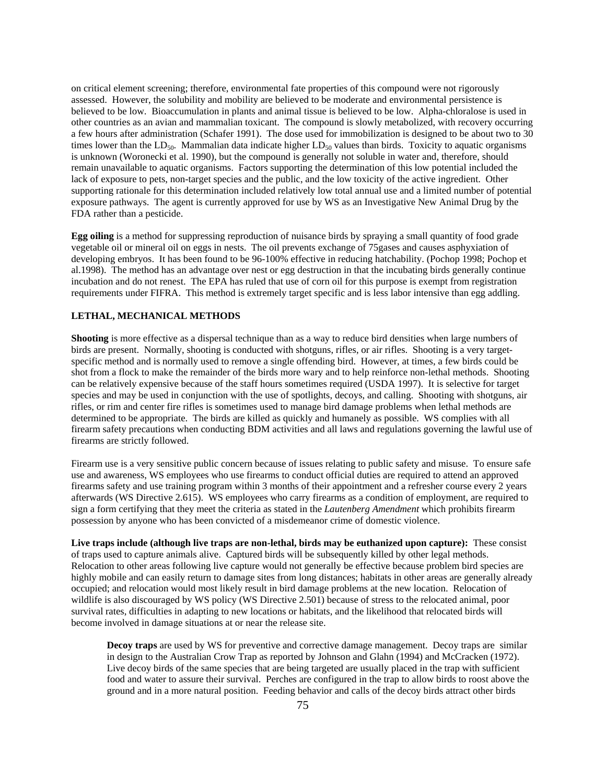on critical element screening; therefore, environmental fate properties of this compound were not rigorously assessed. However, the solubility and mobility are believed to be moderate and environmental persistence is believed to be low. Bioaccumulation in plants and animal tissue is believed to be low. Alpha-chloralose is used in other countries as an avian and mammalian toxicant. The compound is slowly metabolized, with recovery occurring a few hours after administration (Schafer 1991). The dose used for immobilization is designed to be about two to 30 times lower than the  $LD_{50}$ . Mammalian data indicate higher  $LD_{50}$  values than birds. Toxicity to aquatic organisms is unknown (Woronecki et al. 1990), but the compound is generally not soluble in water and, therefore, should remain unavailable to aquatic organisms. Factors supporting the determination of this low potential included the lack of exposure to pets, non-target species and the public, and the low toxicity of the active ingredient. Other supporting rationale for this determination included relatively low total annual use and a limited number of potential exposure pathways. The agent is currently approved for use by WS as an Investigative New Animal Drug by the FDA rather than a pesticide.

**Egg oiling** is a method for suppressing reproduction of nuisance birds by spraying a small quantity of food grade vegetable oil or mineral oil on eggs in nests. The oil prevents exchange of 75gases and causes asphyxiation of developing embryos. It has been found to be 96-100% effective in reducing hatchability. (Pochop 1998; Pochop et al.1998). The method has an advantage over nest or egg destruction in that the incubating birds generally continue incubation and do not renest. The EPA has ruled that use of corn oil for this purpose is exempt from registration requirements under FIFRA. This method is extremely target specific and is less labor intensive than egg addling.

## **LETHAL, MECHANICAL METHODS**

**Shooting** is more effective as a dispersal technique than as a way to reduce bird densities when large numbers of birds are present. Normally, shooting is conducted with shotguns, rifles, or air rifles. Shooting is a very targetspecific method and is normally used to remove a single offending bird. However, at times, a few birds could be shot from a flock to make the remainder of the birds more wary and to help reinforce non-lethal methods. Shooting can be relatively expensive because of the staff hours sometimes required (USDA 1997). It is selective for target species and may be used in conjunction with the use of spotlights, decoys, and calling. Shooting with shotguns, air rifles, or rim and center fire rifles is sometimes used to manage bird damage problems when lethal methods are determined to be appropriate. The birds are killed as quickly and humanely as possible. WS complies with all firearm safety precautions when conducting BDM activities and all laws and regulations governing the lawful use of firearms are strictly followed.

Firearm use is a very sensitive public concern because of issues relating to public safety and misuse. To ensure safe use and awareness, WS employees who use firearms to conduct official duties are required to attend an approved firearms safety and use training program within 3 months of their appointment and a refresher course every 2 years afterwards (WS Directive 2.615). WS employees who carry firearms as a condition of employment, are required to sign a form certifying that they meet the criteria as stated in the *Lautenberg Amendment* which prohibits firearm possession by anyone who has been convicted of a misdemeanor crime of domestic violence.

**Live traps include (although live traps are non-lethal, birds may be euthanized upon capture):** These consist of traps used to capture animals alive. Captured birds will be subsequently killed by other legal methods. Relocation to other areas following live capture would not generally be effective because problem bird species are highly mobile and can easily return to damage sites from long distances; habitats in other areas are generally already occupied; and relocation would most likely result in bird damage problems at the new location. Relocation of wildlife is also discouraged by WS policy (WS Directive 2.501) because of stress to the relocated animal, poor survival rates, difficulties in adapting to new locations or habitats, and the likelihood that relocated birds will become involved in damage situations at or near the release site.

**Decoy traps** are used by WS for preventive and corrective damage management. Decoy traps are similar in design to the Australian Crow Trap as reported by Johnson and Glahn (1994) and McCracken (1972). Live decoy birds of the same species that are being targeted are usually placed in the trap with sufficient food and water to assure their survival. Perches are configured in the trap to allow birds to roost above the ground and in a more natural position. Feeding behavior and calls of the decoy birds attract other birds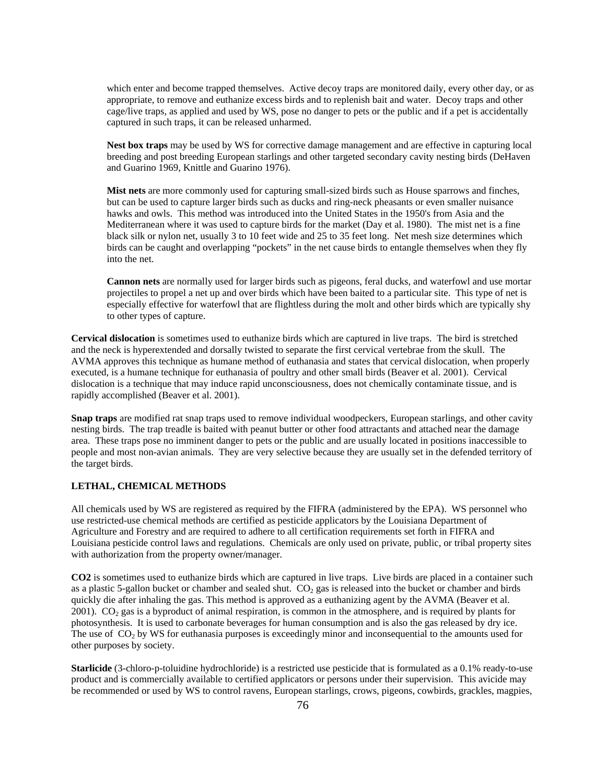which enter and become trapped themselves. Active decoy traps are monitored daily, every other day, or as appropriate, to remove and euthanize excess birds and to replenish bait and water. Decoy traps and other cage/live traps, as applied and used by WS, pose no danger to pets or the public and if a pet is accidentally captured in such traps, it can be released unharmed.

**Nest box traps** may be used by WS for corrective damage management and are effective in capturing local breeding and post breeding European starlings and other targeted secondary cavity nesting birds (DeHaven and Guarino 1969, Knittle and Guarino 1976).

**Mist nets** are more commonly used for capturing small-sized birds such as House sparrows and finches, but can be used to capture larger birds such as ducks and ring-neck pheasants or even smaller nuisance hawks and owls. This method was introduced into the United States in the 1950's from Asia and the Mediterranean where it was used to capture birds for the market (Day et al. 1980). The mist net is a fine black silk or nylon net, usually 3 to 10 feet wide and 25 to 35 feet long. Net mesh size determines which birds can be caught and overlapping "pockets" in the net cause birds to entangle themselves when they fly into the net.

**Cannon nets** are normally used for larger birds such as pigeons, feral ducks, and waterfowl and use mortar projectiles to propel a net up and over birds which have been baited to a particular site. This type of net is especially effective for waterfowl that are flightless during the molt and other birds which are typically shy to other types of capture.

**Cervical dislocation** is sometimes used to euthanize birds which are captured in live traps. The bird is stretched and the neck is hyperextended and dorsally twisted to separate the first cervical vertebrae from the skull. The AVMA approves this technique as humane method of euthanasia and states that cervical dislocation, when properly executed, is a humane technique for euthanasia of poultry and other small birds (Beaver et al. 2001). Cervical dislocation is a technique that may induce rapid unconsciousness, does not chemically contaminate tissue, and is rapidly accomplished (Beaver et al. 2001).

**Snap traps** are modified rat snap traps used to remove individual woodpeckers, European starlings, and other cavity nesting birds. The trap treadle is baited with peanut butter or other food attractants and attached near the damage area. These traps pose no imminent danger to pets or the public and are usually located in positions inaccessible to people and most non-avian animals. They are very selective because they are usually set in the defended territory of the target birds.

### **LETHAL, CHEMICAL METHODS**

All chemicals used by WS are registered as required by the FIFRA (administered by the EPA). WS personnel who use restricted-use chemical methods are certified as pesticide applicators by the Louisiana Department of Agriculture and Forestry and are required to adhere to all certification requirements set forth in FIFRA and Louisiana pesticide control laws and regulations. Chemicals are only used on private, public, or tribal property sites with authorization from the property owner/manager.

**CO2** is sometimes used to euthanize birds which are captured in live traps. Live birds are placed in a container such as a plastic 5-gallon bucket or chamber and sealed shut.  $CO<sub>2</sub>$  gas is released into the bucket or chamber and birds quickly die after inhaling the gas. This method is approved as a euthanizing agent by the AVMA (Beaver et al. 2001).  $CO<sub>2</sub>$  gas is a byproduct of animal respiration, is common in the atmosphere, and is required by plants for photosynthesis. It is used to carbonate beverages for human consumption and is also the gas released by dry ice. The use of  $CO<sub>2</sub>$  by WS for euthanasia purposes is exceedingly minor and inconsequential to the amounts used for other purposes by society.

**Starlicide** (3-chloro-p-toluidine hydrochloride) is a restricted use pesticide that is formulated as a 0.1% ready-to-use product and is commercially available to certified applicators or persons under their supervision. This avicide may be recommended or used by WS to control ravens, European starlings, crows, pigeons, cowbirds, grackles, magpies,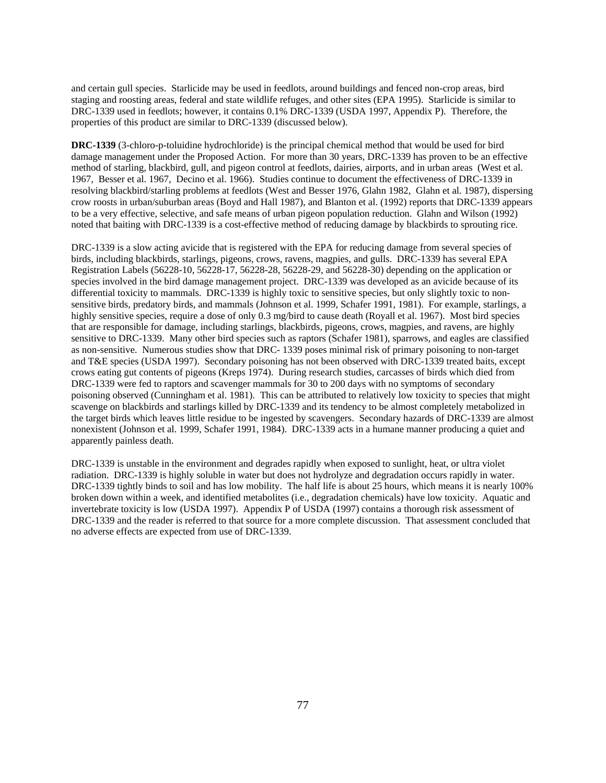and certain gull species. Starlicide may be used in feedlots, around buildings and fenced non-crop areas, bird staging and roosting areas, federal and state wildlife refuges, and other sites (EPA 1995). Starlicide is similar to DRC-1339 used in feedlots; however, it contains 0.1% DRC-1339 (USDA 1997, Appendix P). Therefore, the properties of this product are similar to DRC-1339 (discussed below).

**DRC-1339** (3-chloro-p-toluidine hydrochloride) is the principal chemical method that would be used for bird damage management under the Proposed Action. For more than 30 years, DRC-1339 has proven to be an effective method of starling, blackbird, gull, and pigeon control at feedlots, dairies, airports, and in urban areas (West et al. 1967, Besser et al. 1967, Decino et al. 1966). Studies continue to document the effectiveness of DRC-1339 in resolving blackbird/starling problems at feedlots (West and Besser 1976, Glahn 1982, Glahn et al. 1987), dispersing crow roosts in urban/suburban areas (Boyd and Hall 1987), and Blanton et al. (1992) reports that DRC-1339 appears to be a very effective, selective, and safe means of urban pigeon population reduction. Glahn and Wilson (1992) noted that baiting with DRC-1339 is a cost-effective method of reducing damage by blackbirds to sprouting rice.

DRC-1339 is a slow acting avicide that is registered with the EPA for reducing damage from several species of birds, including blackbirds, starlings, pigeons, crows, ravens, magpies, and gulls. DRC-1339 has several EPA Registration Labels (56228-10, 56228-17, 56228-28, 56228-29, and 56228-30) depending on the application or species involved in the bird damage management project. DRC-1339 was developed as an avicide because of its differential toxicity to mammals. DRC-1339 is highly toxic to sensitive species, but only slightly toxic to nonsensitive birds, predatory birds, and mammals (Johnson et al. 1999, Schafer 1991, 1981). For example, starlings, a highly sensitive species, require a dose of only 0.3 mg/bird to cause death (Royall et al. 1967). Most bird species that are responsible for damage, including starlings, blackbirds, pigeons, crows, magpies, and ravens, are highly sensitive to DRC-1339. Many other bird species such as raptors (Schafer 1981), sparrows, and eagles are classified as non-sensitive. Numerous studies show that DRC- 1339 poses minimal risk of primary poisoning to non-target and T&E species (USDA 1997). Secondary poisoning has not been observed with DRC-1339 treated baits, except crows eating gut contents of pigeons (Kreps 1974). During research studies, carcasses of birds which died from DRC-1339 were fed to raptors and scavenger mammals for 30 to 200 days with no symptoms of secondary poisoning observed (Cunningham et al. 1981). This can be attributed to relatively low toxicity to species that might scavenge on blackbirds and starlings killed by DRC-1339 and its tendency to be almost completely metabolized in the target birds which leaves little residue to be ingested by scavengers. Secondary hazards of DRC-1339 are almost nonexistent (Johnson et al. 1999, Schafer 1991, 1984). DRC-1339 acts in a humane manner producing a quiet and apparently painless death.

DRC-1339 is unstable in the environment and degrades rapidly when exposed to sunlight, heat, or ultra violet radiation. DRC-1339 is highly soluble in water but does not hydrolyze and degradation occurs rapidly in water. DRC-1339 tightly binds to soil and has low mobility. The half life is about 25 hours, which means it is nearly 100% broken down within a week, and identified metabolites (i.e., degradation chemicals) have low toxicity. Aquatic and invertebrate toxicity is low (USDA 1997). Appendix P of USDA (1997) contains a thorough risk assessment of DRC-1339 and the reader is referred to that source for a more complete discussion. That assessment concluded that no adverse effects are expected from use of DRC-1339.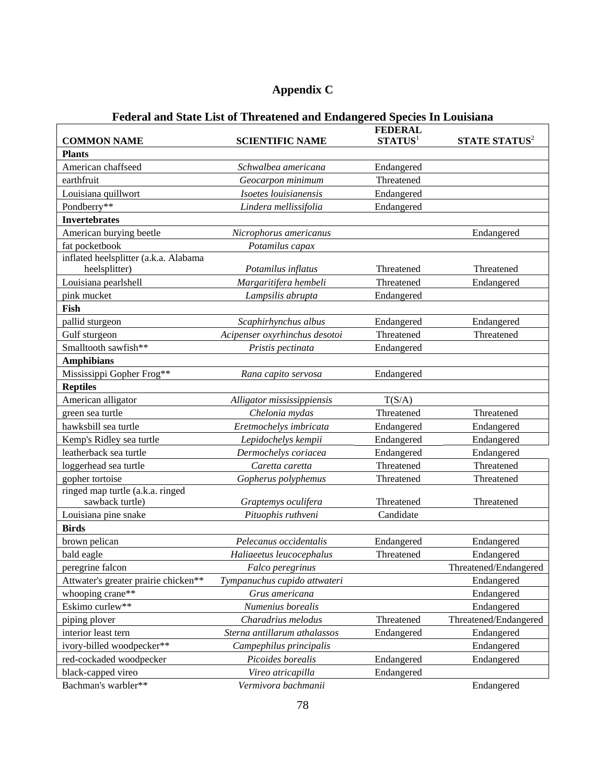# **Appendix C**

| <b>COMMON NAME</b>                                     | <b>SCIENTIFIC NAME</b>                    | <b>FEDERAL</b><br>STATUS <sup>1</sup> | <b>STATE STATUS<sup>2</sup></b> |
|--------------------------------------------------------|-------------------------------------------|---------------------------------------|---------------------------------|
| <b>Plants</b>                                          |                                           |                                       |                                 |
| American chaffseed                                     | Schwalbea americana                       | Endangered                            |                                 |
| earthfruit                                             | Geocarpon minimum                         | Threatened                            |                                 |
|                                                        |                                           |                                       |                                 |
| Louisiana quillwort                                    | Isoetes louisianensis                     | Endangered                            |                                 |
| Pondberry**                                            | Lindera mellissifolia                     | Endangered                            |                                 |
| <b>Invertebrates</b>                                   |                                           |                                       |                                 |
| American burying beetle                                | Nicrophorus americanus                    |                                       | Endangered                      |
| fat pocketbook                                         | Potamilus capax                           |                                       |                                 |
| inflated heelsplitter (a.k.a. Alabama<br>heelsplitter) | Potamilus inflatus                        | Threatened                            | Threatened                      |
| Louisiana pearlshell                                   | Margaritifera hembeli                     | Threatened                            | Endangered                      |
| pink mucket                                            | Lampsilis abrupta                         | Endangered                            |                                 |
| Fish                                                   |                                           |                                       |                                 |
| pallid sturgeon                                        | Scaphirhynchus albus                      | Endangered                            | Endangered                      |
| Gulf sturgeon                                          | Acipenser oxyrhinchus desotoi             | Threatened                            | Threatened                      |
| Smalltooth sawfish**                                   | Pristis pectinata                         | Endangered                            |                                 |
| <b>Amphibians</b>                                      |                                           |                                       |                                 |
| Mississippi Gopher Frog**                              |                                           |                                       |                                 |
|                                                        | Rana capito servosa                       | Endangered                            |                                 |
| <b>Reptiles</b><br>American alligator                  |                                           | T(S/A)                                |                                 |
|                                                        | Alligator mississippiensis                |                                       |                                 |
| green sea turtle                                       | Chelonia mydas                            | Threatened                            | Threatened                      |
| hawksbill sea turtle                                   | Eretmochelys imbricata                    | Endangered                            | Endangered                      |
| Kemp's Ridley sea turtle                               | Lepidochelys kempii                       | Endangered                            | Endangered                      |
| leatherback sea turtle                                 | Dermochelys coriacea                      | Endangered                            | Endangered                      |
| loggerhead sea turtle                                  | Caretta caretta                           | Threatened                            | Threatened                      |
| gopher tortoise                                        | Gopherus polyphemus                       | Threatened                            | Threatened                      |
| ringed map turtle (a.k.a. ringed<br>sawback turtle)    |                                           | Threatened                            | Threatened                      |
|                                                        | Graptemys oculifera<br>Pituophis ruthveni | Candidate                             |                                 |
| Louisiana pine snake<br><b>Birds</b>                   |                                           |                                       |                                 |
| brown pelican                                          | Pelecanus occidentalis                    |                                       |                                 |
|                                                        |                                           | Endangered<br>Threatened              | Endangered                      |
| bald eagle                                             | Haliaeetus leucocephalus                  |                                       | Endangered                      |
| peregrine falcon                                       | Falco peregrinus                          |                                       | Threatened/Endangered           |
| Attwater's greater prairie chicken**                   | Tympanuchus cupido attwateri              |                                       | Endangered                      |
| whooping crane**                                       | Grus americana                            |                                       | Endangered                      |
| Eskimo curlew**                                        | Numenius borealis                         |                                       | Endangered                      |
| piping plover                                          | Charadrius melodus                        | Threatened                            | Threatened/Endangered           |
| interior least tern                                    | Sterna antillarum athalassos              | Endangered                            | Endangered                      |
| ivory-billed woodpecker**                              | Campephilus principalis                   |                                       | Endangered                      |
| red-cockaded woodpecker                                | Picoides borealis                         | Endangered                            | Endangered                      |
| black-capped vireo                                     | Vireo atricapilla                         | Endangered                            |                                 |
| Bachman's warbler**                                    | Vermivora bachmanii                       |                                       | Endangered                      |